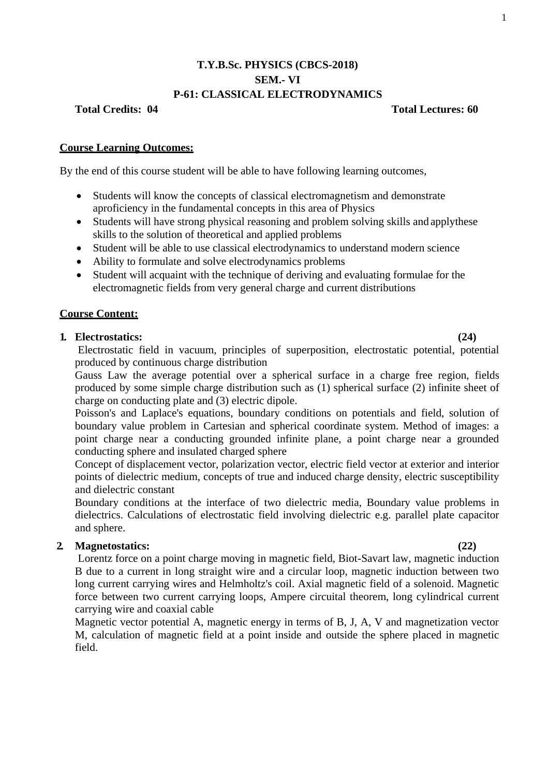# **T.Y.B.Sc. PHYSICS (CBCS-2018) SEM.- VI P-61: CLASSICAL ELECTRODYNAMICS**

## **Total Credits: 04 Total Lectures: 60**

## **Course Learning Outcomes:**

By the end of this course student will be able to have following learning outcomes,

- Students will know the concepts of classical electromagnetism and demonstrate aproficiency in the fundamental concepts in this area of Physics
- Students will have strong physical reasoning and problem solving skills and applythese skills to the solution of theoretical and applied problems
- Student will be able to use classical electrodynamics to understand modern science
- Ability to formulate and solve electrodynamics problems
- Student will acquaint with the technique of deriving and evaluating formulae for the electromagnetic fields from very general charge and current distributions

## **Course Content:**

### **1. Electrostatics: (24)**

Electrostatic field in vacuum, principles of superposition, electrostatic potential, potential produced by continuous charge distribution

Gauss Law the average potential over a spherical surface in a charge free region, fields produced by some simple charge distribution such as (1) spherical surface (2) infinite sheet of charge on conducting plate and (3) electric dipole.

Poisson's and Laplace's equations, boundary conditions on potentials and field, solution of boundary value problem in Cartesian and spherical coordinate system. Method of images: a point charge near a conducting grounded infinite plane, a point charge near a grounded conducting sphere and insulated charged sphere

Concept of displacement vector, polarization vector, electric field vector at exterior and interior points of dielectric medium, concepts of true and induced charge density, electric susceptibility and dielectric constant

Boundary conditions at the interface of two dielectric media, Boundary value problems in dielectrics. Calculations of electrostatic field involving dielectric e.g. parallel plate capacitor and sphere.

# **2. Magnetostatics: (22)**

Lorentz force on a point charge moving in magnetic field, Biot-Savart law, magnetic induction B due to a current in long straight wire and a circular loop, magnetic induction between two long current carrying wires and Helmholtz's coil. Axial magnetic field of a solenoid. Magnetic force between two current carrying loops, Ampere circuital theorem, long cylindrical current carrying wire and coaxial cable

Magnetic vector potential A, magnetic energy in terms of B, J, A, V and magnetization vector M, calculation of magnetic field at a point inside and outside the sphere placed in magnetic field.

### 1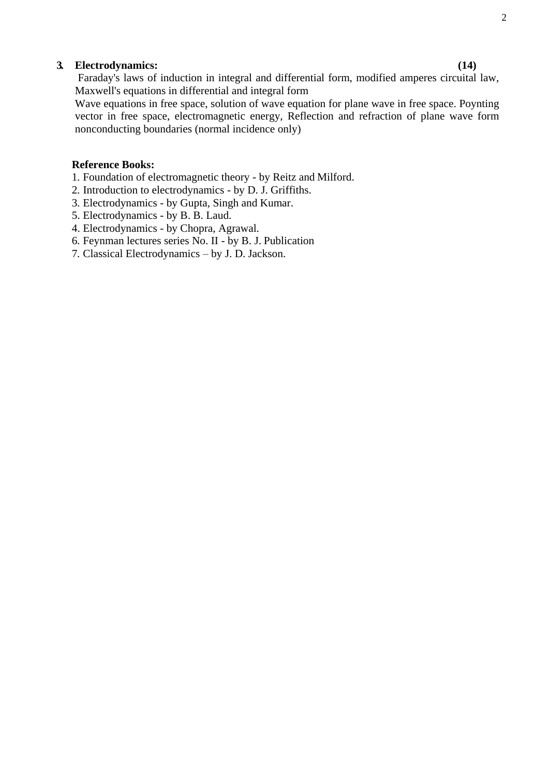# **3. Electrodynamics: (14)**

Faraday's laws of induction in integral and differential form, modified amperes circuital law, Maxwell's equations in differential and integral form

Wave equations in free space, solution of wave equation for plane wave in free space. Poynting vector in free space, electromagnetic energy, Reflection and refraction of plane wave form nonconducting boundaries (normal incidence only)

## **Reference Books:**

- 1. Foundation of electromagnetic theory by Reitz and Milford.
- 2. Introduction to electrodynamics by D. J. Griffiths.
- 3. Electrodynamics by Gupta, Singh and Kumar.
- 5. Electrodynamics by B. B. Laud.
- 4. Electrodynamics by Chopra, Agrawal.
- 6. Feynman lectures series No. II by B. J. Publication
- 7. Classical Electrodynamics by J. D. Jackson.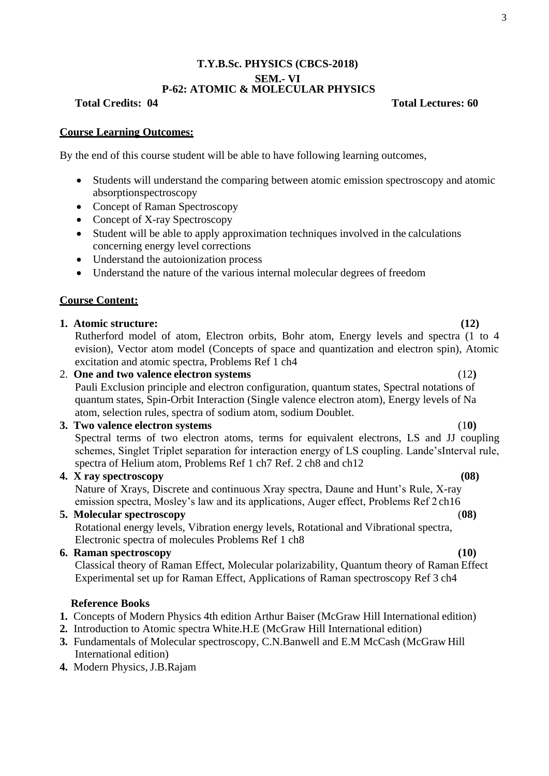# **T.Y.B.Sc. PHYSICS (CBCS-2018) SEM.- VI P-62: ATOMIC & MOLECULAR PHYSICS**

**Total Credits: 04 Total Lectures: 60**

# **Course Learning Outcomes:**

By the end of this course student will be able to have following learning outcomes,

- Students will understand the comparing between atomic emission spectroscopy and atomic absorptionspectroscopy
- Concept of Raman Spectroscopy
- Concept of X-ray Spectroscopy
- Student will be able to apply approximation techniques involved in the calculations concerning energy level corrections
- Understand the autoionization process
- Understand the nature of the various internal molecular degrees of freedom

# **Course Content:**

# **1. Atomic structure: (12)**

Rutherford model of atom, Electron orbits, Bohr atom, Energy levels and spectra (1 to 4 evision), Vector atom model (Concepts of space and quantization and electron spin), Atomic excitation and atomic spectra, Problems Ref 1 ch4

## 2. **One and two valence electron systems** (12**)**

Pauli Exclusion principle and electron configuration, quantum states, Spectral notations of quantum states, Spin-Orbit Interaction (Single valence electron atom), Energy levels of Na atom, selection rules, spectra of sodium atom, sodium Doublet.

# **3. Two valence electron systems** (1**0)**

Spectral terms of two electron atoms, terms for equivalent electrons, LS and JJ coupling schemes, Singlet Triplet separation for interaction energy of LS coupling. Lande'sInterval rule, spectra of Helium atom, Problems Ref 1 ch7 Ref. 2 ch8 and ch12

## **4. X ray spectroscopy (08)**

Nature of Xrays, Discrete and continuous Xray spectra, Daune and Hunt's Rule, X-ray emission spectra, Mosley's law and its applications, Auger effect, Problems Ref 2 ch16

# **5. Molecular spectroscopy** (**08)**

Rotational energy levels, Vibration energy levels, Rotational and Vibrational spectra, Electronic spectra of molecules Problems Ref 1 ch8

# **6. Raman spectroscopy (10)**

Classical theory of Raman Effect, Molecular polarizability, Quantum theory of Raman Effect Experimental set up for Raman Effect, Applications of Raman spectroscopy Ref 3 ch4

## **Reference Books**

- **1.** Concepts of Modern Physics 4th edition Arthur Baiser (McGraw Hill International edition)
- **2.** Introduction to Atomic spectra White.H.E (McGraw Hill International edition)
- **3.** Fundamentals of Molecular spectroscopy, C.N.Banwell and E.M McCash (McGraw Hill) International edition)
- **4.** Modern Physics, J.B.Rajam

3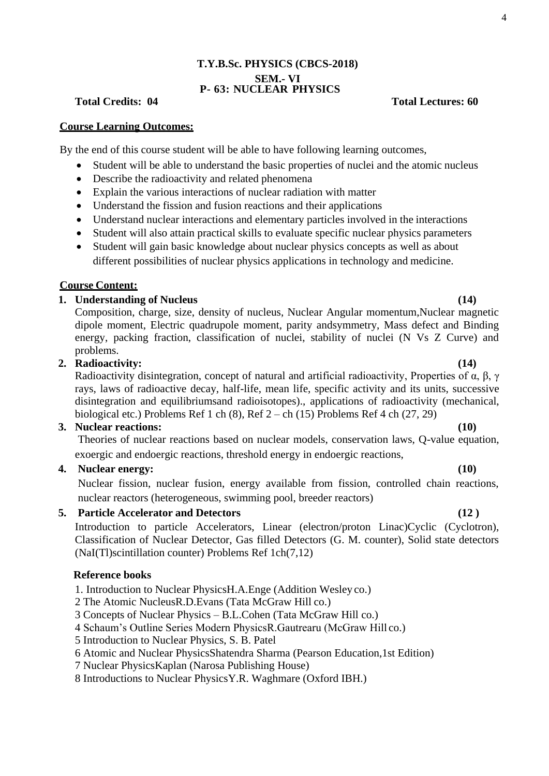# **T.Y.B.Sc. PHYSICS (CBCS-2018) SEM.- VI P- 63: NUCLEAR PHYSICS**

# **Total Credits: 04 Total Lectures: 60**

## **Course Learning Outcomes:**

By the end of this course student will be able to have following learning outcomes,

- Student will be able to understand the basic properties of nuclei and the atomic nucleus
- Describe the radioactivity and related phenomena
- Explain the various interactions of nuclear radiation with matter
- Understand the fission and fusion reactions and their applications
- Understand nuclear interactions and elementary particles involved in the interactions
- Student will also attain practical skills to evaluate specific nuclear physics parameters
- Student will gain basic knowledge about nuclear physics concepts as well as about different possibilities of nuclear physics applications in technology and medicine.

## **Course Content:**

# **1. Understanding of Nucleus (14)**

Composition, charge, size, density of nucleus, Nuclear Angular momentum,Nuclear magnetic dipole moment, Electric quadrupole moment, parity andsymmetry, Mass defect and Binding energy, packing fraction, classification of nuclei, stability of nuclei (N Vs Z Curve) and problems.

### **2. Radioactivity: (14)**

Radioactivity disintegration, concept of natural and artificial radioactivity, Properties of α, β, γ rays, laws of radioactive decay, half-life, mean life, specific activity and its units, successive disintegration and equilibriumsand radioisotopes)., applications of radioactivity (mechanical, biological etc.) Problems Ref 1 ch  $(8)$ , Ref  $2$  – ch  $(15)$  Problems Ref 4 ch  $(27, 29)$ 

## **3. Nuclear reactions: (10)**

Theories of nuclear reactions based on nuclear models, conservation laws, Q-value equation, exoergic and endoergic reactions, threshold energy in endoergic reactions,

# **4. Nuclear energy: (10)**

Nuclear fission, nuclear fusion, energy available from fission, controlled chain reactions, nuclear reactors (heterogeneous, swimming pool, breeder reactors)

# **5. Particle Accelerator and Detectors (12 )**

Introduction to particle Accelerators, Linear (electron/proton Linac)Cyclic (Cyclotron), Classification of Nuclear Detector, Gas filled Detectors (G. M. counter), Solid state detectors (NaI(Tl)scintillation counter) Problems Ref 1ch(7,12)

### **Reference books**

1. Introduction to Nuclear PhysicsH.A.Enge (Addition Wesley co.)

- 2 The Atomic NucleusR.D.Evans (Tata McGraw Hill co.)
- 3 Concepts of Nuclear Physics B.L.Cohen (Tata McGraw Hill co.)

4 Schaum's Outline Series Modern PhysicsR.Gautrearu (McGraw Hill co.)

- 5 Introduction to Nuclear Physics, S. B. Patel
- 6 Atomic and Nuclear PhysicsShatendra Sharma (Pearson Education,1st Edition)
- 7 Nuclear PhysicsKaplan (Narosa Publishing House)

8 Introductions to Nuclear PhysicsY.R. Waghmare (Oxford IBH.)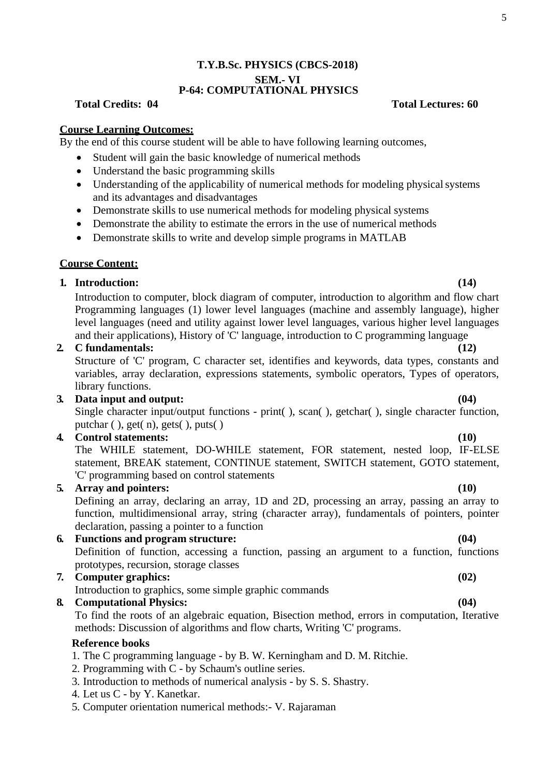# **T.Y.B.Sc. PHYSICS (CBCS-2018) SEM.- VI P-64: COMPUTATIONAL PHYSICS**

### **Course Learning Outcomes:**

By the end of this course student will be able to have following learning outcomes,

- Student will gain the basic knowledge of numerical methods
- Understand the basic programming skills
- Understanding of the applicability of numerical methods for modeling physical systems and its advantages and disadvantages
- Demonstrate skills to use numerical methods for modeling physical systems
- Demonstrate the ability to estimate the errors in the use of numerical methods
- Demonstrate skills to write and develop simple programs in MATLAB

### **Course Content:**

## **1. Introduction: (14)**

Introduction to computer, block diagram of computer, introduction to algorithm and flow chart Programming languages (1) lower level languages (machine and assembly language), higher level languages (need and utility against lower level languages, various higher level languages and their applications), History of 'C' language, introduction to C programming language

### **2. C fundamentals: (12)**

Structure of 'C' program, C character set, identifies and keywords, data types, constants and variables, array declaration, expressions statements, symbolic operators, Types of operators, library functions.

## **3. Data input and output: (04)**

Single character input/output functions - print(), scan(), getchar(), single character function, putchar  $($ ), get $(n)$ , gets $()$ , puts $()$ 

### **4. Control statements: (10)**

The WHILE statement, DO-WHILE statement, FOR statement, nested loop, IF-ELSE statement, BREAK statement, CONTINUE statement, SWITCH statement, GOTO statement, 'C' programming based on control statements

## **5. Array and pointers: (10)**

Defining an array, declaring an array, 1D and 2D, processing an array, passing an array to function, multidimensional array, string (character array), fundamentals of pointers, pointer declaration, passing a pointer to a function

**6. Functions and program structure: (04)** Definition of function, accessing a function, passing an argument to a function, functions prototypes, recursion, storage classes

### **7. Computer graphics: (02)**

Introduction to graphics, some simple graphic commands

**8. Computational Physics: (04)**

To find the roots of an algebraic equation, Bisection method, errors in computation, Iterative methods: Discussion of algorithms and flow charts, Writing 'C' programs.

# **Reference books**

- 1. The C programming language by B. W. Kerningham and D. M. Ritchie.
- 2. Programming with C by Schaum's outline series.
- 3. Introduction to methods of numerical analysis by S. S. Shastry.
- 4. Let us C by Y. Kanetkar.
- 5. Computer orientation numerical methods:- V. Rajaraman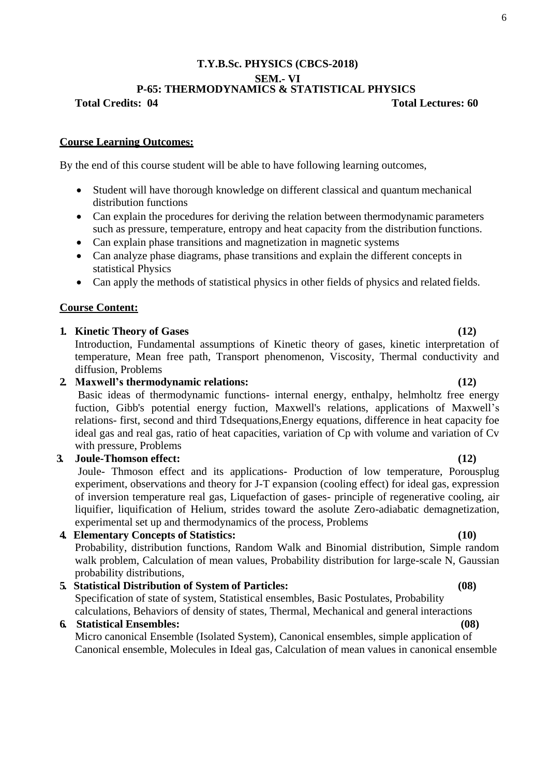## **T.Y.B.Sc. PHYSICS (CBCS-2018) SEM.- VI P-65: THERMODYNAMICS & STATISTICAL PHYSICS**

**Total Credits: 04 Total Lectures: 60**

### **Course Learning Outcomes:**

By the end of this course student will be able to have following learning outcomes,

- Student will have thorough knowledge on different classical and quantum mechanical distribution functions
- Can explain the procedures for deriving the relation between thermodynamic parameters such as pressure, temperature, entropy and heat capacity from the distribution functions.
- Can explain phase transitions and magnetization in magnetic systems
- Can analyze phase diagrams, phase transitions and explain the different concepts in statistical Physics
- Can apply the methods of statistical physics in other fields of physics and related fields.

### **Course Content:**

## **1. Kinetic Theory of Gases (12)**

Introduction, Fundamental assumptions of Kinetic theory of gases, kinetic interpretation of temperature, Mean free path, Transport phenomenon, Viscosity, Thermal conductivity and diffusion, Problems

# **2. Maxwell's thermodynamic relations: (12)**

Basic ideas of thermodynamic functions- internal energy, enthalpy, helmholtz free energy fuction, Gibb's potential energy fuction, Maxwell's relations, applications of Maxwell's relations- first, second and third Tdsequations,Energy equations, difference in heat capacity foe ideal gas and real gas, ratio of heat capacities, variation of Cp with volume and variation of Cv with pressure, Problems

## **3. Joule-Thomson effect: (12)**

Joule- Thmoson effect and its applications- Production of low temperature, Porousplug experiment, observations and theory for J-T expansion (cooling effect) for ideal gas, expression of inversion temperature real gas, Liquefaction of gases- principle of regenerative cooling, air liquifier, liquification of Helium, strides toward the asolute Zero-adiabatic demagnetization, experimental set up and thermodynamics of the process, Problems

### **4. Elementary Concepts of Statistics: (10)**

Probability, distribution functions, Random Walk and Binomial distribution, Simple random walk problem, Calculation of mean values, Probability distribution for large-scale N, Gaussian probability distributions,

**5. Statistical Distribution of System of Particles: (08)**  Specification of state of system, Statistical ensembles, Basic Postulates, Probability calculations, Behaviors of density of states, Thermal, Mechanical and general interactions

# **6. Statistical Ensembles: (08)**

Micro canonical Ensemble (Isolated System), Canonical ensembles, simple application of Canonical ensemble, Molecules in Ideal gas, Calculation of mean values in canonical ensemble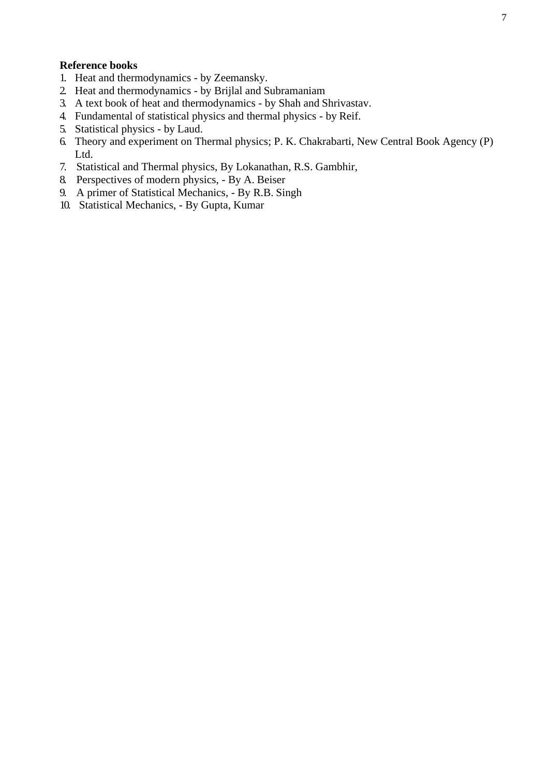## **Reference books**

- 1. Heat and thermodynamics by Zeemansky.
- 2. Heat and thermodynamics by Brijlal and Subramaniam
- 3. A text book of heat and thermodynamics by Shah and Shrivastav.
- 4. Fundamental of statistical physics and thermal physics by Reif.
- 5. Statistical physics by Laud.
- 6. Theory and experiment on Thermal physics; P. K. Chakrabarti, New Central Book Agency (P) Ltd.
- 7. Statistical and Thermal physics, By Lokanathan, R.S. Gambhir,
- 8. Perspectives of modern physics, By A. Beiser
- 9. A primer of Statistical Mechanics, By R.B. Singh
- 10. Statistical Mechanics, By Gupta, Kumar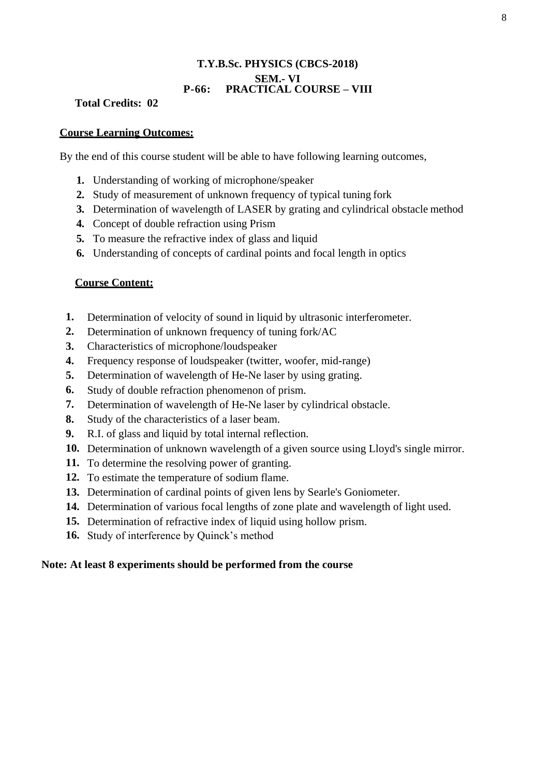# **T.Y.B.Sc. PHYSICS (CBCS-2018) SEM.- VI P-66: PRACTICAL COURSE – VIII**

# **Total Credits: 02**

# **Course Learning Outcomes:**

By the end of this course student will be able to have following learning outcomes,

- **1.** Understanding of working of microphone/speaker
- **2.** Study of measurement of unknown frequency of typical tuning fork
- **3.** Determination of wavelength of LASER by grating and cylindrical obstacle method
- **4.** Concept of double refraction using Prism
- **5.** To measure the refractive index of glass and liquid
- **6.** Understanding of concepts of cardinal points and focal length in optics

# **Course Content:**

- **1.** Determination of velocity of sound in liquid by ultrasonic interferometer.
- **2.** Determination of unknown frequency of tuning fork/AC
- **3.** Characteristics of microphone/loudspeaker
- **4.** Frequency response of loudspeaker (twitter, woofer, mid-range)
- **5.** Determination of wavelength of He-Ne laser by using grating.
- **6.** Study of double refraction phenomenon of prism.
- **7.** Determination of wavelength of He-Ne laser by cylindrical obstacle.
- **8.** Study of the characteristics of a laser beam.
- **9.** R.I. of glass and liquid by total internal reflection.
- **10.** Determination of unknown wavelength of a given source using Lloyd's single mirror.
- **11.** To determine the resolving power of granting.
- **12.** To estimate the temperature of sodium flame.
- **13.** Determination of cardinal points of given lens by Searle's Goniometer.
- **14.** Determination of various focal lengths of zone plate and wavelength of light used.
- **15.** Determination of refractive index of liquid using hollow prism.
- **16.** Study of interference by Quinck's method

# **Note: At least 8 experiments should be performed from the course**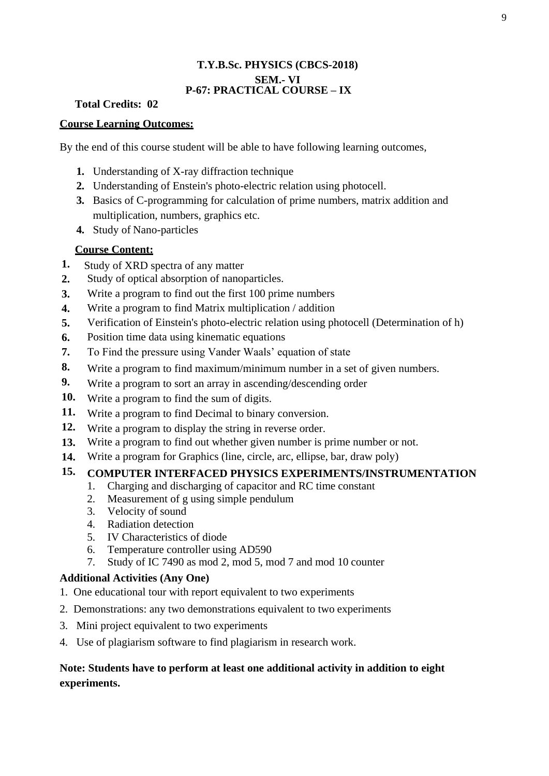# **T.Y.B.Sc. PHYSICS (CBCS-2018) SEM.- VI P-67: PRACTICAL COURSE – IX**

# **Total Credits: 02**

# **Course Learning Outcomes:**

By the end of this course student will be able to have following learning outcomes,

- **1.** Understanding of X-ray diffraction technique
- **2.** Understanding of Enstein's photo-electric relation using photocell.
- **3.** Basics of C-programming for calculation of prime numbers, matrix addition and multiplication, numbers, graphics etc.
- **4.** Study of Nano-particles

# **Course Content:**

- **1.** Study of XRD spectra of any matter
- **2.** Study of optical absorption of nanoparticles.
- **3.** Write a program to find out the first 100 prime numbers
- **4.** Write a program to find Matrix multiplication / addition
- **5.** Verification of Einstein's photo-electric relation using photocell (Determination of h)
- **6.** Position time data using kinematic equations
- **7.** To Find the pressure using Vander Waals' equation of state
- **8.** Write a program to find maximum/minimum number in a set of given numbers.
- **9.** Write a program to sort an array in ascending/descending order
- **10.** Write a program to find the sum of digits.
- **11.** Write a program to find Decimal to binary conversion.
- **12.** Write a program to display the string in reverse order.
- **13.** Write a program to find out whether given number is prime number or not.
- **14.** Write a program for Graphics (line, circle, arc, ellipse, bar, draw poly)

# **15. COMPUTER INTERFACED PHYSICS EXPERIMENTS/INSTRUMENTATION**

- 1. Charging and discharging of capacitor and RC time constant
- 2. Measurement of g using simple pendulum
- 3. Velocity of sound
- 4. Radiation detection
- 5. IV Characteristics of diode
- 6. Temperature controller using AD590
- 7. Study of IC 7490 as mod 2, mod 5, mod 7 and mod 10 counter

# **Additional Activities (Any One)**

- 1. One educational tour with report equivalent to two experiments
- 2. Demonstrations: any two demonstrations equivalent to two experiments
- 3. Mini project equivalent to two experiments
- 4. Use of plagiarism software to find plagiarism in research work.

# **Note: Students have to perform at least one additional activity in addition to eight experiments.**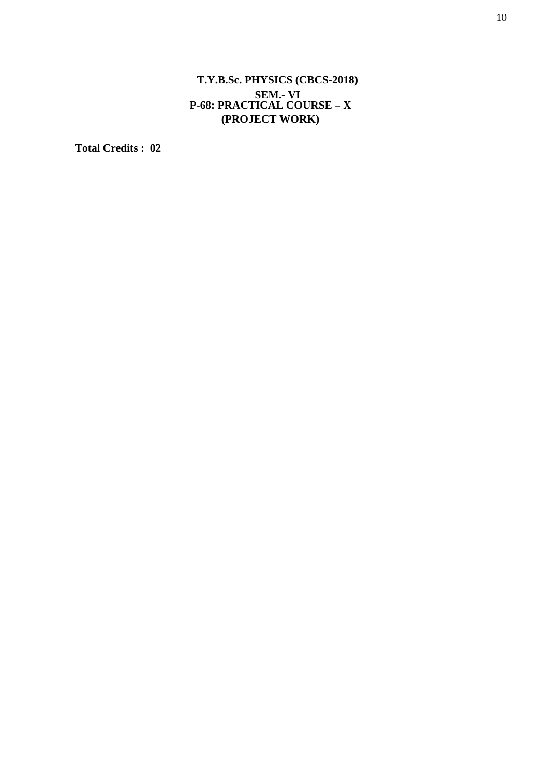# **T.Y.B.Sc. PHYSICS (CBCS-2018) SEM.- VI P-68: PRACTICAL COURSE – X (PROJECT WORK)**

**Total Credits : 02**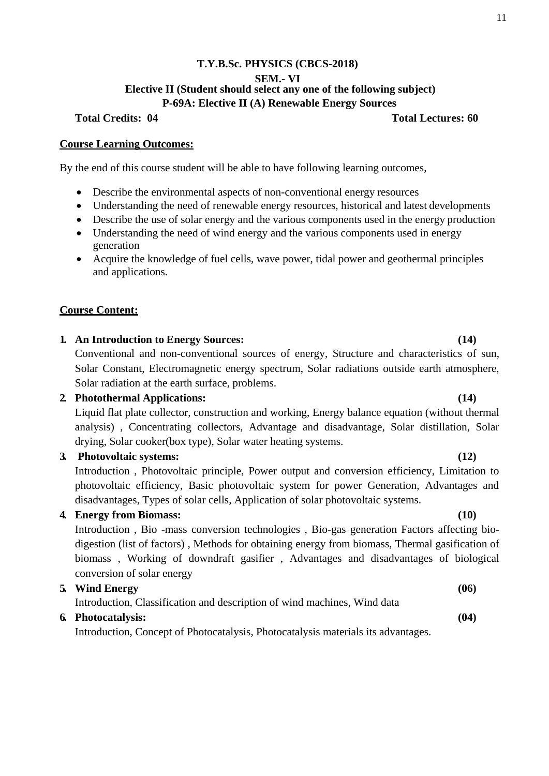# **T.Y.B.Sc. PHYSICS (CBCS-2018) SEM.- VI Elective II (Student should select any one of the following subject) P-69A: Elective II (A) Renewable Energy Sources**

## **Total Credits: 04 Total Lectures: 60**

### **Course Learning Outcomes:**

By the end of this course student will be able to have following learning outcomes,

- Describe the environmental aspects of non-conventional energy resources
- Understanding the need of renewable energy resources, historical and latest developments
- Describe the use of solar energy and the various components used in the energy production
- Understanding the need of wind energy and the various components used in energy generation
- Acquire the knowledge of fuel cells, wave power, tidal power and geothermal principles and applications.

## **Course Content:**

# **1. An Introduction to Energy Sources: (14)** Conventional and non-conventional sources of energy, Structure and characteristics of sun, Solar Constant, Electromagnetic energy spectrum, Solar radiations outside earth atmosphere, Solar radiation at the earth surface, problems.

# **2. Photothermal Applications: (14)**

Liquid flat plate collector, construction and working, Energy balance equation (without thermal analysis) , Concentrating collectors, Advantage and disadvantage, Solar distillation, Solar drying, Solar cooker(box type), Solar water heating systems.

## **3. Photovoltaic systems: (12)**

Introduction , Photovoltaic principle, Power output and conversion efficiency, Limitation to photovoltaic efficiency, Basic photovoltaic system for power Generation, Advantages and disadvantages, Types of solar cells, Application of solar photovoltaic systems.

# **4. Energy from Biomass: (10)**

Introduction , Bio -mass conversion technologies , Bio-gas generation Factors affecting biodigestion (list of factors) , Methods for obtaining energy from biomass, Thermal gasification of biomass , Working of downdraft gasifier , Advantages and disadvantages of biological conversion of solar energy

## **5. Wind Energy (06)**

Introduction, Classification and description of wind machines, Wind data

### **6. Photocatalysis: (04)**

Introduction, Concept of Photocatalysis, Photocatalysis materials its advantages.

### 11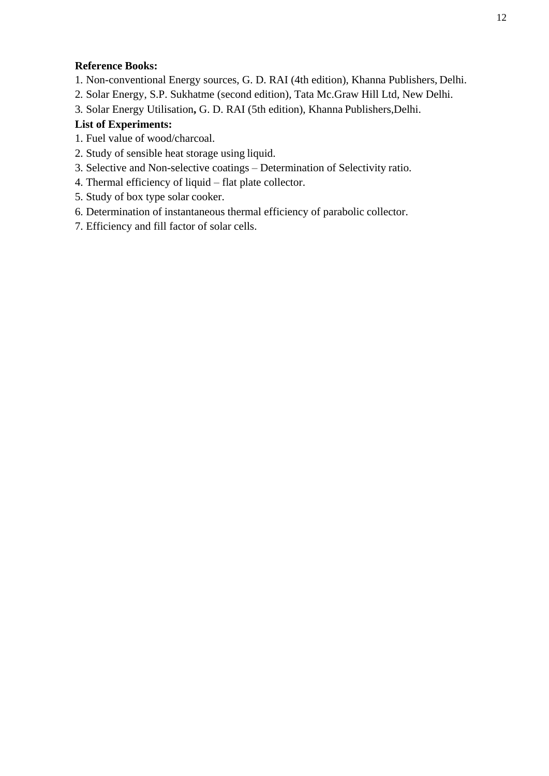# **Reference Books:**

- 1. Non-conventional Energy sources, G. D. RAI (4th edition), Khanna Publishers, Delhi.
- 2. Solar Energy, S.P. Sukhatme (second edition), Tata Mc.Graw Hill Ltd, New Delhi.
- 3. Solar Energy Utilisation**,** G. D. RAI (5th edition), Khanna Publishers,Delhi.

# **List of Experiments:**

- 1. Fuel value of wood/charcoal.
- 2. Study of sensible heat storage using liquid.
- 3. Selective and Non-selective coatings Determination of Selectivity ratio.
- 4. Thermal efficiency of liquid flat plate collector.
- 5. Study of box type solar cooker.
- 6. Determination of instantaneous thermal efficiency of parabolic collector.
- 7. Efficiency and fill factor of solar cells.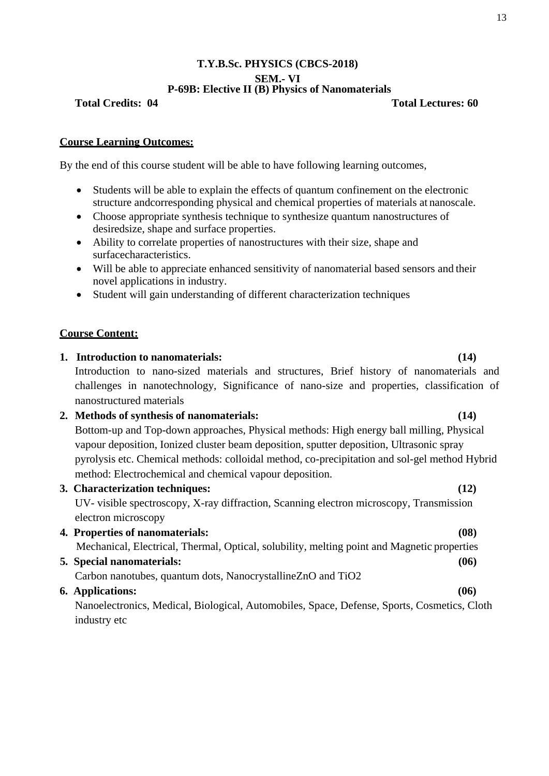## **T.Y.B.Sc. PHYSICS (CBCS-2018) SEM.- VI P-69B: Elective II (B) Physics of Nanomaterials**

**Total Credits: 04 Total Lectures: 60**

# **Course Learning Outcomes:**

By the end of this course student will be able to have following learning outcomes,

- Students will be able to explain the effects of quantum confinement on the electronic structure andcorresponding physical and chemical properties of materials at nanoscale.
- Choose appropriate synthesis technique to synthesize quantum nanostructures of desiredsize, shape and surface properties.
- Ability to correlate properties of nanostructures with their size, shape and surfacecharacteristics.
- Will be able to appreciate enhanced sensitivity of nanomaterial based sensors and their novel applications in industry.
- Student will gain understanding of different characterization techniques

# **Course Content:**

**1. Introduction to nanomaterials: (14)** Introduction to nano-sized materials and structures, Brief history of nanomaterials and challenges in nanotechnology, Significance of nano-size and properties, classification of nanostructured materials **2. Methods of synthesis of nanomaterials: (14)**  Bottom-up and Top-down approaches, Physical methods: High energy ball milling, Physical vapour deposition, Ionized cluster beam deposition, sputter deposition, Ultrasonic spray pyrolysis etc. Chemical methods: colloidal method, co-precipitation and sol-gel method Hybrid method: Electrochemical and chemical vapour deposition. **3. Characterization techniques: (12)** UV- visible spectroscopy, X-ray diffraction, Scanning electron microscopy, Transmission electron microscopy **4. Properties of nanomaterials: (08)** Mechanical, Electrical, Thermal, Optical, solubility, melting point and Magnetic properties **5. Special nanomaterials: (06)** Carbon nanotubes, quantum dots, NanocrystallineZnO and TiO2 **6. Applications: (06)**

Nanoelectronics, Medical, Biological, Automobiles, Space, Defense, Sports, Cosmetics, Cloth industry etc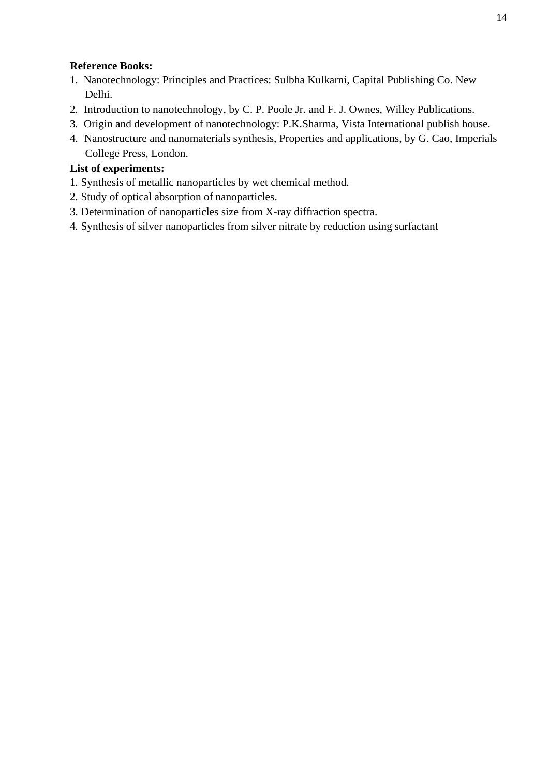# **Reference Books:**

- 1. Nanotechnology: Principles and Practices: Sulbha Kulkarni, Capital Publishing Co. New Delhi.
- 2. Introduction to nanotechnology, by C. P. Poole Jr. and F. J. Ownes, Willey Publications.
- 3. Origin and development of nanotechnology: P.K.Sharma, Vista International publish house.
- 4. Nanostructure and nanomaterials synthesis, Properties and applications, by G. Cao, Imperials College Press, London.

# **List of experiments:**

- 1. Synthesis of metallic nanoparticles by wet chemical method.
- 2. Study of optical absorption of nanoparticles.
- 3. Determination of nanoparticles size from X-ray diffraction spectra.
- 4. Synthesis of silver nanoparticles from silver nitrate by reduction using surfactant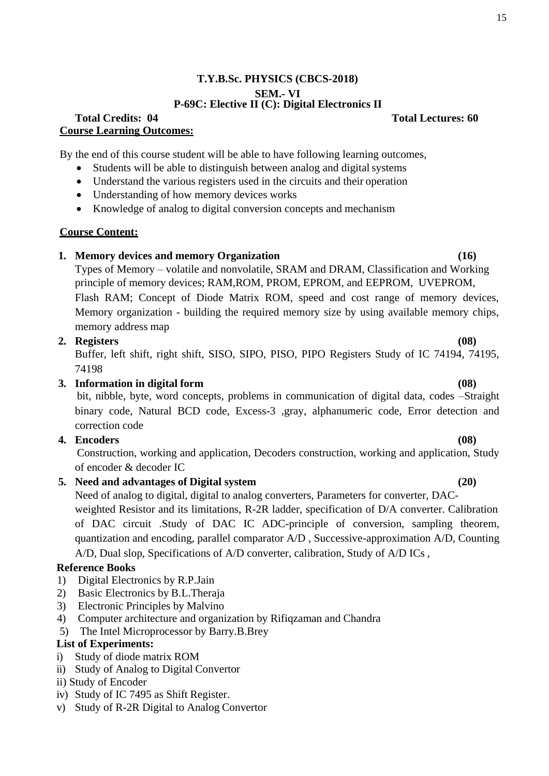# **T.Y.B.Sc. PHYSICS (CBCS-2018) SEM.- VI P-69C: Elective II (C): Digital Electronics II**

## **Total Credits: 04 Total Lectures: 60 Course Learning Outcomes:**

By the end of this course student will be able to have following learning outcomes,

- Students will be able to distinguish between analog and digital systems
- Understand the various registers used in the circuits and their operation
- Understanding of how memory devices works
- Knowledge of analog to digital conversion concepts and mechanism

# **Course Content:**

## **1. Memory devices and memory Organization (16)**

Types of Memory – volatile and nonvolatile, SRAM and DRAM, Classification and Working principle of memory devices; RAM,ROM, PROM, EPROM, and EEPROM, UVEPROM, Flash RAM; Concept of Diode Matrix ROM, speed and cost range of memory devices, Memory organization - building the required memory size by using available memory chips, memory address map

## **2. Registers (08)**

Buffer, left shift, right shift, SISO, SIPO, PISO, PIPO Registers Study of IC 74194, 74195, 74198

# **3. Information in digital form (08)**

bit, nibble, byte, word concepts, problems in communication of digital data, codes –Straight binary code, Natural BCD code, Excess-3 ,gray, alphanumeric code, Error detection and correction code

# **4. Encoders (08)**

Construction, working and application, Decoders construction, working and application, Study of encoder & decoder IC

# **5. Need and advantages of Digital system (20)**

Need of analog to digital, digital to analog converters, Parameters for converter, DACweighted Resistor and its limitations, R-2R ladder, specification of D/A converter. Calibration of DAC circuit .Study of DAC IC ADC-principle of conversion, sampling theorem, quantization and encoding, parallel comparator A/D , Successive-approximation A/D, Counting A/D, Dual slop, Specifications of A/D converter, calibration, Study of A/D ICs ,

# **Reference Books**

- 1) Digital Electronics by R.P.Jain
- 2) Basic Electronics by B.L.Theraja
- 3) Electronic Principles by Malvino
- 4) Computer architecture and organization by Rifiqzaman and Chandra
- 5) The Intel Microprocessor by Barry.B.Brey

# **List of Experiments:**

- i) Study of diode matrix ROM
- ii) Study of Analog to Digital Convertor
- ii) Study of Encoder
- iv) Study of IC 7495 as Shift Register.
- v) Study of R-2R Digital to Analog Convertor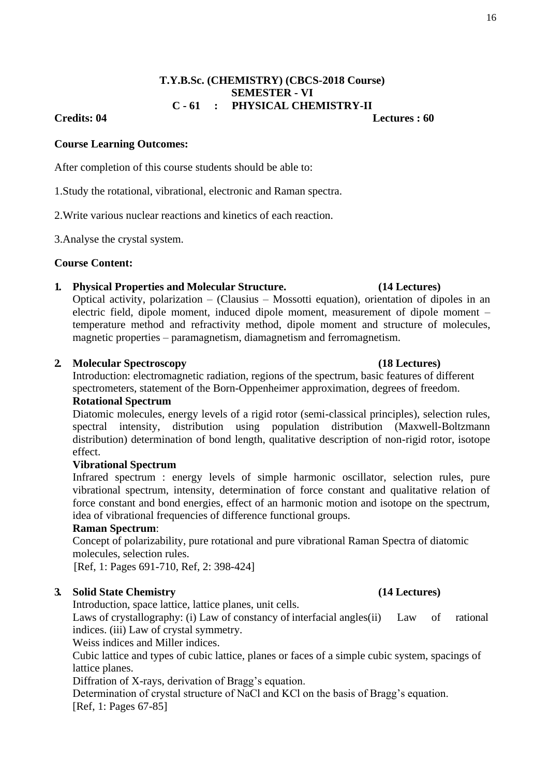16

# **T.Y.B.Sc. (CHEMISTRY) (CBCS-2018 Course) SEMESTER - VI C - 61 : PHYSICAL CHEMISTRY-II**

# **Credits: 04 Lectures : 60**

# **Course Learning Outcomes:**

After completion of this course students should be able to:

1.Study the rotational, vibrational, electronic and Raman spectra.

2.Write various nuclear reactions and kinetics of each reaction.

3.Analyse the crystal system.

# **Course Content:**

# **1. Physical Properties and Molecular Structure. (14 Lectures)**

Optical activity, polarization – (Clausius – Mossotti equation), orientation of dipoles in an electric field, dipole moment, induced dipole moment, measurement of dipole moment – temperature method and refractivity method, dipole moment and structure of molecules, magnetic properties – paramagnetism, diamagnetism and ferromagnetism.

# **2. Molecular Spectroscopy (18 Lectures)**

Introduction: electromagnetic radiation, regions of the spectrum, basic features of different spectrometers, statement of the Born-Oppenheimer approximation, degrees of freedom.

# **Rotational Spectrum**

Diatomic molecules, energy levels of a rigid rotor (semi-classical principles), selection rules, spectral intensity, distribution using population distribution (Maxwell-Boltzmann distribution) determination of bond length, qualitative description of non-rigid rotor, isotope effect.

# **Vibrational Spectrum**

Infrared spectrum : energy levels of simple harmonic oscillator, selection rules, pure vibrational spectrum, intensity, determination of force constant and qualitative relation of force constant and bond energies, effect of an harmonic motion and isotope on the spectrum, idea of vibrational frequencies of difference functional groups.

# **Raman Spectrum**:

Concept of polarizability, pure rotational and pure vibrational Raman Spectra of diatomic molecules, selection rules.

[Ref, 1: Pages 691-710, Ref, 2: 398-424]

# **3. Solid State Chemistry (14 Lectures)**

Introduction, space lattice, lattice planes, unit cells.

Laws of crystallography: (i) Law of constancy of interfacial angles(ii) Law of rational indices. (iii) Law of crystal symmetry.

Weiss indices and Miller indices.

Cubic lattice and types of cubic lattice, planes or faces of a simple cubic system, spacings of lattice planes.

Diffration of X-rays, derivation of Bragg's equation.

Determination of crystal structure of NaCl and KCl on the basis of Bragg's equation. [Ref, 1: Pages 67-85]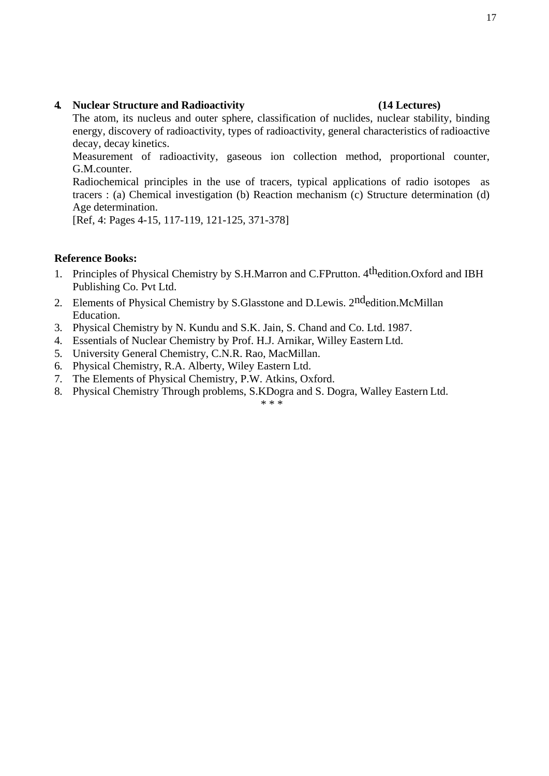## **4. Nuclear Structure and Radioactivity (14 Lectures)**

The atom, its nucleus and outer sphere, classification of nuclides, nuclear stability, binding energy, discovery of radioactivity, types of radioactivity, general characteristics of radioactive decay, decay kinetics.

Measurement of radioactivity, gaseous ion collection method, proportional counter, G.M.counter.

Radiochemical principles in the use of tracers, typical applications of radio isotopes as tracers : (a) Chemical investigation (b) Reaction mechanism (c) Structure determination (d) Age determination.

[Ref, 4: Pages 4-15, 117-119, 121-125, 371-378]

# **Reference Books:**

- 1. Principles of Physical Chemistry by S.H.Marron and C.FPrutton. 4<sup>th</sup>edition.Oxford and IBH Publishing Co. Pvt Ltd.
- 2. Elements of Physical Chemistry by S. Glasstone and D. Lewis. 2<sup>nd</sup>edition. McMillan Education.
- 3. Physical Chemistry by N. Kundu and S.K. Jain, S. Chand and Co. Ltd. 1987.
- 4. Essentials of Nuclear Chemistry by Prof. H.J. Arnikar, Willey Eastern Ltd.
- 5. University General Chemistry, C.N.R. Rao, MacMillan.
- 6. Physical Chemistry, R.A. Alberty, Wiley Eastern Ltd.
- 7. The Elements of Physical Chemistry, P.W. Atkins, Oxford.
- 8. Physical Chemistry Through problems, S.KDogra and S. Dogra, Walley Eastern Ltd.

## \* \* \*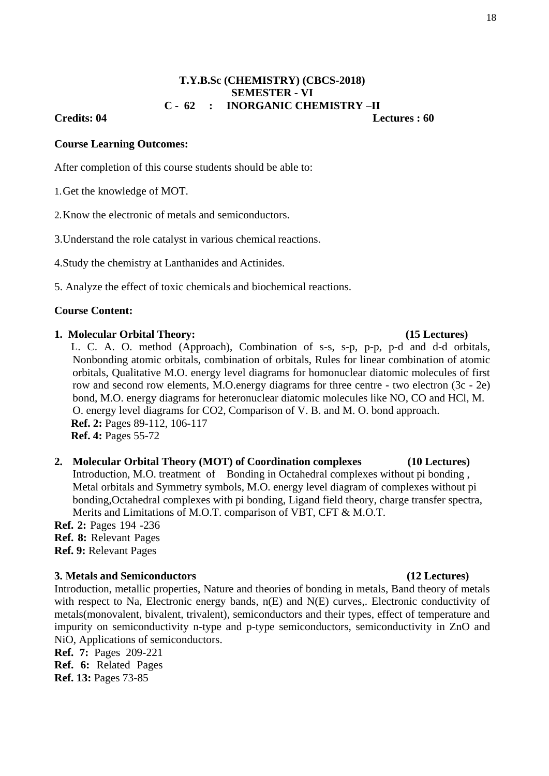# **T.Y.B.Sc (CHEMISTRY) (CBCS-2018) SEMESTER - VI C - 62 : INORGANIC CHEMISTRY –II**

## **Credits: 04 Lectures : 60**

### **Course Learning Outcomes:**

After completion of this course students should be able to:

1.Get the knowledge of MOT.

2.Know the electronic of metals and semiconductors.

3.Understand the role catalyst in various chemical reactions.

4.Study the chemistry at Lanthanides and Actinides.

5. Analyze the effect of toxic chemicals and biochemical reactions.

## **Course Content:**

### **1. Molecular Orbital Theory: (15 Lectures)**

L. C. A. O. method (Approach), Combination of s-s, s-p, p-p, p-d and d-d orbitals, Nonbonding atomic orbitals, combination of orbitals, Rules for linear combination of atomic orbitals, Qualitative M.O. energy level diagrams for homonuclear diatomic molecules of first row and second row elements, M.O.energy diagrams for three centre - two electron (3c - 2e) bond, M.O. energy diagrams for heteronuclear diatomic molecules like NO, CO and HCl, M. O. energy level diagrams for CO2, Comparison of V. B. and M. O. bond approach. **Ref. 2:** Pages 89-112, 106-117 **Ref. 4:** Pages 55-72

# **2. Molecular Orbital Theory (MOT) of Coordination complexes (10 Lectures)**  Introduction, M.O. treatment of Bonding in Octahedral complexes without pi bonding , Metal orbitals and Symmetry symbols, M.O. energy level diagram of complexes without pi bonding,Octahedral complexes with pi bonding, Ligand field theory, charge transfer spectra, Merits and Limitations of M.O.T. comparison of VBT, CFT & M.O.T.

**Ref. 2:** Pages 194 -236 **Ref. 8:** Relevant Pages **Ref. 9:** Relevant Pages

### **3. Metals and Semiconductors (12 Lectures)**

Introduction, metallic properties, Nature and theories of bonding in metals, Band theory of metals with respect to Na, Electronic energy bands,  $n(E)$  and N(E) curves,. Electronic conductivity of metals(monovalent, bivalent, trivalent), semiconductors and their types, effect of temperature and impurity on semiconductivity n-type and p-type semiconductors, semiconductivity in ZnO and NiO, Applications of semiconductors.

**Ref. 7:** Pages 209-221 **Ref. 6:** Related Pages **Ref. 13:** Pages 73-85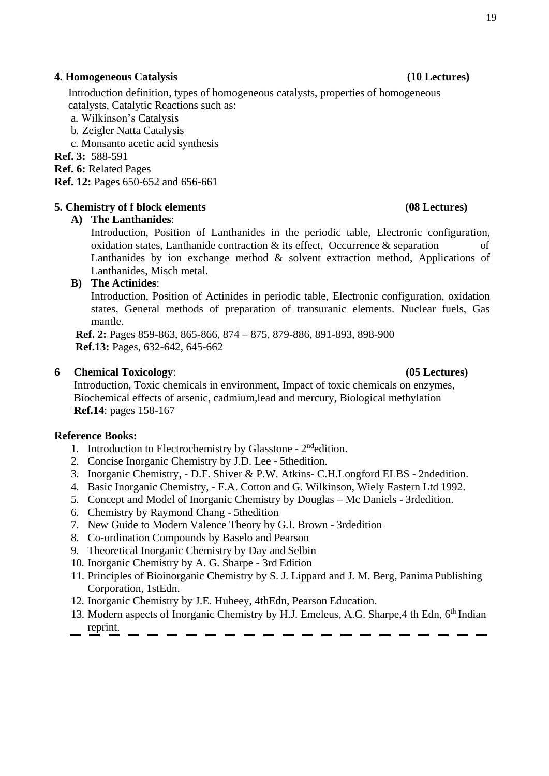## **4. Homogeneous Catalysis (10 Lectures)**

Introduction definition, types of homogeneous catalysts, properties of homogeneous catalysts, Catalytic Reactions such as:

a. Wilkinson's Catalysis

b. Zeigler Natta Catalysis

c. Monsanto acetic acid synthesis

**Ref. 3:** 588-591

**Ref. 6:** Related Pages

**Ref. 12:** Pages 650-652 and 656-661

# **5. Chemistry of f block elements (08 Lectures)**

# **A) The Lanthanides**:

Introduction, Position of Lanthanides in the periodic table, Electronic configuration, oxidation states, Lanthanide contraction  $\&$  its effect, Occurrence  $\&$  separation of Lanthanides by ion exchange method  $\&$  solvent extraction method, Applications of Lanthanides, Misch metal.

# **B) The Actinides**:

Introduction, Position of Actinides in periodic table, Electronic configuration, oxidation states, General methods of preparation of transuranic elements. Nuclear fuels, Gas mantle.

**Ref. 2:** Pages 859-863, 865-866, 874 – 875, 879-886, 891-893, 898-900 **Ref.13:** Pages, 632-642, 645-662

# **6 Chemical Toxicology**: **(05 Lectures)**

Introduction, Toxic chemicals in environment, Impact of toxic chemicals on enzymes, Biochemical effects of arsenic, cadmium,lead and mercury, Biological methylation **Ref.14**: pages 158-167

# **Reference Books:**

- 1. Introduction to Electrochemistry by Glasstone 2<sup>nd</sup>edition.
- 2. Concise Inorganic Chemistry by J.D. Lee 5thedition.
- 3. Inorganic Chemistry, D.F. Shiver & P.W. Atkins- C.H.Longford ELBS 2ndedition.
- 4. Basic Inorganic Chemistry, F.A. Cotton and G. Wilkinson, Wiely Eastern Ltd 1992.
- 5. Concept and Model of Inorganic Chemistry by Douglas Mc Daniels 3rdedition.
- 6. Chemistry by Raymond Chang 5thedition
- 7. New Guide to Modern Valence Theory by G.I. Brown 3rdedition
- 8. Co-ordination Compounds by Baselo and Pearson
- 9. Theoretical Inorganic Chemistry by Day and Selbin
- 10. Inorganic Chemistry by A. G. Sharpe 3rd Edition
- 11. Principles of Bioinorganic Chemistry by S. J. Lippard and J. M. Berg, Panima Publishing Corporation, 1stEdn.
- 12. Inorganic Chemistry by J.E. Huheey, 4thEdn, Pearson Education.
- 13. Modern aspects of Inorganic Chemistry by H.J. Emeleus, A.G. Sharpe, 4 th Edn, 6<sup>th</sup> Indian reprint.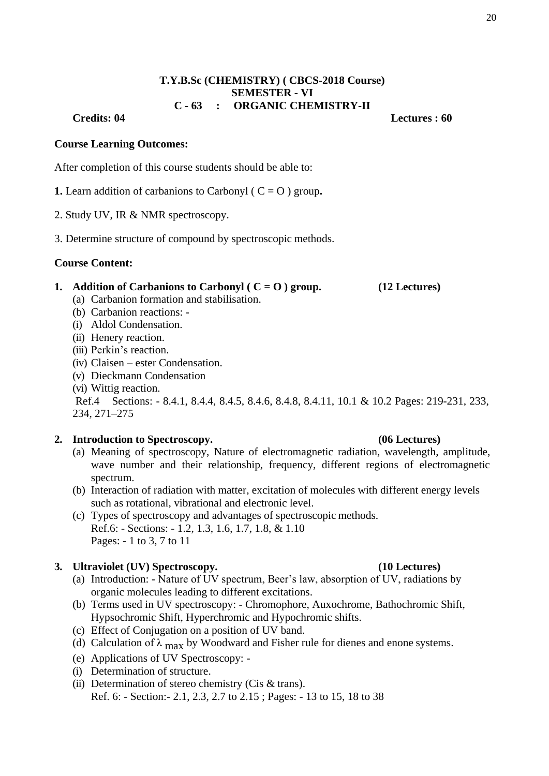# **T.Y.B.Sc (CHEMISTRY) ( CBCS-2018 Course) SEMESTER - VI C - 63 : ORGANIC CHEMISTRY-II**

**Credits: 04 Lectures : 60**

### **Course Learning Outcomes:**

After completion of this course students should be able to:

- **1.** Learn addition of carbanions to Carbonyl ( $C = O$ ) group.
- 2. Study UV, IR & NMR spectroscopy.
- 3. Determine structure of compound by spectroscopic methods.

### **Course Content:**

### **1. Addition of Carbanions to Carbonyl (** $C = O$ **) <b>group.** (12 Lectures)

- (a) Carbanion formation and stabilisation.
- (b) Carbanion reactions: -
- (i) Aldol Condensation.
- (ii) Henery reaction.
- (iii) Perkin's reaction.
- (iv) Claisen ester Condensation.
- (v) Dieckmann Condensation
- (vi) Wittig reaction.

Ref.4 Sections: - 8.4.1, 8.4.4, 8.4.5, 8.4.6, 8.4.8, 8.4.11, 10.1 & 10.2 Pages: 219-231, 233, 234, 271–275

### **2. Introduction to Spectroscopy. (06 Lectures)**

- (a) Meaning of spectroscopy, Nature of electromagnetic radiation, wavelength, amplitude, wave number and their relationship, frequency, different regions of electromagnetic spectrum.
- (b) Interaction of radiation with matter, excitation of molecules with different energy levels such as rotational, vibrational and electronic level.
- (c) Types of spectroscopy and advantages of spectroscopic methods. Ref.6: - Sections: - 1.2, 1.3, 1.6, 1.7, 1.8, & 1.10 Pages: - 1 to 3, 7 to 11

### **3. Ultraviolet (UV) Spectroscopy. (10 Lectures)**

- (a) Introduction: Nature of UV spectrum, Beer's law, absorption of UV, radiations by organic molecules leading to different excitations.
- (b) Terms used in UV spectroscopy: Chromophore, Auxochrome, Bathochromic Shift, Hypsochromic Shift, Hyperchromic and Hypochromic shifts.
- (c) Effect of Conjugation on a position of UV band.
- (d) Calculation of  $\lambda_{\text{max}}$  by Woodward and Fisher rule for dienes and enone systems.
- (e) Applications of UV Spectroscopy: -
- (i) Determination of structure.
- (ii) Determination of stereo chemistry (Cis & trans). Ref. 6: - Section:- 2.1, 2.3, 2.7 to 2.15 ; Pages: - 13 to 15, 18 to 38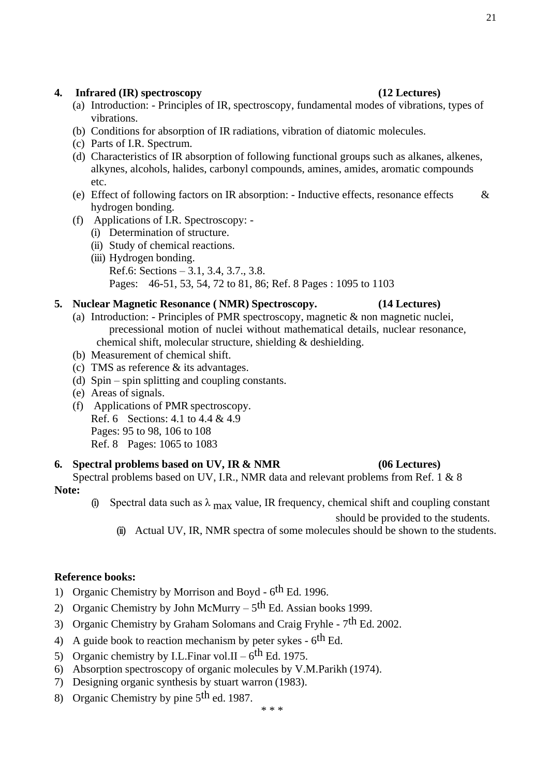## 21

## **4. Infrared (IR) spectroscopy (12 Lectures)**

- (a) Introduction: Principles of IR, spectroscopy, fundamental modes of vibrations, types of vibrations.
- (b) Conditions for absorption of IR radiations, vibration of diatomic molecules.
- (c) Parts of I.R. Spectrum.
- (d) Characteristics of IR absorption of following functional groups such as alkanes, alkenes, alkynes, alcohols, halides, carbonyl compounds, amines, amides, aromatic compounds etc.
- (e) Effect of following factors on IR absorption: Inductive effects, resonance effects  $\&$ hydrogen bonding.
- (f) Applications of I.R. Spectroscopy:
	- (i) Determination of structure.
	- (ii) Study of chemical reactions.
	- (iii) Hydrogen bonding.
		- Ref.6: Sections 3.1, 3.4, 3.7., 3.8.

Pages: 46-51, 53, 54, 72 to 81, 86; Ref. 8 Pages : 1095 to 1103

## **5. Nuclear Magnetic Resonance ( NMR) Spectroscopy. (14 Lectures)**

- (a) Introduction: Principles of PMR spectroscopy, magnetic & non magnetic nuclei, precessional motion of nuclei without mathematical details, nuclear resonance, chemical shift, molecular structure, shielding & deshielding.
- (b) Measurement of chemical shift.
- (c) TMS as reference & its advantages.
- (d) Spin spin splitting and coupling constants.
- (e) Areas of signals.
- (f) Applications of PMR spectroscopy. Ref. 6 Sections: 4.1 to 4.4 & 4.9 Pages: 95 to 98, 106 to 108 Ref. 8 Pages: 1065 to 1083

### **6. Spectral problems based on UV, IR & NMR (06 Lectures)**

## Spectral problems based on UV, I.R., NMR data and relevant problems from Ref. 1 & 8 **Note:**

(i) Spectral data such as  $\lambda_{\text{max}}$  value, IR frequency, chemical shift and coupling constant

should be provided to the students.

(ii) Actual UV, IR, NMR spectra of some molecules should be shown to the students.

### **Reference books:**

- 1) Organic Chemistry by Morrison and Boyd 6<sup>th</sup> Ed. 1996.
- 2) Organic Chemistry by John McMurry  $5<sup>th</sup>$  Ed. Assian books 1999.
- 3) Organic Chemistry by Graham Solomans and Craig Fryhle 7<sup>th</sup> Ed. 2002.
- 4) A guide book to reaction mechanism by peter sykes  $6$ <sup>th</sup> Ed.
- 5) Organic chemistry by I.L.Finar vol.II  $6^{\text{th}}$  Ed. 1975.
- 6) Absorption spectroscopy of organic molecules by V.M.Parikh (1974).
- 7) Designing organic synthesis by stuart warron (1983).
- 8) Organic Chemistry by pine 5<sup>th</sup> ed. 1987.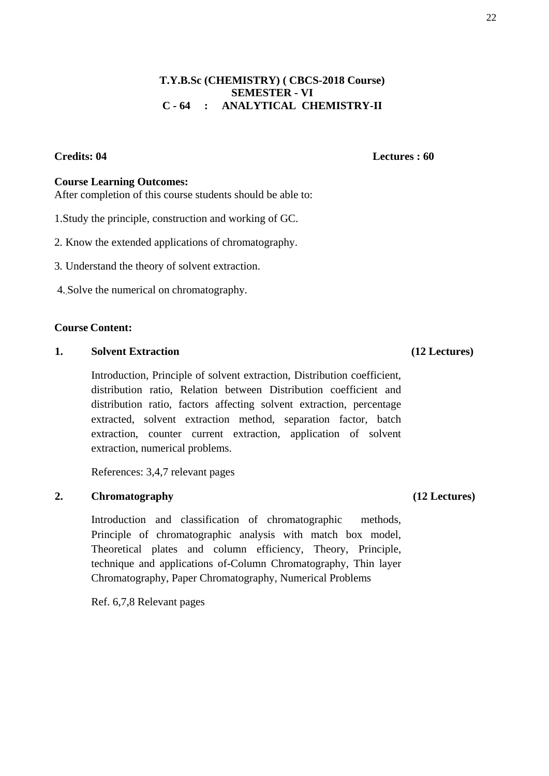# **T.Y.B.Sc (CHEMISTRY) ( CBCS-2018 Course) SEMESTER - VI C - 64 : ANALYTICAL CHEMISTRY-II**

# **Course Learning Outcomes:**

After completion of this course students should be able to:

- 1.Study the principle, construction and working of GC.
- 2. Know the extended applications of chromatography.
- 3. Understand the theory of solvent extraction.
- 4..Solve the numerical on chromatography.

## **Course Content:**

## **1. Solvent Extraction (12 Lectures)**

Introduction, Principle of solvent extraction, Distribution coefficient, distribution ratio, Relation between Distribution coefficient and distribution ratio, factors affecting solvent extraction, percentage extracted, solvent extraction method, separation factor, batch extraction, counter current extraction, application of solvent extraction, numerical problems.

References: 3,4,7 relevant pages

# **2. Chromatography (12 Lectures)**

Introduction and classification of chromatographic methods, Principle of chromatographic analysis with match box model, Theoretical plates and column efficiency, Theory, Principle, technique and applications of-Column Chromatography, Thin layer Chromatography, Paper Chromatography, Numerical Problems

Ref. 6,7,8 Relevant pages

**Credits: 04 Lectures : 60**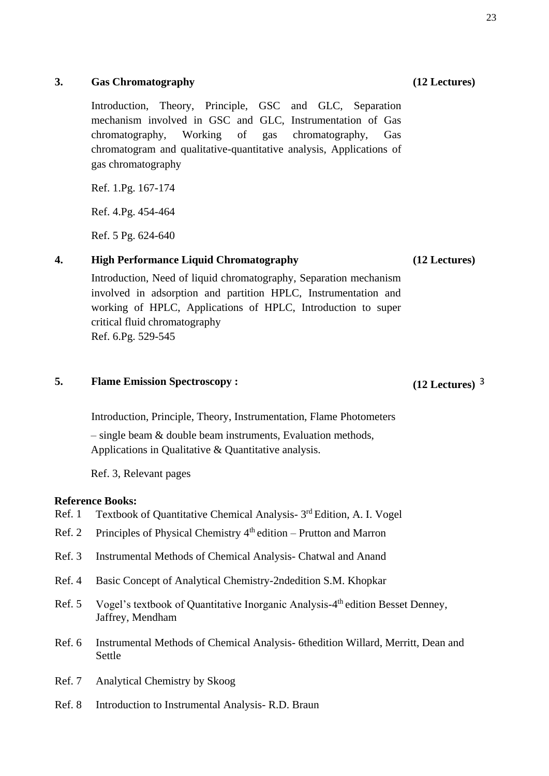# **3. Gas Chromatography (12 Lectures)**

Introduction, Theory, Principle, GSC and GLC, Separation mechanism involved in GSC and GLC, Instrumentation of Gas chromatography, Working of gas chromatography, Gas chromatogram and qualitative-quantitative analysis, Applications of gas chromatography

Ref. 1.Pg. 167-174

Ref. 4.Pg. 454-464

Ref. 5 Pg. 624-640

# **4. High Performance Liquid Chromatography (12 Lectures)**

Introduction, Need of liquid chromatography, Separation mechanism involved in adsorption and partition HPLC, Instrumentation and working of HPLC, Applications of HPLC, Introduction to super critical fluid chromatography Ref. 6.Pg. 529-545

# **5. Flame Emission Spectroscopy : (12 Lectures)** 3

Introduction, Principle, Theory, Instrumentation, Flame Photometers

– single beam & double beam instruments, Evaluation methods, Applications in Qualitative & Quantitative analysis.

Ref. 3, Relevant pages

# **Reference Books:**

- Ref. 1 Textbook of Quantitative Chemical Analysis- 3<sup>rd</sup> Edition, A. I. Vogel
- Ref. 2 Principles of Physical Chemistry  $4<sup>th</sup>$  edition Prutton and Marron
- Ref. 3 Instrumental Methods of Chemical Analysis- Chatwal and Anand
- Ref. 4 Basic Concept of Analytical Chemistry-2ndedition S.M. Khopkar
- Ref. 5 Vogel's textbook of Quantitative Inorganic Analysis-4<sup>th</sup> edition Besset Denney, Jaffrey, Mendham
- Ref. 6 Instrumental Methods of Chemical Analysis- 6thedition Willard, Merritt, Dean and Settle
- Ref. 7 Analytical Chemistry by Skoog
- Ref. 8 Introduction to Instrumental Analysis- R.D. Braun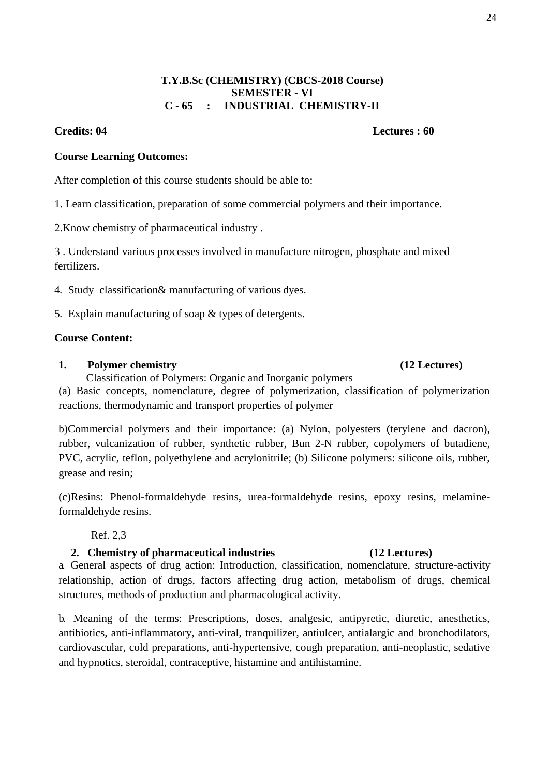$24$ 

# **T.Y.B.Sc (CHEMISTRY) (CBCS-2018 Course) SEMESTER - VI C - 65 : INDUSTRIAL CHEMISTRY-II**

# **Credits: 04 Lectures : 60**

# **Course Learning Outcomes:**

After completion of this course students should be able to:

1. Learn classification, preparation of some commercial polymers and their importance.

2.Know chemistry of pharmaceutical industry .

3 . Understand various processes involved in manufacture nitrogen, phosphate and mixed fertilizers.

- 4. Study classification& manufacturing of various dyes.
- 5. Explain manufacturing of soap & types of detergents.

# **Course Content:**

# **1. Polymer chemistry (12 Lectures)**

Classification of Polymers: Organic and Inorganic polymers (a) Basic concepts, nomenclature, degree of polymerization, classification of polymerization

reactions, thermodynamic and transport properties of polymer

b)Commercial polymers and their importance: (a) Nylon, polyesters (terylene and dacron), rubber, vulcanization of rubber, synthetic rubber, Bun 2-N rubber, copolymers of butadiene, PVC, acrylic, teflon, polyethylene and acrylonitrile; (b) Silicone polymers: silicone oils, rubber, grease and resin;

(c)Resins: Phenol-formaldehyde resins, urea-formaldehyde resins, epoxy resins, melamineformaldehyde resins.

# Ref. 2,3

# **2. Chemistry of pharmaceutical industries (12 Lectures)**

a. General aspects of drug action: Introduction, classification, nomenclature, structure-activity relationship, action of drugs, factors affecting drug action, metabolism of drugs, chemical structures, methods of production and pharmacological activity.

b. Meaning of the terms: Prescriptions, doses, analgesic, antipyretic, diuretic, anesthetics, antibiotics, anti-inflammatory, anti-viral, tranquilizer, antiulcer, antialargic and bronchodilators, cardiovascular, cold preparations, anti-hypertensive, cough preparation, anti-neoplastic, sedative and hypnotics, steroidal, contraceptive, histamine and antihistamine.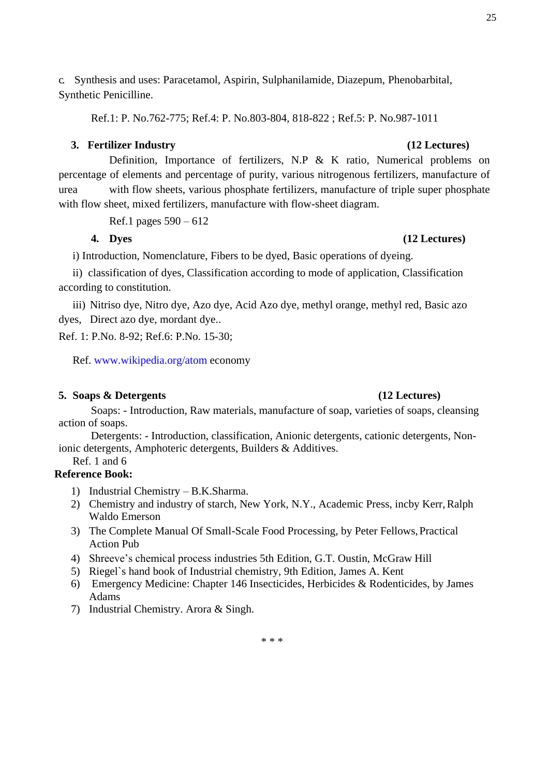c. Synthesis and uses: Paracetamol, Aspirin, Sulphanilamide, Diazepum, Phenobarbital, Synthetic Penicilline.

Ref.1: P. No.762-775; Ref.4: P. No.803-804, 818-822 ; Ref.5: P. No.987-1011

### **3. Fertilizer Industry (12 Lectures)**

Definition, Importance of fertilizers, N.P & K ratio, Numerical problems on percentage of elements and percentage of purity, various nitrogenous fertilizers, manufacture of urea with flow sheets, various phosphate fertilizers, manufacture of triple super phosphate with flow sheet, mixed fertilizers, manufacture with flow-sheet diagram.

Ref.1 pages 590 – 612

**4. Dyes (12 Lectures)**

i) Introduction, Nomenclature, Fibers to be dyed, Basic operations of dyeing.

ii) classification of dyes, Classification according to mode of application, Classification according to constitution.

iii) Nitriso dye, Nitro dye, Azo dye, Acid Azo dye, methyl orange, methyl red, Basic azo dyes, Direct azo dye, mordant dye..

Ref. 1: P.No. 8-92; Ref.6: P.No. 15-30;

Ref. [www.wikipedia.org/atom e](http://www.wikipedia.org/atom)conomy

# **5. Soaps & Detergents (12 Lectures)**

# Soaps: - Introduction, Raw materials, manufacture of soap, varieties of soaps, cleansing action of soaps.

Detergents: - Introduction, classification, Anionic detergents, cationic detergents, Nonionic detergents, Amphoteric detergents, Builders & Additives.

Ref. 1 and 6

# **Reference Book:**

- 1) Industrial Chemistry B.K.Sharma.
- 2) Chemistry and industry of starch, New York, N.Y., Academic Press, incby Kerr,Ralph Waldo Emerson
- 3) The Complete Manual Of Small-Scale Food Processing, by Peter Fellows,Practical Action Pub
- 4) Shreeve's chemical process industries 5th Edition, G.T. Oustin, McGraw Hill
- 5) Riegel`s hand book of Industrial chemistry, 9th Edition, James A. Kent
- 6) Emergency Medicine: Chapter 146 Insecticides, Herbicides & Rodenticides, by James Adams
- 7) Industrial Chemistry. Arora & Singh.

\* \* \*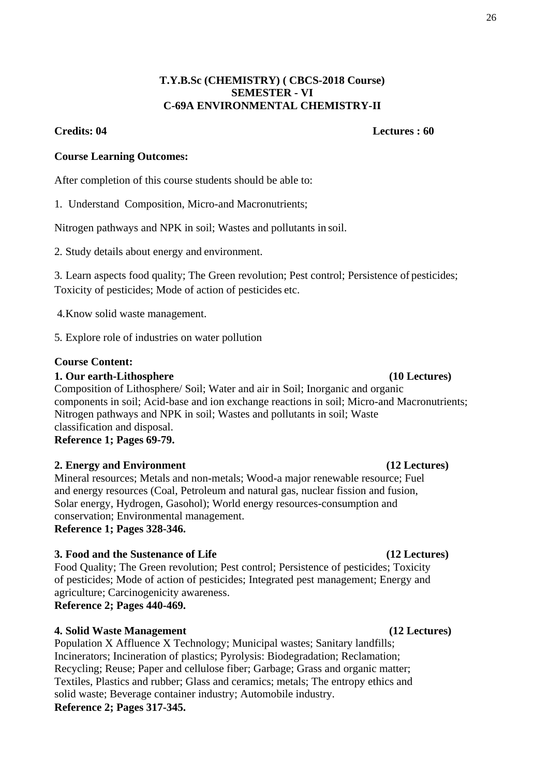# **T.Y.B.Sc (CHEMISTRY) ( CBCS-2018 Course) SEMESTER - VI C-69A ENVIRONMENTAL CHEMISTRY-II**

# **Credits: 04 Lectures : 60**

# **Course Learning Outcomes:**

After completion of this course students should be able to:

1. Understand Composition, Micro-and Macronutrients;

Nitrogen pathways and NPK in soil; Wastes and pollutants in soil.

2. Study details about energy and environment.

3. Learn aspects food quality; The Green revolution; Pest control; Persistence of pesticides; Toxicity of pesticides; Mode of action of pesticides etc.

4.Know solid waste management.

5. Explore role of industries on water pollution

# **Course Content:**

# **1. Our earth-Lithosphere (10 Lectures)**

Composition of Lithosphere/ Soil; Water and air in Soil; Inorganic and organic components in soil; Acid-base and ion exchange reactions in soil; Micro-and Macronutrients; Nitrogen pathways and NPK in soil; Wastes and pollutants in soil; Waste classification and disposal. **Reference 1; Pages 69-79.**

# **2. Energy and Environment (12 Lectures)**

Mineral resources; Metals and non-metals; Wood-a major renewable resource; Fuel and energy resources (Coal, Petroleum and natural gas, nuclear fission and fusion, Solar energy, Hydrogen, Gasohol); World energy resources-consumption and conservation; Environmental management. **Reference 1; Pages 328-346.**

# **3. Food and the Sustenance of Life (12 Lectures)**

Food Quality; The Green revolution; Pest control; Persistence of pesticides; Toxicity of pesticides; Mode of action of pesticides; Integrated pest management; Energy and agriculture; Carcinogenicity awareness.

**Reference 2; Pages 440-469.**

# **4. Solid Waste Management (12 Lectures)**

Population X Affluence X Technology; Municipal wastes; Sanitary landfills; Incinerators; Incineration of plastics; Pyrolysis: Biodegradation; Reclamation; Recycling; Reuse; Paper and cellulose fiber; Garbage; Grass and organic matter; Textiles, Plastics and rubber; Glass and ceramics; metals; The entropy ethics and solid waste; Beverage container industry; Automobile industry. **Reference 2; Pages 317-345.**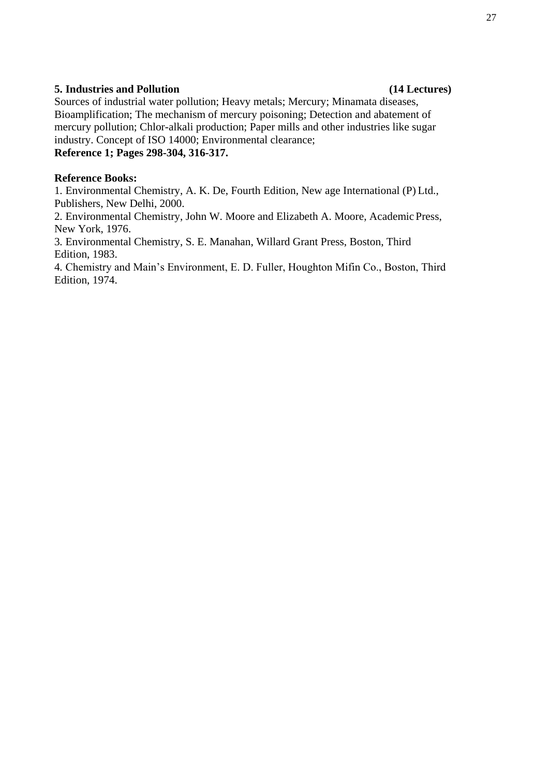# **5. Industries and Pollution (14 Lectures)**

# Sources of industrial water pollution; Heavy metals; Mercury; Minamata diseases, Bioamplification; The mechanism of mercury poisoning; Detection and abatement of mercury pollution; Chlor-alkali production; Paper mills and other industries like sugar industry. Concept of ISO 14000; Environmental clearance;

# **Reference 1; Pages 298-304, 316-317.**

## **Reference Books:**

1. Environmental Chemistry, A. K. De, Fourth Edition, New age International (P) Ltd., Publishers, New Delhi, 2000.

2. Environmental Chemistry, John W. Moore and Elizabeth A. Moore, Academic Press, New York, 1976.

3. Environmental Chemistry, S. E. Manahan, Willard Grant Press, Boston, Third Edition, 1983.

4. Chemistry and Main's Environment, E. D. Fuller, Houghton Mifin Co., Boston, Third Edition, 1974.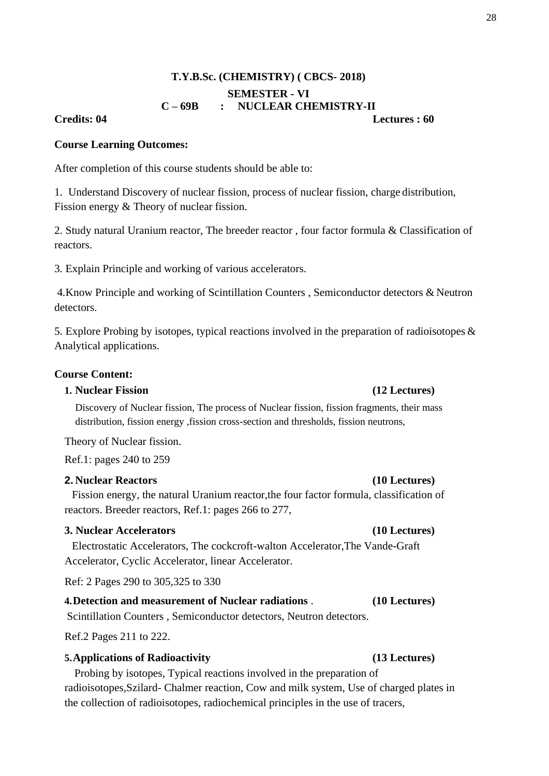# **T.Y.B.Sc. (CHEMISTRY) ( CBCS- 2018) SEMESTER - VI C – 69B : NUCLEAR CHEMISTRY-II Credits: 04 Lectures : 60**

### **Course Learning Outcomes:**

After completion of this course students should be able to:

1. Understand Discovery of nuclear fission, process of nuclear fission, charge distribution, Fission energy & Theory of nuclear fission.

2. Study natural Uranium reactor, The breeder reactor , four factor formula & Classification of reactors.

3. Explain Principle and working of various accelerators.

4.Know Principle and working of Scintillation Counters , Semiconductor detectors & Neutron detectors.

5. Explore Probing by isotopes, typical reactions involved in the preparation of radioisotopes  $\&$ Analytical applications.

### **Course Content:**

## **1. Nuclear Fission (12 Lectures)**

Discovery of Nuclear fission, The process of Nuclear fission, fission fragments, their mass distribution, fission energy ,fission cross-section and thresholds, fission neutrons,

Theory of Nuclear fission.

Ref.1: pages 240 to 259

### **2. Nuclear Reactors (10 Lectures)**

Fission energy, the natural Uranium reactor,the four factor formula, classification of reactors. Breeder reactors, Ref.1: pages 266 to 277,

## **3. Nuclear Accelerators (10 Lectures)**

Electrostatic Accelerators, The cockcroft-walton Accelerator,The Vande-Graft Accelerator, Cyclic Accelerator, linear Accelerator.

Ref: 2 Pages 290 to 305,325 to 330

# **4.Detection and measurement of Nuclear radiations** . **(10 Lectures)**

Scintillation Counters , Semiconductor detectors, Neutron detectors.

Ref.2 Pages 211 to 222.

### **5.Applications of Radioactivity (13 Lectures)**

Probing by isotopes, Typical reactions involved in the preparation of radioisotopes,Szilard- Chalmer reaction, Cow and milk system, Use of charged plates in the collection of radioisotopes, radiochemical principles in the use of tracers,

### 28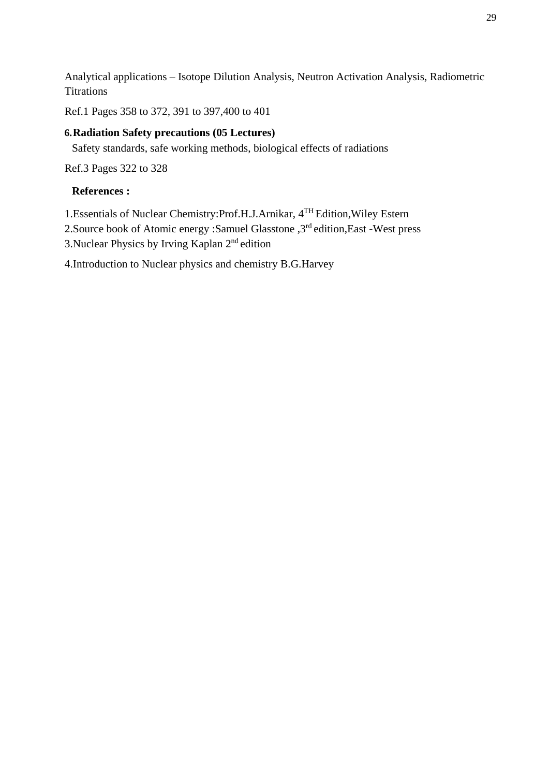Analytical applications – Isotope Dilution Analysis, Neutron Activation Analysis, Radiometric **Titrations** 

Ref.1 Pages 358 to 372, 391 to 397,400 to 401

# **6.Radiation Safety precautions (05 Lectures)**

Safety standards, safe working methods, biological effects of radiations

Ref.3 Pages 322 to 328

# **References :**

1.Essentials of Nuclear Chemistry:Prof.H.J.Arnikar, 4TH Edition,Wiley Estern

2.Source book of Atomic energy :Samuel Glasstone ,3rd edition,East -West press

3.Nuclear Physics by Irving Kaplan 2nd edition

4.Introduction to Nuclear physics and chemistry B.G.Harvey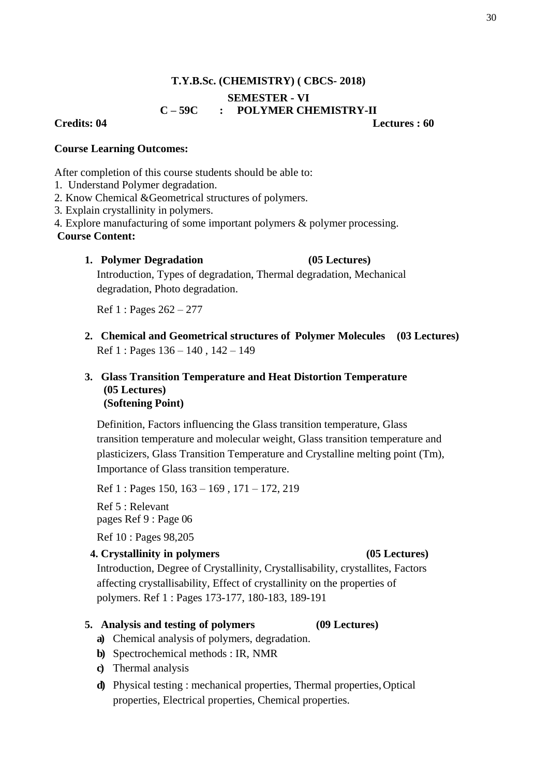# **T.Y.B.Sc. (CHEMISTRY) ( CBCS- 2018) SEMESTER - VI C – 59C : POLYMER CHEMISTRY-II Credits: 04 Lectures : 60**

# **Course Learning Outcomes:**

After completion of this course students should be able to:

- 1. Understand Polymer degradation.
- 2. Know Chemical &Geometrical structures of polymers.
- 3. Explain crystallinity in polymers.
- 4. Explore manufacturing of some important polymers & polymer processing.

# **Course Content:**

# **1. Polymer Degradation (05 Lectures)**

Introduction, Types of degradation, Thermal degradation, Mechanical degradation, Photo degradation.

Ref 1 : Pages 262 – 277

**2. Chemical and Geometrical structures of Polymer Molecules (03 Lectures)** Ref 1 : Pages 136 – 140 , 142 – 149

# **3. Glass Transition Temperature and Heat Distortion Temperature (05 Lectures) (Softening Point)**

Definition, Factors influencing the Glass transition temperature, Glass transition temperature and molecular weight, Glass transition temperature and plasticizers, Glass Transition Temperature and Crystalline melting point (Tm), Importance of Glass transition temperature.

Ref 1 : Pages 150, 163 – 169 , 171 – 172, 219

Ref 5 : Relevant pages Ref 9 : Page 06

Ref 10 : Pages 98,205

# **4. Crystallinity in polymers (05 Lectures)**

Introduction, Degree of Crystallinity, Crystallisability, crystallites, Factors affecting crystallisability, Effect of crystallinity on the properties of polymers. Ref 1 : Pages 173-177, 180-183, 189-191

# **5. Analysis and testing of polymers (09 Lectures)**

- **a)** Chemical analysis of polymers, degradation.
- **b)** Spectrochemical methods : IR, NMR
- **c)** Thermal analysis
- **d)** Physical testing : mechanical properties, Thermal properties,Optical properties, Electrical properties, Chemical properties.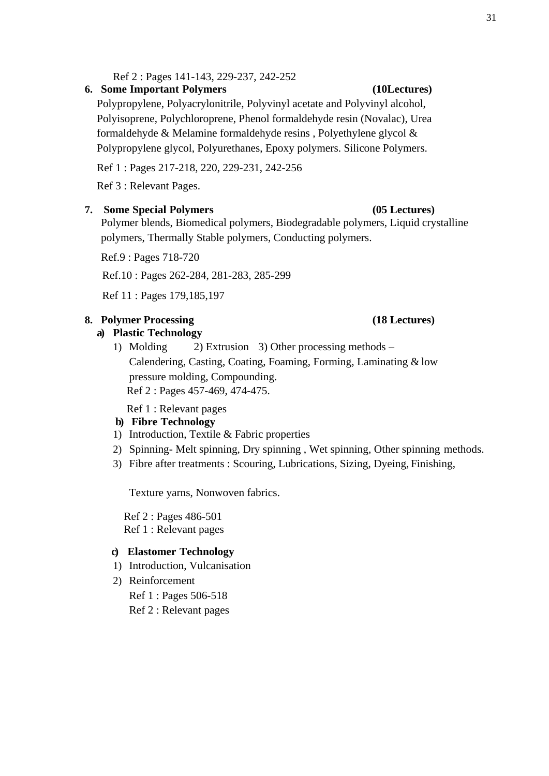Ref 2 : Pages 141-143, 229-237, 242-252

## **6. Some Important Polymers (10Lectures)**

Polypropylene, Polyacrylonitrile, Polyvinyl acetate and Polyvinyl alcohol, Polyisoprene, Polychloroprene, Phenol formaldehyde resin (Novalac), Urea formaldehyde & Melamine formaldehyde resins , Polyethylene glycol & Polypropylene glycol, Polyurethanes, Epoxy polymers. Silicone Polymers.

Ref 1 : Pages 217-218, 220, 229-231, 242-256

Ref 3 : Relevant Pages.

### **7. Some Special Polymers (05 Lectures)**

Polymer blends, Biomedical polymers, Biodegradable polymers, Liquid crystalline polymers, Thermally Stable polymers, Conducting polymers.

Ref.9 : Pages 718-720

Ref.10 : Pages 262-284, 281-283, 285-299

Ref 11 : Pages 179,185,197

# **8. Polymer Processing (18 Lectures)**

### **a) Plastic Technology**

1) Molding 2) Extrusion 3) Other processing methods – Calendering, Casting, Coating, Foaming, Forming, Laminating & low pressure molding, Compounding. Ref 2 : Pages 457-469, 474-475.

Ref 1 : Relevant pages

# **b) Fibre Technology**

- 1) Introduction, Textile & Fabric properties
- 2) Spinning- Melt spinning, Dry spinning , Wet spinning, Other spinning methods.
- 3) Fibre after treatments : Scouring, Lubrications, Sizing, Dyeing, Finishing,

Texture yarns, Nonwoven fabrics.

Ref 2 : Pages 486-501 Ref 1 : Relevant pages

### **c) Elastomer Technology**

- 1) Introduction, Vulcanisation
- 2) Reinforcement

Ref 1 : Pages 506-518

Ref 2 : Relevant pages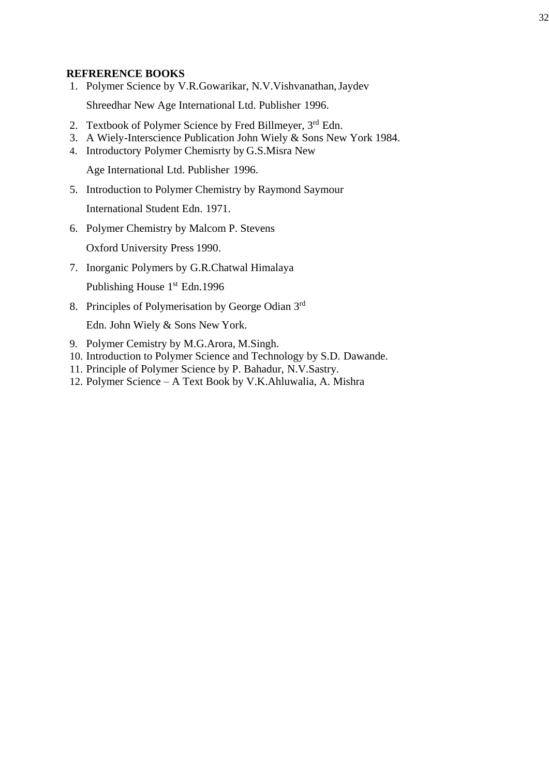# **REFRERENCE BOOKS**

1. Polymer Science by V.R.Gowarikar, N.V.Vishvanathan,Jaydev

Shreedhar New Age International Ltd. Publisher 1996.

- 2. Textbook of Polymer Science by Fred Billmeyer,  $3<sup>rd</sup>$  Edn.
- 3. A Wiely-Interscience Publication John Wiely & Sons New York 1984.
- 4. Introductory Polymer Chemisrty by G.S.Misra New

Age International Ltd. Publisher 1996.

5. Introduction to Polymer Chemistry by Raymond Saymour

International Student Edn. 1971.

6. Polymer Chemistry by Malcom P. Stevens

Oxford University Press 1990.

7. Inorganic Polymers by G.R.Chatwal Himalaya

Publishing House 1<sup>st</sup> Edn.1996

8. Principles of Polymerisation by George Odian 3rd

Edn. John Wiely & Sons New York.

- 9. Polymer Cemistry by M.G.Arora, M.Singh.
- 10. Introduction to Polymer Science and Technology by S.D. Dawande.
- 11. Principle of Polymer Science by P. Bahadur, N.V.Sastry.
- 12. Polymer Science A Text Book by V.K.Ahluwalia, A. Mishra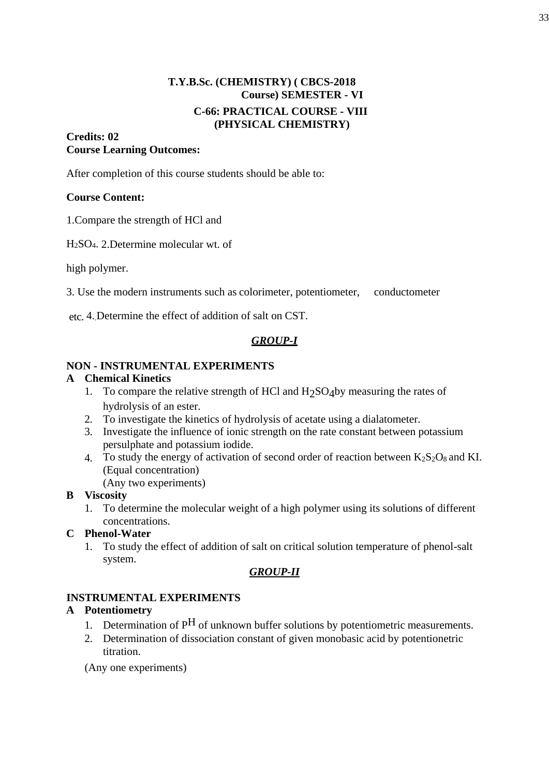# **T.Y.B.Sc. (CHEMISTRY) ( CBCS-2018 Course) SEMESTER - VI C-66: PRACTICAL COURSE - VIII (PHYSICAL CHEMISTRY)**

# **Credits: 02 Course Learning Outcomes:**

After completion of this course students should be able to:

# **Course Content:**

1.Compare the strength of HCl and

H2SO4. 2.Determine molecular wt. of

high polymer.

3. Use the modern instruments such as colorimeter, potentiometer, conductometer

etc. 4..Determine the effect of addition of salt on CST.

# *GROUP-I*

# **NON - INSTRUMENTAL EXPERIMENTS**

# **A Chemical Kinetics**

- 1. To compare the relative strength of HCl and  $H_2SO_4$  by measuring the rates of hydrolysis of an ester.
- 2. To investigate the kinetics of hydrolysis of acetate using a dialatometer.
- 3. Investigate the influence of ionic strength on the rate constant between potassium persulphate and potassium iodide.
- 4. To study the energy of activation of second order of reaction between  $K_2S_2O_8$  and KI. (Equal concentration)
	- (Any two experiments)

# **B Viscosity**

- 1. To determine the molecular weight of a high polymer using its solutions of different concentrations.
- **C Phenol-Water**
	- 1. To study the effect of addition of salt on critical solution temperature of phenol-salt system.

# *GROUP-II*

# **INSTRUMENTAL EXPERIMENTS**

# **A Potentiometry**

- 1. Determination of  $P^H$  of unknown buffer solutions by potentiometric measurements.
- 2. Determination of dissociation constant of given monobasic acid by potentionetric titration.

(Any one experiments)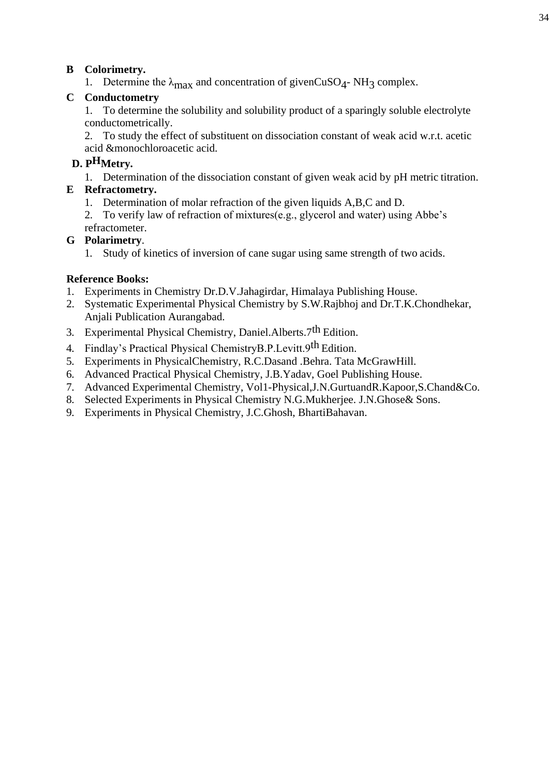# **B Colorimetry.**

1. Determine the  $\lambda_{\text{max}}$  and concentration of givenCuSO<sub>4</sub>- NH<sub>3</sub> complex.

# **C Conductometry**

1. To determine the solubility and solubility product of a sparingly soluble electrolyte conductometrically.

2. To study the effect of substituent on dissociation constant of weak acid w.r.t. acetic acid &monochloroacetic acid.

# **D. PHMetry.**

1. Determination of the dissociation constant of given weak acid by pH metric titration.

# **E Refractometry.**

- 1. Determination of molar refraction of the given liquids A,B,C and D.
- 2. To verify law of refraction of mixtures(e.g., glycerol and water) using Abbe's refractometer.

# **G Polarimetry**.

1. Study of kinetics of inversion of cane sugar using same strength of two acids.

# **Reference Books:**

- 1. Experiments in Chemistry Dr.D.V.Jahagirdar, Himalaya Publishing House.
- 2. Systematic Experimental Physical Chemistry by S.W.Rajbhoj and Dr.T.K.Chondhekar, Anjali Publication Aurangabad.
- 3. Experimental Physical Chemistry, Daniel.Alberts.7th Edition.
- 4. Findlay's Practical Physical ChemistryB.P.Levitt.9th Edition.
- 5. Experiments in PhysicalChemistry, R.C.Dasand .Behra. Tata McGrawHill.
- 6. Advanced Practical Physical Chemistry, J.B.Yadav, Goel Publishing House.
- 7. Advanced Experimental Chemistry, Vol1-Physical,J.N.GurtuandR.Kapoor,S.Chand&Co.
- 8. Selected Experiments in Physical Chemistry N.G.Mukherjee. J.N.Ghose& Sons.
- 9. Experiments in Physical Chemistry, J.C.Ghosh, BhartiBahavan.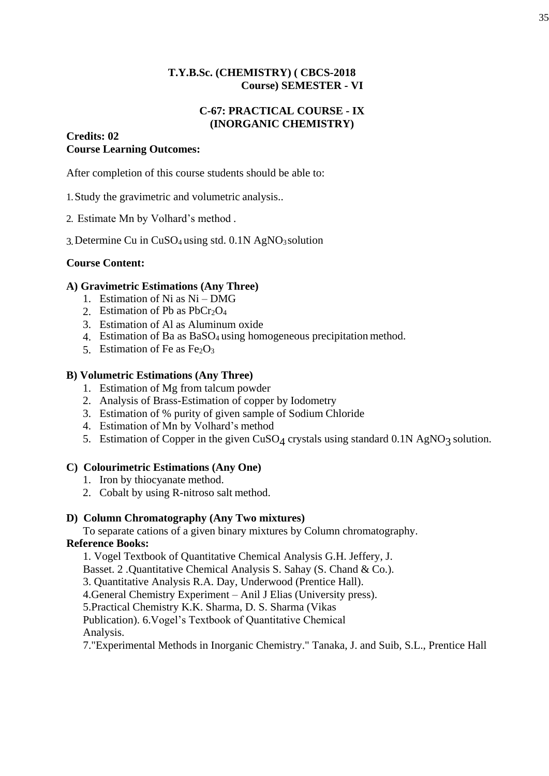# **T.Y.B.Sc. (CHEMISTRY) ( CBCS-2018 Course) SEMESTER - VI**

# **C-67: PRACTICAL COURSE - IX (INORGANIC CHEMISTRY)**

# **Credits: 02 Course Learning Outcomes:**

After completion of this course students should be able to:

- 1.Study the gravimetric and volumetric analysis..
- 2. Estimate Mn by Volhard's method .
- 3.Determine Cu in CuSO4 using std. 0.1N AgNO3solution

# **Course Content:**

# **A) Gravimetric Estimations (Any Three)**

- 1. Estimation of Ni as Ni DMG
- 2. Estimation of Pb as  $PhCr_2O_4$
- 3. Estimation of Al as Aluminum oxide
- 4. Estimation of Ba as BaSO4 using homogeneous precipitation method.
- 5. Estimation of Fe as  $Fe<sub>2</sub>O<sub>3</sub>$

# **B) Volumetric Estimations (Any Three)**

- 1. Estimation of Mg from talcum powder
- 2. Analysis of Brass-Estimation of copper by Iodometry
- 3. Estimation of % purity of given sample of Sodium Chloride
- 4. Estimation of Mn by Volhard's method
- 5. Estimation of Copper in the given  $CuSO<sub>4</sub>$  crystals using standard 0.1N AgNO<sub>3</sub> solution.

# **C) Colourimetric Estimations (Any One)**

- 1. Iron by thiocyanate method.
- 2. Cobalt by using R-nitroso salt method.

# **D) Column Chromatography (Any Two mixtures)**

To separate cations of a given binary mixtures by Column chromatography.

# **Reference Books:**

1. Vogel Textbook of Quantitative Chemical Analysis G.H. Jeffery, J.

Basset. 2 .Quantitative Chemical Analysis S. Sahay (S. Chand & Co.).

3. Quantitative Analysis R.A. Day, Underwood (Prentice Hall).

4.General Chemistry Experiment – Anil J Elias (University press).

5.Practical Chemistry K.K. Sharma, D. S. Sharma (Vikas

Publication). 6.Vogel's Textbook of Quantitative Chemical Analysis.

7."Experimental Methods in Inorganic Chemistry." Tanaka, J. and Suib, S.L., Prentice Hall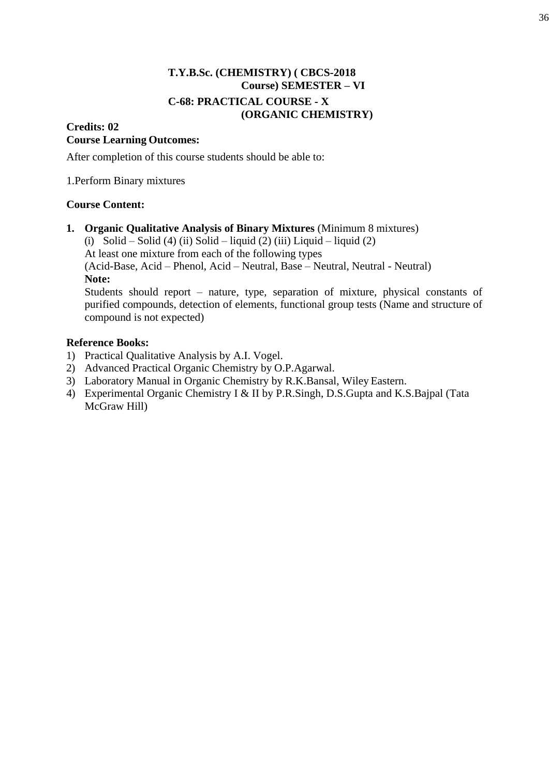# **T.Y.B.Sc. (CHEMISTRY) ( CBCS-2018 Course) SEMESTER – VI C-68: PRACTICAL COURSE - X (ORGANIC CHEMISTRY)**

# **Credits: 02 Course Learning Outcomes:**

After completion of this course students should be able to:

1.Perform Binary mixtures

# **Course Content:**

**1. Organic Qualitative Analysis of Binary Mixtures** (Minimum 8 mixtures)

(i) Solid – Solid (4) (ii) Solid – liquid (2) (iii) Liquid – liquid (2)

At least one mixture from each of the following types

(Acid-Base, Acid – Phenol, Acid – Neutral, Base – Neutral, Neutral - Neutral) **Note:**

Students should report – nature, type, separation of mixture, physical constants of purified compounds, detection of elements, functional group tests (Name and structure of compound is not expected)

# **Reference Books:**

- 1) Practical Qualitative Analysis by A.I. Vogel.
- 2) Advanced Practical Organic Chemistry by O.P.Agarwal.
- 3) Laboratory Manual in Organic Chemistry by R.K.Bansal, Wiley Eastern.
- 4) Experimental Organic Chemistry I & II by P.R.Singh, D.S.Gupta and K.S.Bajpal (Tata McGraw Hill)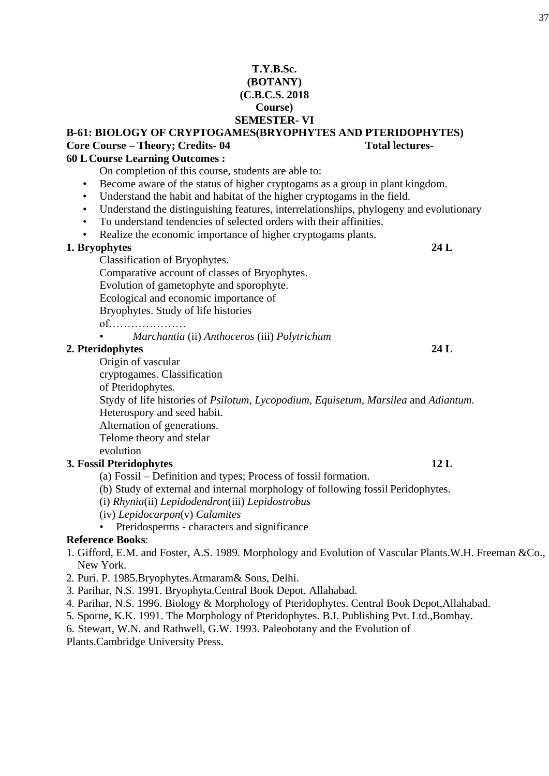## **T.Y.B.Sc. (BOTANY) (C.B.C.S. 2018 Course) SEMESTER- VI**

# **B-61: BIOLOGY OF CRYPTOGAMES(BRYOPHYTES AND PTERIDOPHYTES) Core Course – Theory; Credits- 04 Total lectures-**

# **60 L Course Learning Outcomes :**

On completion of this course, students are able to:

- Become aware of the status of higher cryptogams as a group in plant kingdom.
- Understand the habit and habitat of the higher cryptogams in the field.
- Understand the distinguishing features, interrelationships, phylogeny and evolutionary
- To understand tendencies of selected orders with their affinities.
- Realize the economic importance of higher cryptogams plants.

## **1. Bryophytes 24 L**

Classification of Bryophytes. Comparative account of classes of Bryophytes. Evolution of gametophyte and sporophyte. Ecological and economic importance of

Bryophytes. Study of life histories

of…………………

• *Marchantia* (ii) *Anthoceros* (iii) *Polytrichum*

## **2. Pteridophytes 24 L**

Origin of vascular

cryptogames. Classification

of Pteridophytes.

Stydy of life histories of *Psilotum, Lycopodium, Equisetum, Marsilea* and *Adiantum.* Heterospory and seed habit.

Alternation of generations.

Telome theory and stelar

## evolution

## **3. Fossil Pteridophytes 12 L**

- (a) Fossil Definition and types; Process of fossil formation.
- (b) Study of external and internal morphology of following fossil Peridophytes.

(i) *Rhynia*(ii) *Lepidodendron*(iii) *Lepidostrobus*

- (iv) *Lepidocarpon*(v) *Calamites*
- Pteridosperms characters and significance

## **Reference Books**:

- 1. Gifford, E.M. and Foster, A.S. 1989. Morphology and Evolution of Vascular Plants.W.H. Freeman &Co., New York.
- 2. Puri. P. 1985.Bryophytes.Atmaram& Sons, Delhi.
- 3. Parihar, N.S. 1991. Bryophyta.Central Book Depot. Allahabad.
- 4. Parihar, N.S. 1996. Biology & Morphology of Pteridophytes. Central Book Depot,Allahabad.
- 5. Sporne, K.K. 1991. The Morphology of Pteridophytes. B.I. Publishing Pvt. Ltd.,Bombay.
- 6. Stewart, W.N. and Rathwell, G.W. 1993. Paleobotany and the Evolution of

Plants.Cambridge University Press.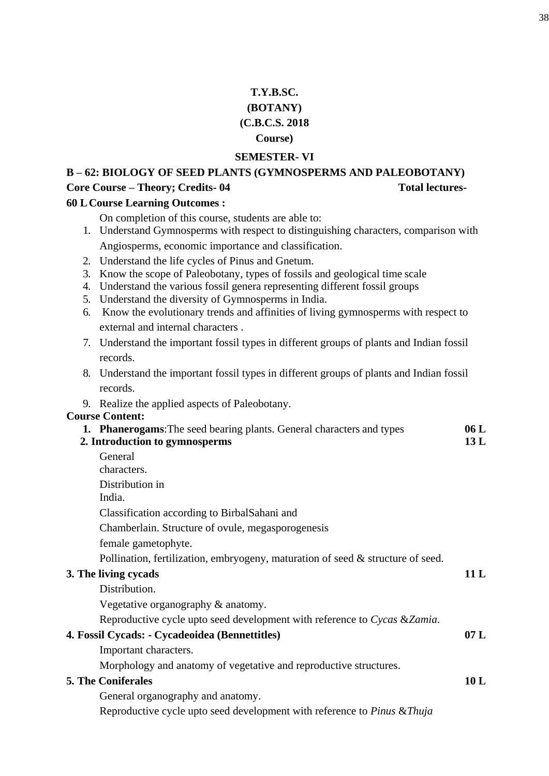# **T.Y.B.SC. (BOTANY) (C.B.C.S. 2018 Course)**

## **SEMESTER- VI**

# **B – 62: BIOLOGY OF SEED PLANTS (GYMNOSPERMS AND PALEOBOTANY) Core Course – Theory; Credits- 04 Total lectures-**

## **60 L Course Learning Outcomes :**

On completion of this course, students are able to:

- 1. Understand Gymnosperms with respect to distinguishing characters, comparison with Angiosperms, economic importance and classification.
- 2. Understand the life cycles of Pinus and Gnetum.
- 3. Know the scope of Paleobotany, types of fossils and geological time scale
- 4. Understand the various fossil genera representing different fossil groups
- 5. Understand the diversity of Gymnosperms in India.
- 6. Know the evolutionary trends and affinities of living gymnosperms with respect to external and internal characters .
- 7. Understand the important fossil types in different groups of plants and Indian fossil records.
- 8. Understand the important fossil types in different groups of plants and Indian fossil records.
- 9. Realize the applied aspects of Paleobotany.

## **Course Content:**

| <b>1. Phanerogams:</b> The seed bearing plants. General characters and types        | 06L |
|-------------------------------------------------------------------------------------|-----|
| 2. Introduction to gymnosperms                                                      | 13L |
| General                                                                             |     |
| characters.                                                                         |     |
| Distribution in                                                                     |     |
| India.                                                                              |     |
| Classification according to BirbalSahani and                                        |     |
| Chamberlain. Structure of ovule, megasporogenesis                                   |     |
| female gametophyte.                                                                 |     |
| Pollination, fertilization, embryogeny, maturation of seed & structure of seed.     |     |
| 3. The living cycads                                                                | 11L |
| Distribution.                                                                       |     |
| Vegetative organography & anatomy.                                                  |     |
| Reproductive cycle upto seed development with reference to Cycas & Zamia.           |     |
| 4. Fossil Cycads: - Cycadeoidea (Bennettitles)                                      | 07L |
| Important characters.                                                               |     |
| Morphology and anatomy of vegetative and reproductive structures.                   |     |
| <b>5. The Coniferales</b>                                                           | 10L |
| General organography and anatomy.                                                   |     |
| Reproductive cycle upto seed development with reference to <i>Pinus &amp; Thuja</i> |     |
|                                                                                     |     |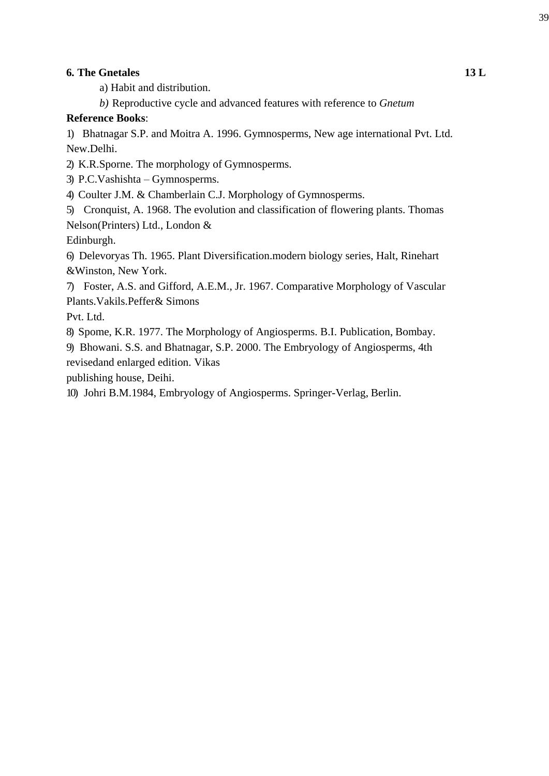## **6. The Gnetales 13 L**

a) Habit and distribution.

*b)* Reproductive cycle and advanced features with reference to *Gnetum*

## **Reference Books**:

1) Bhatnagar S.P. and Moitra A. 1996. Gymnosperms, New age international Pvt. Ltd. New.Delhi.

2) K.R.Sporne. The morphology of Gymnosperms.

3) P.C.Vashishta – Gymnosperms.

4) Coulter J.M. & Chamberlain C.J. Morphology of Gymnosperms.

5) Cronquist, A. 1968. The evolution and classification of flowering plants. Thomas Nelson(Printers) Ltd., London &

Edinburgh.

6) Delevoryas Th. 1965. Plant Diversification.modern biology series, Halt, Rinehart &Winston, New York.

7) Foster, A.S. and Gifford, A.E.M., Jr. 1967. Comparative Morphology of Vascular Plants.Vakils.Peffer& Simons

Pvt. Ltd.

8) Spome, K.R. 1977. The Morphology of Angiosperms. B.I. Publication, Bombay.

9) Bhowani. S.S. and Bhatnagar, S.P. 2000. The Embryology of Angiosperms, 4th revisedand enlarged edition. Vikas

publishing house, Deihi.

10) Johri B.M.1984, Embryology of Angiosperms. Springer-Verlag, Berlin.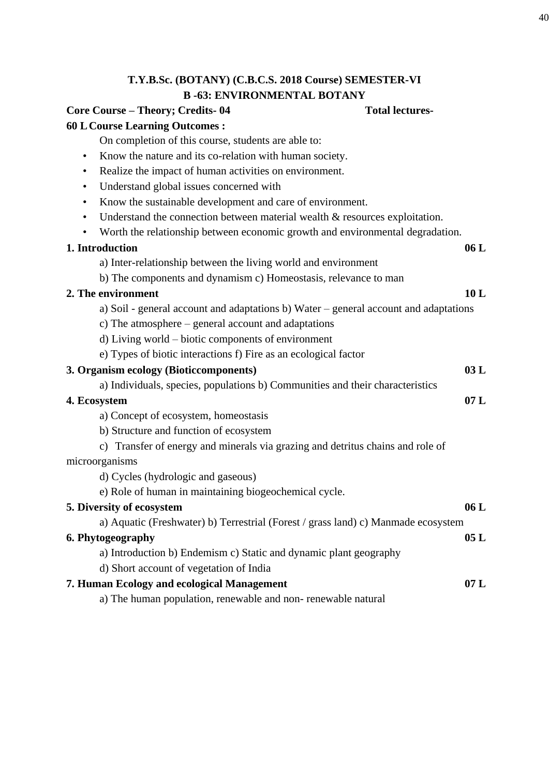# **T.Y.B.Sc. (BOTANY) (C.B.C.S. 2018 Course) SEMESTER-VI B -63: ENVIRONMENTAL BOTANY**

# **Core Course – Theory; Credits- 04 Total lectures-**

## **60 L Course Learning Outcomes :**

On completion of this course, students are able to:

- Know the nature and its co-relation with human society.
- Realize the impact of human activities on environment.
- Understand global issues concerned with
- Know the sustainable development and care of environment.
- Understand the connection between material wealth & resources exploitation.
- Worth the relationship between economic growth and environmental degradation.

## **1. Introduction 06 L**

- a) Inter-relationship between the living world and environment
- b) The components and dynamism c) Homeostasis, relevance to man

## **2. The environment 10 L**

- a) Soil general account and adaptations b) Water general account and adaptations
- c) The atmosphere general account and adaptations
- d) Living world biotic components of environment
- e) Types of biotic interactions f) Fire as an ecological factor

## **3. Organism ecology (Bioticcomponents) 03 L**

a) Individuals, species, populations b) Communities and their characteristics

## **4. Ecosystem 07 L**

a) Concept of ecosystem, homeostasis

- b) Structure and function of ecosystem
- c) Transfer of energy and minerals via grazing and detritus chains and role of microorganisms

d) Cycles (hydrologic and gaseous)

e) Role of human in maintaining biogeochemical cycle.

| 5. Diversity of ecosystem                                                         | 06L |
|-----------------------------------------------------------------------------------|-----|
| a) Aquatic (Freshwater) b) Terrestrial (Forest / grass land) c) Manmade ecosystem |     |
| 6. Phytogeography                                                                 | 05L |
| a) Introduction b) Endemism c) Static and dynamic plant geography                 |     |
| d) Short account of vegetation of India                                           |     |
| 7. Human Ecology and ecological Management                                        | 07L |
| a) The human population, renewable and non-renewable natural                      |     |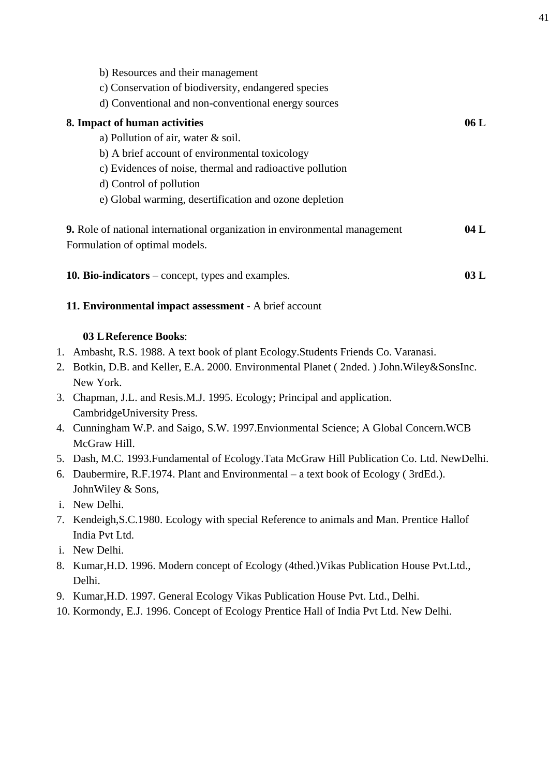| b) Resources and their management<br>c) Conservation of biodiversity, endangered species<br>d) Conventional and non-conventional energy sources |      |
|-------------------------------------------------------------------------------------------------------------------------------------------------|------|
| 8. Impact of human activities                                                                                                                   | 06 L |
| a) Pollution of air, water $\&$ soil.                                                                                                           |      |
| b) A brief account of environmental toxicology                                                                                                  |      |
| c) Evidences of noise, thermal and radioactive pollution                                                                                        |      |
| d) Control of pollution                                                                                                                         |      |
| e) Global warming, desertification and ozone depletion                                                                                          |      |
| 9. Role of national international organization in environmental management<br>Formulation of optimal models.                                    | 04 L |
| <b>10. Bio-indicators</b> – concept, types and examples.                                                                                        | 03 L |

# **11. Environmental impact assessment** - A brief account

## **03 L Reference Books**:

- 1. Ambasht, R.S. 1988. A text book of plant Ecology.Students Friends Co. Varanasi.
- 2. Botkin, D.B. and Keller, E.A. 2000. Environmental Planet ( 2nded. ) John.Wiley&SonsInc. New York.
- 3. Chapman, J.L. and Resis.M.J. 1995. Ecology; Principal and application. CambridgeUniversity Press.
- 4. Cunningham W.P. and Saigo, S.W. 1997.Envionmental Science; A Global Concern.WCB McGraw Hill.
- 5. Dash, M.C. 1993.Fundamental of Ecology.Tata McGraw Hill Publication Co. Ltd. NewDelhi.
- 6. Daubermire, R.F.1974. Plant and Environmental a text book of Ecology ( 3rdEd.). JohnWiley & Sons,
- i. New Delhi.
- 7. Kendeigh,S.C.1980. Ecology with special Reference to animals and Man. Prentice Hallof India Pvt Ltd.
- i. New Delhi.
- 8. Kumar,H.D. 1996. Modern concept of Ecology (4thed.)Vikas Publication House Pvt.Ltd., Delhi.
- 9. Kumar,H.D. 1997. General Ecology Vikas Publication House Pvt. Ltd., Delhi.
- 10. Kormondy, E.J. 1996. Concept of Ecology Prentice Hall of India Pvt Ltd. New Delhi.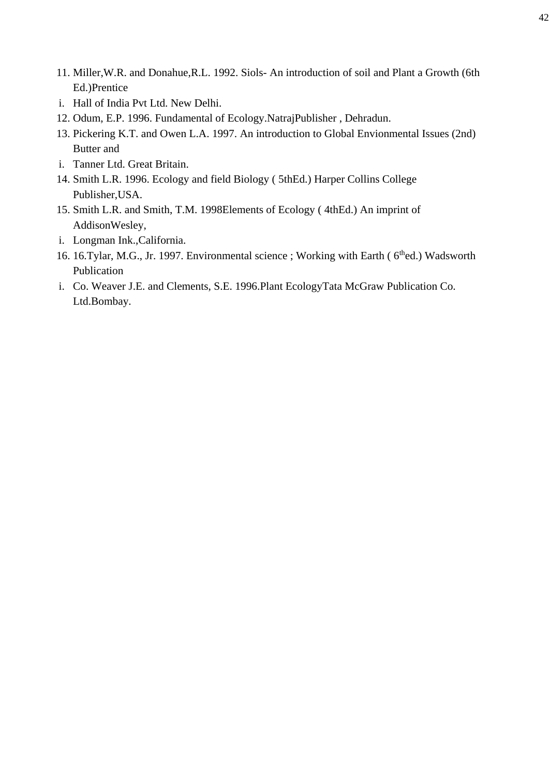- 11. Miller,W.R. and Donahue,R.L. 1992. Siols- An introduction of soil and Plant a Growth (6th Ed.)Prentice
- i. Hall of India Pvt Ltd. New Delhi.
- 12. Odum, E.P. 1996. Fundamental of Ecology.NatrajPublisher , Dehradun.
- 13. Pickering K.T. and Owen L.A. 1997. An introduction to Global Envionmental Issues (2nd) Butter and
- i. Tanner Ltd. Great Britain.
- 14. Smith L.R. 1996. Ecology and field Biology ( 5thEd.) Harper Collins College Publisher,USA.
- 15. Smith L.R. and Smith, T.M. 1998Elements of Ecology ( 4thEd.) An imprint of AddisonWesley,
- i. Longman Ink.,California.
- 16. 16. Tylar, M.G., Jr. 1997. Environmental science ; Working with Earth (6<sup>th</sup>ed.) Wadsworth Publication
- i. Co. Weaver J.E. and Clements, S.E. 1996.Plant EcologyTata McGraw Publication Co. Ltd.Bombay.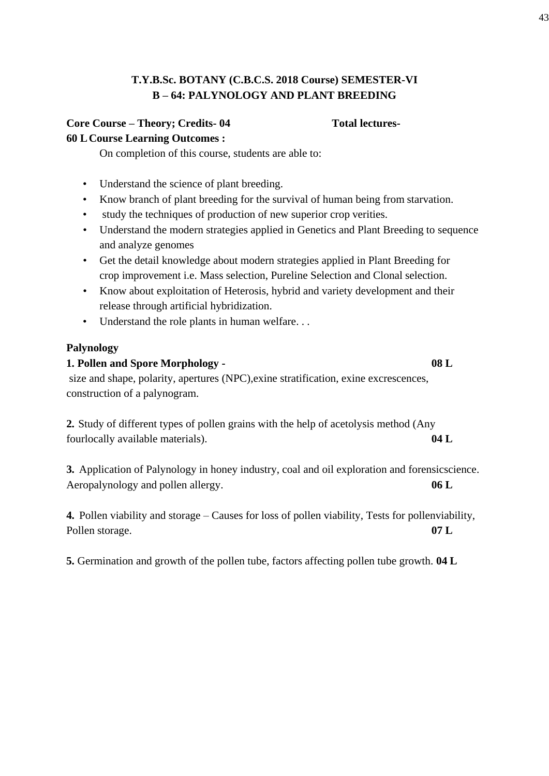# **T.Y.B.Sc. BOTANY (C.B.C.S. 2018 Course) SEMESTER-VI B – 64: PALYNOLOGY AND PLANT BREEDING**

## **Core Course – Theory; Credits- 04 Total lectures-60 L Course Learning Outcomes :**

On completion of this course, students are able to:

- Understand the science of plant breeding.
- Know branch of plant breeding for the survival of human being from starvation.
- study the techniques of production of new superior crop verities.
- Understand the modern strategies applied in Genetics and Plant Breeding to sequence and analyze genomes
- Get the detail knowledge about modern strategies applied in Plant Breeding for crop improvement i.e. Mass selection, Pureline Selection and Clonal selection.
- Know about exploitation of Heterosis, hybrid and variety development and their release through artificial hybridization.
- Understand the role plants in human welfare. . .

## **Palynology**

# **1. Pollen and Spore Morphology - 08 L** size and shape, polarity, apertures (NPC),exine stratification, exine excrescences, construction of a palynogram.

**2.** Study of different types of pollen grains with the help of acetolysis method (Any fourlocally available materials). **04 L**

**3.** Application of Palynology in honey industry, coal and oil exploration and forensicscience. Aeropalynology and pollen allergy. **06 L**

**4.** Pollen viability and storage – Causes for loss of pollen viability, Tests for pollenviability, Pollen storage. **07 L**

**5.** Germination and growth of the pollen tube, factors affecting pollen tube growth. **04 L**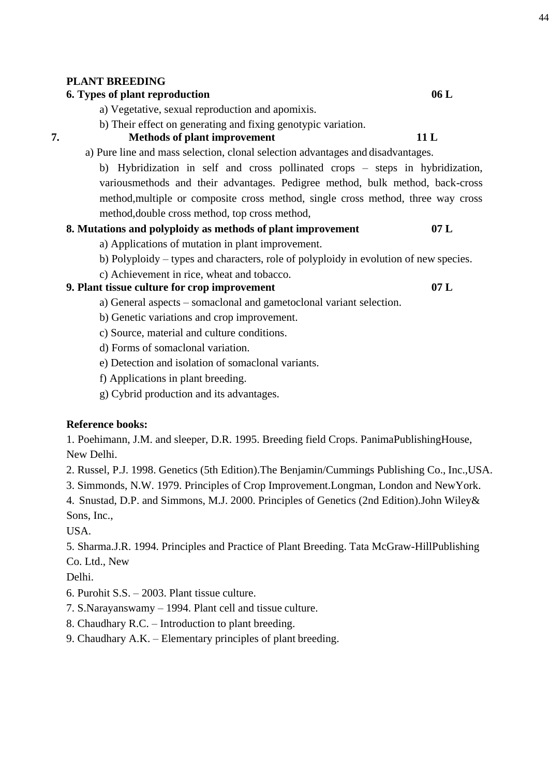## **PLANT BREEDING**

## **6. Types of plant reproduction 06 L**

a) Vegetative, sexual reproduction and apomixis.

b) Their effect on generating and fixing genotypic variation.

## **7. Methods of plant improvement 11 L**

a) Pure line and mass selection, clonal selection advantages and disadvantages.

b) Hybridization in self and cross pollinated crops – steps in hybridization, variousmethods and their advantages. Pedigree method, bulk method, back-cross method,multiple or composite cross method, single cross method, three way cross method,double cross method, top cross method,

## **8. Mutations and polyploidy as methods of plant improvement 07 L**

a) Applications of mutation in plant improvement.

- b) Polyploidy types and characters, role of polyploidy in evolution of new species.
- c) Achievement in rice, wheat and tobacco.

## **9. Plant tissue culture for crop improvement 07 L**

a) General aspects – somaclonal and gametoclonal variant selection.

- b) Genetic variations and crop improvement.
- c) Source, material and culture conditions.
- d) Forms of somaclonal variation.
- e) Detection and isolation of somaclonal variants.
- f) Applications in plant breeding.
- g) Cybrid production and its advantages.

## **Reference books:**

1. Poehimann, J.M. and sleeper, D.R. 1995. Breeding field Crops. PanimaPublishingHouse, New Delhi.

2. Russel, P.J. 1998. Genetics (5th Edition).The Benjamin/Cummings Publishing Co., Inc.,USA.

3. Simmonds, N.W. 1979. Principles of Crop Improvement.Longman, London and NewYork.

4. Snustad, D.P. and Simmons, M.J. 2000. Principles of Genetics (2nd Edition).John Wiley& Sons, Inc.,

USA.

5. Sharma.J.R. 1994. Principles and Practice of Plant Breeding. Tata McGraw-HillPublishing Co. Ltd., New

Delhi.

- 6. Purohit S.S. 2003. Plant tissue culture.
- 7. S.Narayanswamy 1994. Plant cell and tissue culture.
- 8. Chaudhary R.C. Introduction to plant breeding.
- 9. Chaudhary A.K. Elementary principles of plant breeding.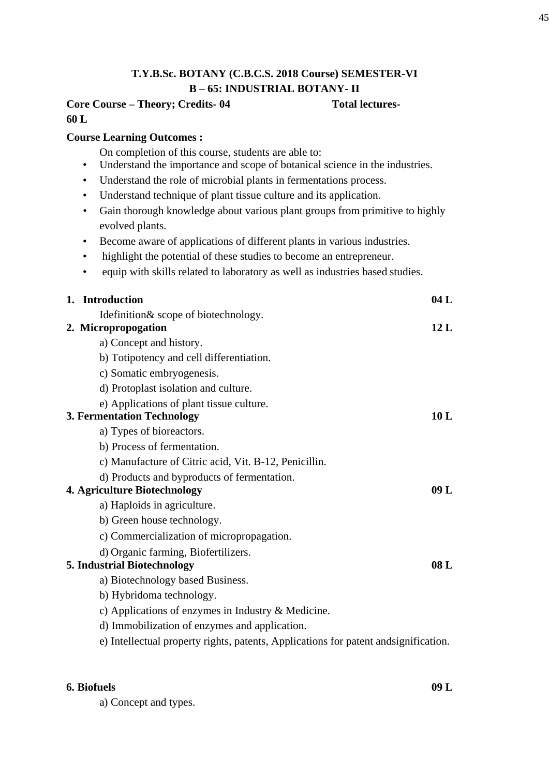# **T.Y.B.Sc. BOTANY (C.B.C.S. 2018 Course) SEMESTER-VI B – 65: INDUSTRIAL BOTANY- II**

## **Core Course – Theory; Credits- 04 Total lectures-60 L**

## **Course Learning Outcomes :**

On completion of this course, students are able to:

- Understand the importance and scope of botanical science in the industries.
- Understand the role of microbial plants in fermentations process.
- Understand technique of plant tissue culture and its application.
- Gain thorough knowledge about various plant groups from primitive to highly evolved plants.
- Become aware of applications of different plants in various industries.
- highlight the potential of these studies to become an entrepreneur.
- equip with skills related to laboratory as well as industries based studies.

| 1. Introduction                                                                      | 04L  |
|--------------------------------------------------------------------------------------|------|
| Idefinition & scope of biotechnology.                                                |      |
| 2. Micropropogation                                                                  | 12L  |
| a) Concept and history.                                                              |      |
| b) Totipotency and cell differentiation.                                             |      |
| c) Somatic embryogenesis.                                                            |      |
| d) Protoplast isolation and culture.                                                 |      |
| e) Applications of plant tissue culture.                                             |      |
| <b>3. Fermentation Technology</b>                                                    | 10L  |
| a) Types of bioreactors.                                                             |      |
| b) Process of fermentation.                                                          |      |
| c) Manufacture of Citric acid, Vit. B-12, Penicillin.                                |      |
| d) Products and byproducts of fermentation.                                          |      |
| 4. Agriculture Biotechnology                                                         | 09L  |
| a) Haploids in agriculture.                                                          |      |
| b) Green house technology.                                                           |      |
| c) Commercialization of micropropagation.                                            |      |
| d) Organic farming, Biofertilizers.                                                  |      |
| 5. Industrial Biotechnology                                                          | 08 L |
| a) Biotechnology based Business.                                                     |      |
| b) Hybridoma technology.                                                             |      |
| c) Applications of enzymes in Industry & Medicine.                                   |      |
| d) Immobilization of enzymes and application.                                        |      |
| e) Intellectual property rights, patents, Applications for patent and signification. |      |
|                                                                                      |      |

## **6. Biofuels 09 L**

a) Concept and types.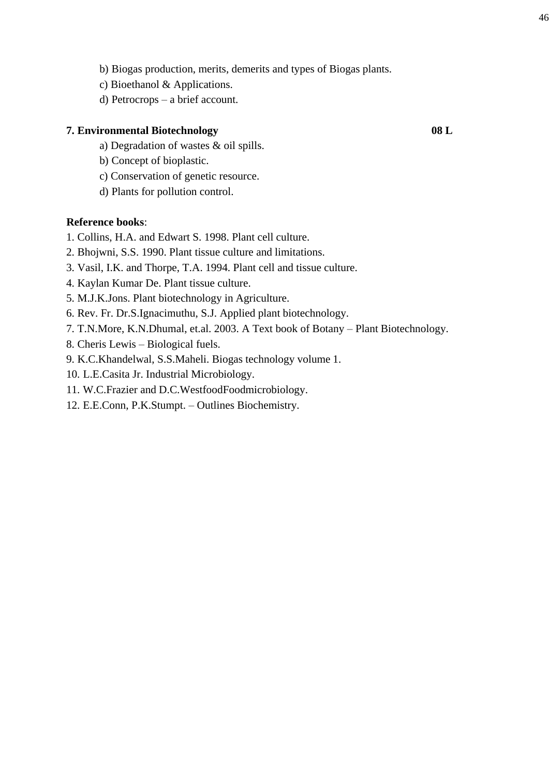- b) Biogas production, merits, demerits and types of Biogas plants.
- c) Bioethanol & Applications.
- d) Petrocrops a brief account.

## **7. Environmental Biotechnology 08 L**

- a) Degradation of wastes & oil spills.
- b) Concept of bioplastic.
- c) Conservation of genetic resource.
- d) Plants for pollution control.

## **Reference books**:

- 1. Collins, H.A. and Edwart S. 1998. Plant cell culture.
- 2. Bhojwni, S.S. 1990. Plant tissue culture and limitations.
- 3. Vasil, I.K. and Thorpe, T.A. 1994. Plant cell and tissue culture.
- 4. Kaylan Kumar De. Plant tissue culture.
- 5. M.J.K.Jons. Plant biotechnology in Agriculture.
- 6. Rev. Fr. Dr.S.Ignacimuthu, S.J. Applied plant biotechnology.
- 7. T.N.More, K.N.Dhumal, et.al. 2003. A Text book of Botany Plant Biotechnology.
- 8. Cheris Lewis Biological fuels.
- 9. K.C.Khandelwal, S.S.Maheli. Biogas technology volume 1.
- 10. L.E.Casita Jr. Industrial Microbiology.
- 11. W.C.Frazier and D.C.WestfoodFoodmicrobiology.
- 12. E.E.Conn, P.K.Stumpt. Outlines Biochemistry.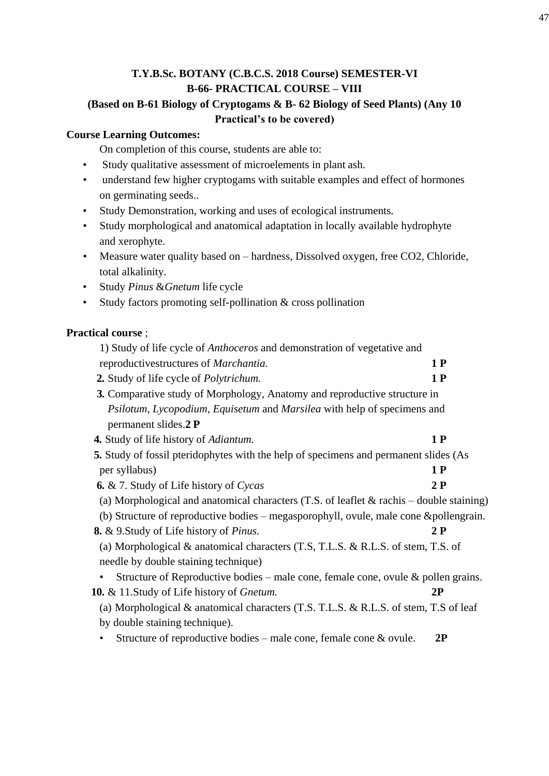# **T.Y.B.Sc. BOTANY (C.B.C.S. 2018 Course) SEMESTER-VI B-66- PRACTICAL COURSE – VIII (Based on B-61 Biology of Cryptogams & B- 62 Biology of Seed Plants) (Any 10 Practical's to be covered)**

## **Course Learning Outcomes:**

On completion of this course, students are able to:

- Study qualitative assessment of microelements in plant ash.
- understand few higher cryptogams with suitable examples and effect of hormones on germinating seeds..
- Study Demonstration, working and uses of ecological instruments.
- Study morphological and anatomical adaptation in locally available hydrophyte and xerophyte.
- Measure water quality based on hardness, Dissolved oxygen, free CO2, Chloride, total alkalinity.
- Study *Pinus* &*Gnetum* life cycle
- Study factors promoting self-pollination & cross pollination

## **Practical course** ;

| 1) Study of life cycle of Anthoceros and demonstration of vegetative and                   |    |
|--------------------------------------------------------------------------------------------|----|
| reproductivestructures of <i>Marchantia</i> .                                              | 1P |
| 2. Study of life cycle of <i>Polytrichum</i> .                                             | 1P |
| 3. Comparative study of Morphology, Anatomy and reproductive structure in                  |    |
| Psilotum, Lycopodium, Equisetum and Marsilea with help of specimens and                    |    |
| permanent slides.2 P                                                                       |    |
| 4. Study of life history of Adiantum.                                                      | 1P |
| 5. Study of fossil pteridophytes with the help of specimens and permanent slides (As       |    |
| per syllabus)                                                                              | 1P |
| <b>6.</b> & 7. Study of Life history of Cycas                                              | 2P |
| (a) Morphological and anatomical characters (T.S. of leaflet $&$ rachis – double staining) |    |
| (b) Structure of reproductive bodies – megasporophyll, ovule, male cone & pollengrain.     |    |
| <b>8.</b> & 9. Study of Life history of <i>Pinus</i> .                                     | 2P |
| (a) Morphological $\&$ anatomical characters (T.S, T.L.S. $\&$ R.L.S. of stem, T.S. of     |    |
| needle by double staining technique)                                                       |    |
| Structure of Reproductive bodies – male cone, female cone, ovule $\&$ pollen grains.<br>٠  |    |
| 10. & 11. Study of Life history of Gnetum.                                                 | 2P |
| (a) Morphological & anatomical characters (T.S. T.L.S. & R.L.S. of stem, T.S of leaf       |    |
| by double staining technique).                                                             |    |
| Structure of reproductive bodies – male cone, female cone $\&$ ovule.                      | 2P |
|                                                                                            |    |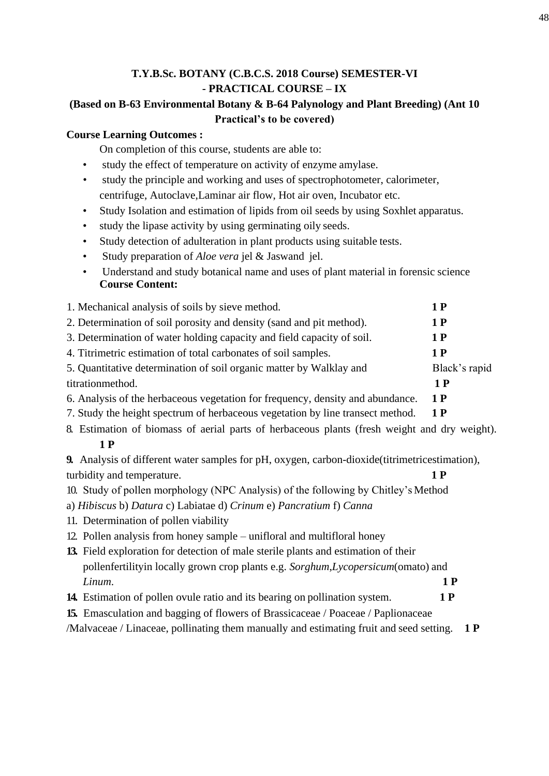# **T.Y.B.Sc. BOTANY (C.B.C.S. 2018 Course) SEMESTER-VI - PRACTICAL COURSE – IX**

## **(Based on B-63 Environmental Botany & B-64 Palynology and Plant Breeding) (Ant 10 Practical's to be covered)**

## **Course Learning Outcomes :**

On completion of this course, students are able to:

- study the effect of temperature on activity of enzyme amylase.
- study the principle and working and uses of spectrophotometer, calorimeter, centrifuge, Autoclave,Laminar air flow, Hot air oven, Incubator etc.
- Study Isolation and estimation of lipids from oil seeds by using Soxhlet apparatus.
- study the lipase activity by using germinating oily seeds.
- Study detection of adulteration in plant products using suitable tests.
- Study preparation of *Aloe vera* jel & Jaswand jel.
- Understand and study botanical name and uses of plant material in forensic science **Course Content:**

| 1. Mechanical analysis of soils by sieve method.                               | 1 P           |
|--------------------------------------------------------------------------------|---------------|
| 2. Determination of soil porosity and density (sand and pit method).           | 1 P           |
| 3. Determination of water holding capacity and field capacity of soil.         | 1 P           |
| 4. Titrimetric estimation of total carbonates of soil samples.                 | 1 P           |
| 5. Quantitative determination of soil organic matter by Walklay and            | Black's rapid |
| titrationmethod.                                                               | 1 P           |
| 6. Analysis of the herbaceous vegetation for frequency, density and abundance. | 1 P           |
| 7. Study the height spectrum of herbaceous vegetation by line transect method. | 1 P           |

8. Estimation of biomass of aerial parts of herbaceous plants (fresh weight and dry weight). **1 P**

**9.** Analysis of different water samples for pH, oxygen, carbon-dioxide (titrimetricestimation), turbidity and temperature. **1 P**

- 10. Study of pollen morphology (NPC Analysis) of the following by Chitley's Method
- a) *Hibiscus* b) *Datura* c) Labiatae d) *Crinum* e) *Pancratium* f) *Canna*
- 11. Determination of pollen viability
- 12. Pollen analysis from honey sample unifloral and multifloral honey
- **13.** Field exploration for detection of male sterile plants and estimation of their pollenfertilityin locally grown crop plants e.g. *Sorghum*,*Lycopersicum*(omato) and *Linum*. **1 P**
- **14.** Estimation of pollen ovule ratio and its bearing on pollination system. **1 P**
- **15.** Emasculation and bagging of flowers of Brassicaceae / Poaceae / Paplionaceae

/Malvaceae / Linaceae, pollinating them manually and estimating fruit and seed setting. **1 P**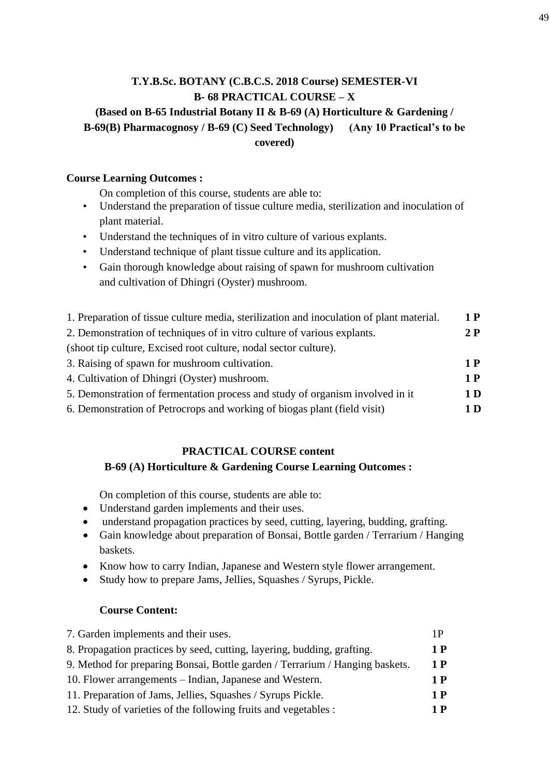# **T.Y.B.Sc. BOTANY (C.B.C.S. 2018 Course) SEMESTER-VI B- 68 PRACTICAL COURSE – X (Based on B-65 Industrial Botany II & B-69 (A) Horticulture & Gardening / B-69(B) Pharmacognosy / B-69 (C) Seed Technology) (Any 10 Practical's to be covered)**

## **Course Learning Outcomes :**

On completion of this course, students are able to:

- Understand the preparation of tissue culture media, sterilization and inoculation of plant material.
- Understand the techniques of in vitro culture of various explants.
- Understand technique of plant tissue culture and its application.
- Gain thorough knowledge about raising of spawn for mushroom cultivation and cultivation of Dhingri (Oyster) mushroom.

| 1. Preparation of tissue culture media, sterilization and inoculation of plant material. | 1 P            |
|------------------------------------------------------------------------------------------|----------------|
| 2. Demonstration of techniques of in vitro culture of various explants.                  | 2P             |
| (shoot tip culture, Excised root culture, nodal sector culture).                         |                |
| 3. Raising of spawn for mushroom cultivation.                                            | 1 P            |
| 4. Cultivation of Dhingri (Oyster) mushroom.                                             | 1 P            |
| 5. Demonstration of fermentation process and study of organism involved in it            | 1 <sub>D</sub> |
| 6. Demonstration of Petrocrops and working of biogas plant (field visit)                 | 1 D            |

# **PRACTICAL COURSE content**

## **B-69 (A) Horticulture & Gardening Course Learning Outcomes :**

On completion of this course, students are able to:

- Understand garden implements and their uses.
- understand propagation practices by seed, cutting, layering, budding, grafting.
- Gain knowledge about preparation of Bonsai, Bottle garden / Terrarium / Hanging baskets.
- Know how to carry Indian, Japanese and Western style flower arrangement.
- Study how to prepare Jams, Jellies, Squashes / Syrups, Pickle.

## **Course Content:**

| 7. Garden implements and their uses.                                         | 1 P |
|------------------------------------------------------------------------------|-----|
| 8. Propagation practices by seed, cutting, layering, budding, grafting.      | 1 P |
| 9. Method for preparing Bonsai, Bottle garden / Terrarium / Hanging baskets. | 1 P |
| 10. Flower arrangements – Indian, Japanese and Western.                      | 1 P |
| 11. Preparation of Jams, Jellies, Squashes / Syrups Pickle.                  | 1 P |
| 12. Study of varieties of the following fruits and vegetables :              | 1 P |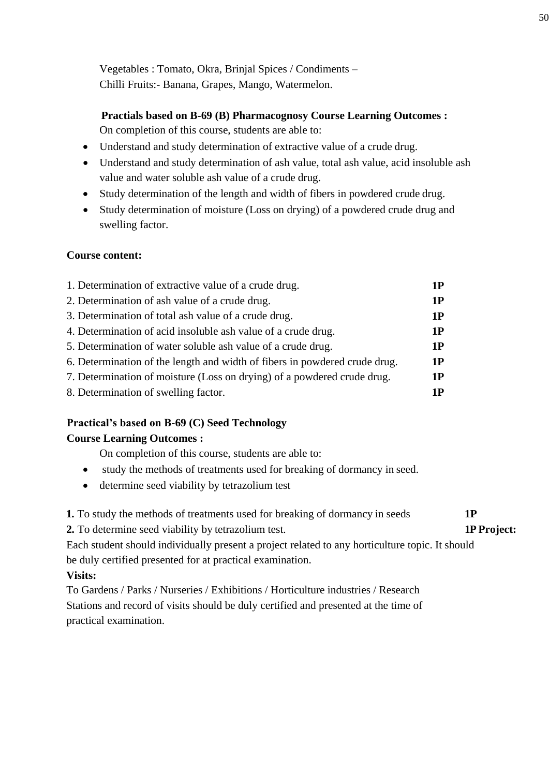Vegetables : Tomato, Okra, Brinjal Spices / Condiments – Chilli Fruits:- Banana, Grapes, Mango, Watermelon.

## **Practials based on B-69 (B) Pharmacognosy Course Learning Outcomes :**

On completion of this course, students are able to:

- Understand and study determination of extractive value of a crude drug.
- Understand and study determination of ash value, total ash value, acid insoluble ash value and water soluble ash value of a crude drug.
- Study determination of the length and width of fibers in powdered crude drug.
- Study determination of moisture (Loss on drying) of a powdered crude drug and swelling factor.

## **Course content:**

| 1. Determination of extractive value of a crude drug.                      | 1P |
|----------------------------------------------------------------------------|----|
| 2. Determination of ash value of a crude drug.                             | 1P |
| 3. Determination of total ash value of a crude drug.                       | 1P |
| 4. Determination of acid insoluble ash value of a crude drug.              | 1P |
| 5. Determination of water soluble ash value of a crude drug.               | 1P |
| 6. Determination of the length and width of fibers in powdered crude drug. | 1P |
| 7. Determination of moisture (Loss on drying) of a powdered crude drug.    | 1P |
|                                                                            |    |

8. Determination of swelling factor. **1P**

## **Practical's based on B-69 (C) Seed Technology**

## **Course Learning Outcomes :**

On completion of this course, students are able to:

- study the methods of treatments used for breaking of dormancy in seed.
- determine seed viability by tetrazolium test

**1.** To study the methods of treatments used for breaking of dormancy in seeds **1P**

**2.** To determine seed viability by tetrazolium test. **1P Project:**

Each student should individually present a project related to any horticulture topic. It should be duly certified presented for at practical examination.

## **Visits:**

To Gardens / Parks / Nurseries / Exhibitions / Horticulture industries / Research Stations and record of visits should be duly certified and presented at the time of practical examination.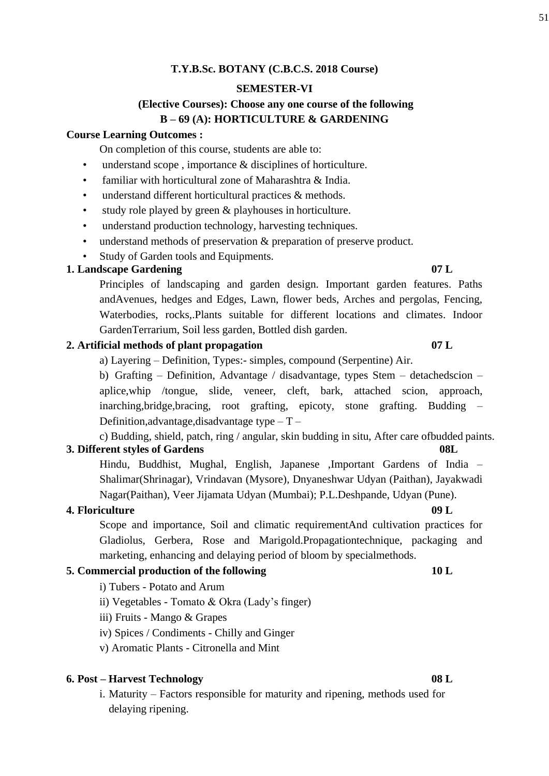## **T.Y.B.Sc. BOTANY (C.B.C.S. 2018 Course)**

## **SEMESTER-VI**

## **(Elective Courses): Choose any one course of the following B – 69 (A): HORTICULTURE & GARDENING**

## **Course Learning Outcomes :**

On completion of this course, students are able to:

- understand scope, importance  $\&$  disciplines of horticulture.
- familiar with horticultural zone of Maharashtra & India.
- understand different horticultural practices & methods.
- study role played by green & playhouses in horticulture.
- understand production technology, harvesting techniques.
- understand methods of preservation & preparation of preserve product.
- Study of Garden tools and Equipments.

## **1. Landscape Gardening 07 L**

# Principles of landscaping and garden design. Important garden features. Paths

andAvenues, hedges and Edges, Lawn, flower beds, Arches and pergolas, Fencing, Waterbodies, rocks,.Plants suitable for different locations and climates. Indoor GardenTerrarium, Soil less garden, Bottled dish garden.

## **2. Artificial methods of plant propagation 07 L**

a) Layering – Definition, Types:- simples, compound (Serpentine) Air.

b) Grafting – Definition, Advantage / disadvantage, types Stem – detachedscion – aplice,whip /tongue, slide, veneer, cleft, bark, attached scion, approach, inarching,bridge,bracing, root grafting, epicoty, stone grafting. Budding – Definition, advantage, disadvantage type  $-T-$ 

c) Budding, shield, patch, ring / angular, skin budding in situ, After care ofbudded paints. **3. Different styles of Gardens 08L**

Hindu, Buddhist, Mughal, English, Japanese ,Important Gardens of India – Shalimar(Shrinagar), Vrindavan (Mysore), Dnyaneshwar Udyan (Paithan), Jayakwadi Nagar(Paithan), Veer Jijamata Udyan (Mumbai); P.L.Deshpande, Udyan (Pune).

## **4. Floriculture 09 L**

Scope and importance, Soil and climatic requirementAnd cultivation practices for Gladiolus, Gerbera, Rose and Marigold.Propagationtechnique, packaging and marketing, enhancing and delaying period of bloom by specialmethods.

## **5. Commercial production of the following 10 L**

- i) Tubers Potato and Arum
- ii) Vegetables Tomato & Okra (Lady's finger)
- iii) Fruits Mango & Grapes
- iv) Spices / Condiments Chilly and Ginger
- v) Aromatic Plants Citronella and Mint

## **6. Post – Harvest Technology 08 L**

i. Maturity – Factors responsible for maturity and ripening, methods used for delaying ripening.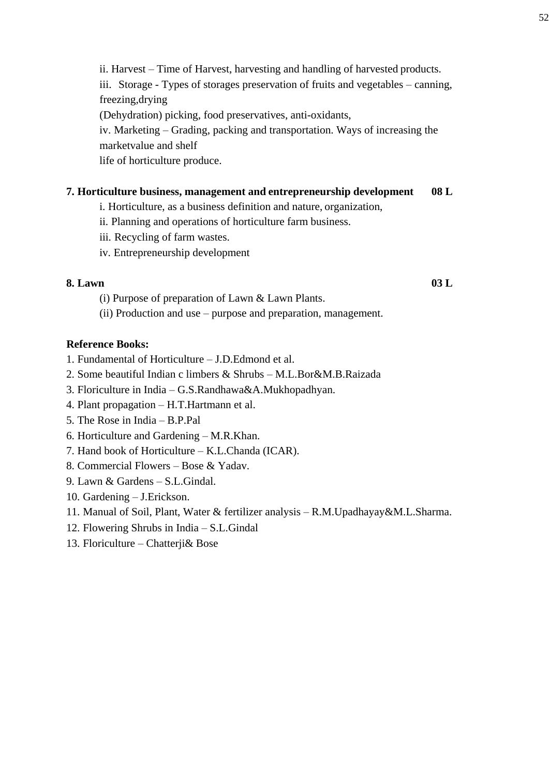ii. Harvest – Time of Harvest, harvesting and handling of harvested products. iii. Storage - Types of storages preservation of fruits and vegetables – canning, freezing,drying (Dehydration) picking, food preservatives, anti-oxidants, iv. Marketing – Grading, packing and transportation. Ways of increasing the marketvalue and shelf

life of horticulture produce.

## **7. Horticulture business, management and entrepreneurship development 08 L**

i. Horticulture, as a business definition and nature, organization,

- ii. Planning and operations of horticulture farm business.
- iii. Recycling of farm wastes.
- iv. Entrepreneurship development

## **8. Lawn 03 L**

- (i) Purpose of preparation of Lawn & Lawn Plants.
- (ii) Production and use purpose and preparation, management.

## **Reference Books:**

- 1. Fundamental of Horticulture J.D.Edmond et al.
- 2. Some beautiful Indian c limbers & Shrubs M.L.Bor&M.B.Raizada
- 3. Floriculture in India G.S.Randhawa&A.Mukhopadhyan.
- 4. Plant propagation H.T.Hartmann et al.
- 5. The Rose in India B.P.Pal
- 6. Horticulture and Gardening M.R.Khan.
- 7. Hand book of Horticulture K.L.Chanda (ICAR).
- 8. Commercial Flowers Bose & Yadav.
- 9. Lawn & Gardens S.L.Gindal.
- 10. Gardening J.Erickson.
- 11. Manual of Soil, Plant, Water & fertilizer analysis R.M.Upadhayay&M.L.Sharma.
- 12. Flowering Shrubs in India S.L.Gindal
- 13. Floriculture Chatterji& Bose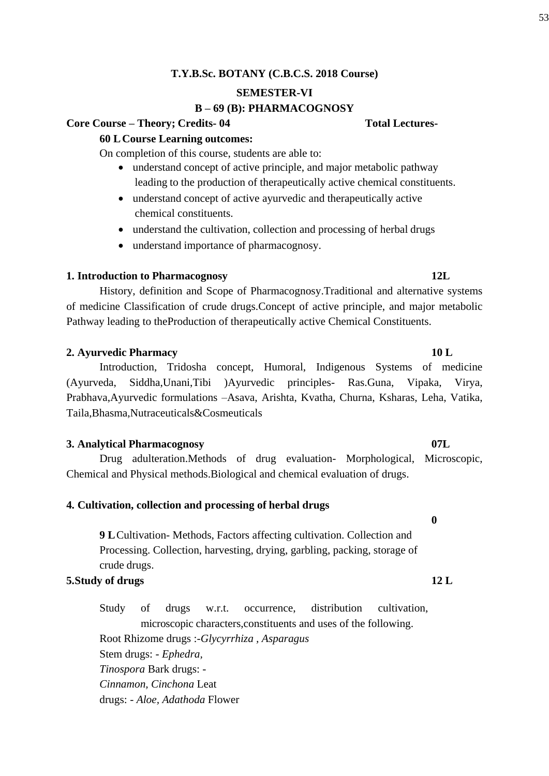## **T.Y.B.Sc. BOTANY (C.B.C.S. 2018 Course)**

## **SEMESTER-VI**

## **B – 69 (B): PHARMACOGNOSY**

## **Core Course – Theory; Credits- 04 Total Lectures-**

## **60 L Course Learning outcomes:**

On completion of this course, students are able to:

- understand concept of active principle, and major metabolic pathway leading to the production of therapeutically active chemical constituents.
- understand concept of active ayurvedic and therapeutically active chemical constituents.
- understand the cultivation, collection and processing of herbal drugs
- understand importance of pharmacognosy.

## **1. Introduction to Pharmacognosy 12L**

History, definition and Scope of Pharmacognosy.Traditional and alternative systems of medicine Classification of crude drugs.Concept of active principle, and major metabolic Pathway leading to theProduction of therapeutically active Chemical Constituents.

## **2. Ayurvedic Pharmacy 10 L**

Introduction, Tridosha concept, Humoral, Indigenous Systems of medicine (Ayurveda, Siddha,Unani,Tibi )Ayurvedic principles- Ras.Guna, Vipaka, Virya, Prabhava,Ayurvedic formulations –Asava, Arishta, Kvatha, Churna, Ksharas, Leha, Vatika, Taila,Bhasma,Nutraceuticals&Cosmeuticals

## **3. Analytical Pharmacognosy 07L**

Drug adulteration.Methods of drug evaluation- Morphological, Microscopic, Chemical and Physical methods.Biological and chemical evaluation of drugs.

## **4. Cultivation, collection and processing of herbal drugs**

**9 L Cultivation-Methods, Factors affecting cultivation. Collection and** Processing. Collection, harvesting, drying, garbling, packing, storage of crude drugs.

## **5.Study of drugs 12 L**

Study of drugs w.r.t. occurrence, distribution cultivation, microscopic characters,constituents and uses of the following. Root Rhizome drugs :-*Glycyrrhiza , Asparagus* Stem drugs: - *Ephedra, Tinospora* Bark drugs: - *Cinnamon, Cinchona* Leat drugs: - *Aloe, Adathoda* Flower

**0**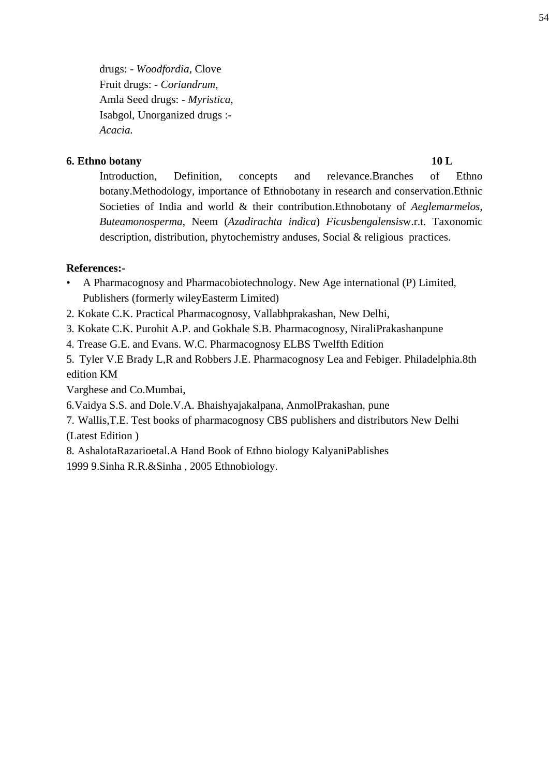drugs: - *Woodfordia*, Clove Fruit drugs: - *Coriandrum*, Amla Seed drugs: - *Myristica*, Isabgol, Unorganized drugs :- *Acacia.*

## **6. Ethno botany 10 L**

Introduction, Definition, concepts and relevance.Branches of Ethno botany.Methodology, importance of Ethnobotany in research and conservation.Ethnic Societies of India and world & their contribution.Ethnobotany of *Aeglemarmelos, Buteamonosperma*, Neem (*Azadirachta indica*) *Ficusbengalensis*w.r.t. Taxonomic description, distribution, phytochemistry anduses, Social & religious practices.

## **References:-**

- A Pharmacognosy and Pharmacobiotechnology. New Age international (P) Limited, Publishers (formerly wileyEasterm Limited)
- 2. Kokate C.K. Practical Pharmacognosy, Vallabhprakashan, New Delhi,
- 3. Kokate C.K. Purohit A.P. and Gokhale S.B. Pharmacognosy, NiraliPrakashanpune
- 4. Trease G.E. and Evans. W.C. Pharmacognosy ELBS Twelfth Edition

5. Tyler V.E Brady L,R and Robbers J.E. Pharmacognosy Lea and Febiger. Philadelphia.8th edition KM

Varghese and Co.Mumbai,

6.Vaidya S.S. and Dole.V.A. Bhaishyajakalpana, AnmolPrakashan, pune

7. Wallis,T.E. Test books of pharmacognosy CBS publishers and distributors New Delhi (Latest Edition )

8. AshalotaRazarioetal.A Hand Book of Ethno biology KalyaniPablishes

1999 9.Sinha R.R.&Sinha , 2005 Ethnobiology.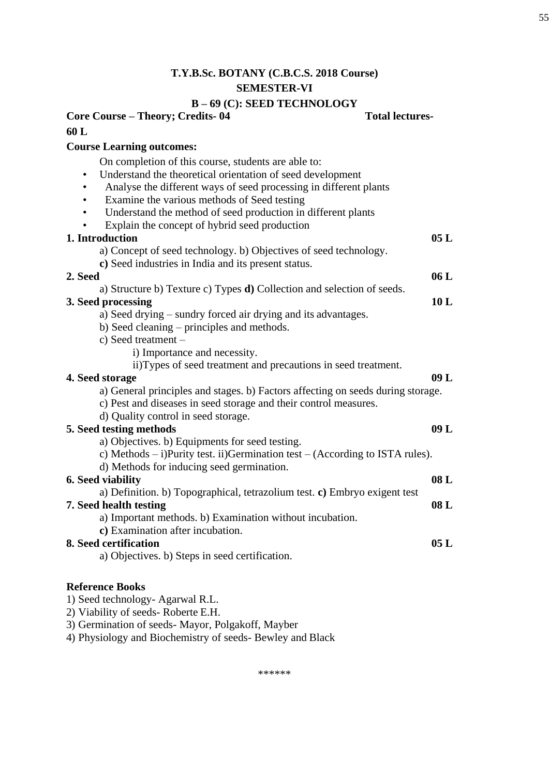# **T.Y.B.Sc. BOTANY (C.B.C.S. 2018 Course) SEMESTER-VI**

# **B – 69 (C): SEED TECHNOLOGY**

| Core Course - Theory; Credits-04                                                 | <b>Total lectures-</b> |
|----------------------------------------------------------------------------------|------------------------|
| 60 L                                                                             |                        |
| <b>Course Learning outcomes:</b>                                                 |                        |
| On completion of this course, students are able to:                              |                        |
| Understand the theoretical orientation of seed development<br>$\bullet$          |                        |
| Analyse the different ways of seed processing in different plants<br>$\bullet$   |                        |
| Examine the various methods of Seed testing                                      |                        |
| Understand the method of seed production in different plants                     |                        |
| Explain the concept of hybrid seed production                                    |                        |
| 1. Introduction                                                                  | 05L                    |
| a) Concept of seed technology. b) Objectives of seed technology.                 |                        |
| c) Seed industries in India and its present status.                              |                        |
| 2. Seed                                                                          | 06L                    |
| a) Structure b) Texture c) Types d) Collection and selection of seeds.           |                        |
| 3. Seed processing                                                               | 10L                    |
| a) Seed drying – sundry forced air drying and its advantages.                    |                        |
| b) Seed cleaning – principles and methods.                                       |                        |
| c) Seed treatment -                                                              |                        |
| i) Importance and necessity.                                                     |                        |
| ii)Types of seed treatment and precautions in seed treatment.                    |                        |
| 4. Seed storage                                                                  | 09L                    |
| a) General principles and stages. b) Factors affecting on seeds during storage.  |                        |
| c) Pest and diseases in seed storage and their control measures.                 |                        |
| d) Quality control in seed storage.                                              |                        |
| 5. Seed testing methods                                                          | 09L                    |
| a) Objectives. b) Equipments for seed testing.                                   |                        |
| c) Methods $-$ i)Purity test. ii)Germination test $-$ (According to ISTA rules). |                        |
| d) Methods for inducing seed germination.                                        |                        |
| <b>6. Seed viability</b>                                                         | 08L                    |
| a) Definition. b) Topographical, tetrazolium test. c) Embryo exigent test        |                        |
| 7. Seed health testing                                                           | 08 L                   |
| a) Important methods. b) Examination without incubation.                         |                        |
| c) Examination after incubation.                                                 |                        |
| 8. Seed certification                                                            | 05 L                   |
| a) Objectives. b) Steps in seed certification.                                   |                        |
| <b>Reference Books</b>                                                           |                        |
| 1) Seed technology- Agarwal R.L.                                                 |                        |
| 2) Viability of seeds-Roberte E.H.                                               |                        |

3) Germination of seeds- Mayor, Polgakoff, Mayber

4) Physiology and Biochemistry of seeds- Bewley and Black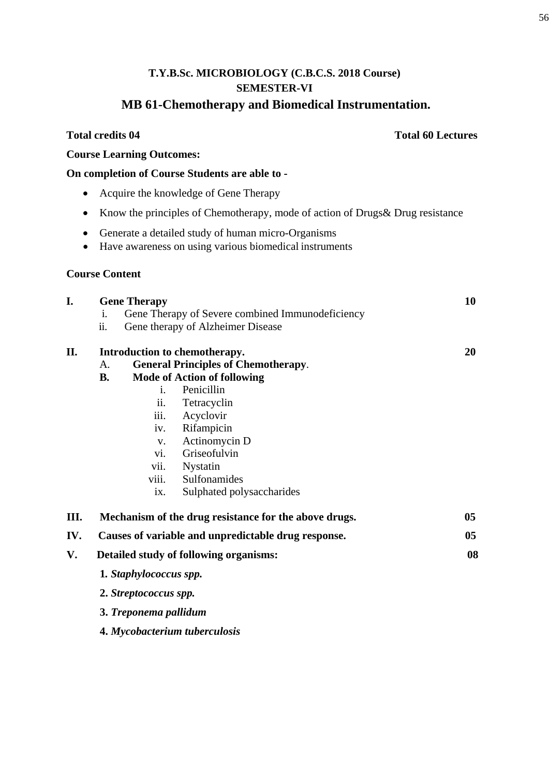# **MB 61-Chemotherapy and Biomedical Instrumentation.**

|           | <b>Total credits 04</b>                                                                                                                                                                                                                                                                                                                                             | <b>Total 60 Lectures</b> |
|-----------|---------------------------------------------------------------------------------------------------------------------------------------------------------------------------------------------------------------------------------------------------------------------------------------------------------------------------------------------------------------------|--------------------------|
|           | <b>Course Learning Outcomes:</b>                                                                                                                                                                                                                                                                                                                                    |                          |
|           | On completion of Course Students are able to -                                                                                                                                                                                                                                                                                                                      |                          |
|           | Acquire the knowledge of Gene Therapy                                                                                                                                                                                                                                                                                                                               |                          |
| $\bullet$ | Know the principles of Chemotherapy, mode of action of Drugs& Drug resistance                                                                                                                                                                                                                                                                                       |                          |
| $\bullet$ | Generate a detailed study of human micro-Organisms<br>Have awareness on using various biomedical instruments                                                                                                                                                                                                                                                        |                          |
|           | <b>Course Content</b>                                                                                                                                                                                                                                                                                                                                               |                          |
| I.        | <b>Gene Therapy</b><br>Gene Therapy of Severe combined Immunodeficiency<br>i.<br>ii.<br>Gene therapy of Alzheimer Disease                                                                                                                                                                                                                                           | 10                       |
| П.        | Introduction to chemotherapy.<br><b>General Principles of Chemotherapy.</b><br>A.<br><b>Mode of Action of following</b><br><b>B.</b><br>Penicillin<br>$\mathbf{1}$ .<br>ii.<br>Tetracyclin<br>iii.<br>Acyclovir<br>Rifampicin<br>iv.<br>Actinomycin D<br>V.<br>Griseofulvin<br>vi.<br>Nystatin<br>vii.<br>Sulfonamides<br>viii.<br>Sulphated polysaccharides<br>ix. | 20                       |
| Ш.        | Mechanism of the drug resistance for the above drugs.                                                                                                                                                                                                                                                                                                               | 05                       |
| IV.       | Causes of variable and unpredictable drug response.                                                                                                                                                                                                                                                                                                                 | 05                       |
| V.        | Detailed study of following organisms:                                                                                                                                                                                                                                                                                                                              | 08                       |
|           | 1. Staphylococcus spp.                                                                                                                                                                                                                                                                                                                                              |                          |
|           | 2. Streptococcus spp.                                                                                                                                                                                                                                                                                                                                               |                          |
|           | 3. Treponema pallidum                                                                                                                                                                                                                                                                                                                                               |                          |
|           | 4. Mycobacterium tuberculosis                                                                                                                                                                                                                                                                                                                                       |                          |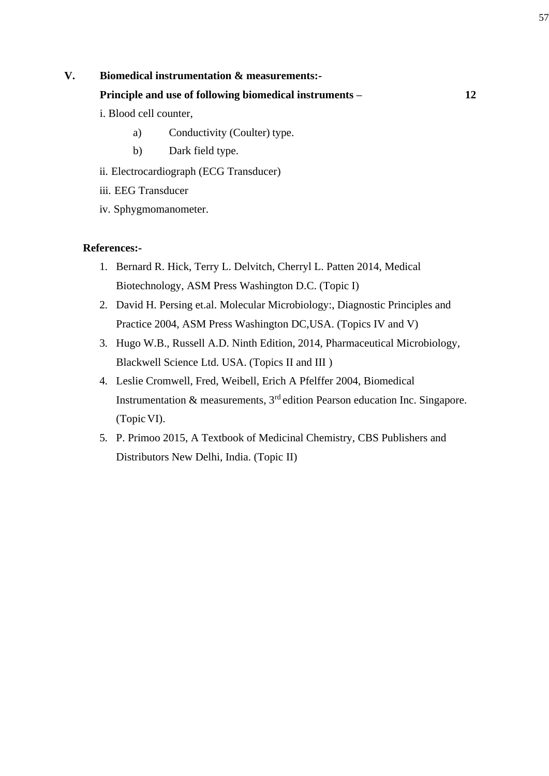- a) Conductivity (Coulter) type.
- b) Dark field type.
- ii. Electrocardiograph (ECG Transducer)
- iii. EEG Transducer
- iv. Sphygmomanometer.

## **References:-**

- 1. Bernard R. Hick, Terry L. Delvitch, Cherryl L. Patten 2014, Medical Biotechnology, ASM Press Washington D.C. (Topic I)
- 2. David H. Persing et.al. Molecular Microbiology:, Diagnostic Principles and Practice 2004, ASM Press Washington DC,USA. (Topics IV and V)
- 3. Hugo W.B., Russell A.D. Ninth Edition, 2014, Pharmaceutical Microbiology, Blackwell Science Ltd. USA. (Topics II and III )
- 4. Leslie Cromwell, Fred, Weibell, Erich A Pfelffer 2004, Biomedical Instrumentation  $\&$  measurements,  $3<sup>rd</sup>$  edition Pearson education Inc. Singapore. (Topic VI).
- 5. P. Primoo 2015, A Textbook of Medicinal Chemistry, CBS Publishers and Distributors New Delhi, India. (Topic II)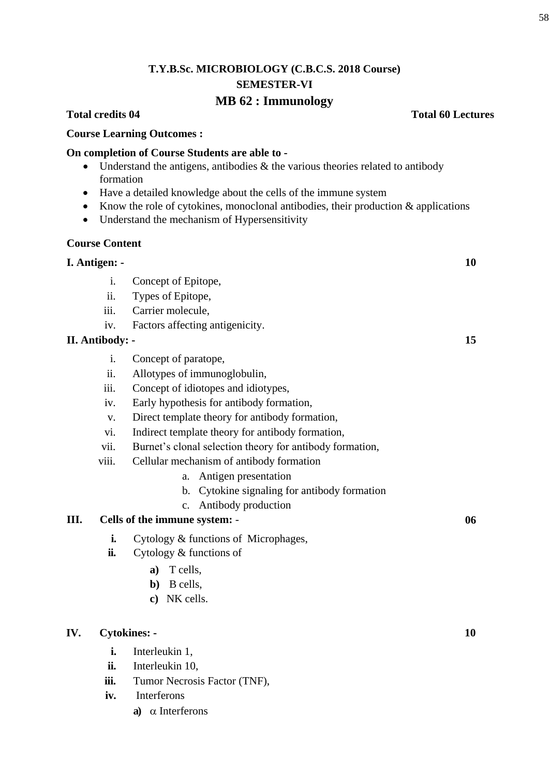## **MB 62 : Immunology**

## **Course Learning Outcomes :**

## **On completion of Course Students are able to -**

- Understand the antigens, antibodies  $\&$  the various theories related to antibody formation
- Have a detailed knowledge about the cells of the immune system
- Know the role of cytokines, monoclonal antibodies, their production & applications
- Understand the mechanism of Hypersensitivity

## **Course Content**

## **I. Antigen: - 10**

- i. Concept of Epitope,
- ii. Types of Epitope,
- iii. Carrier molecule,
- iv. Factors affecting antigenicity.

## **II. Antibody: - 15**

- i. Concept of paratope,
- ii. Allotypes of immunoglobulin,
- iii. Concept of idiotopes and idiotypes,
- iv. Early hypothesis for antibody formation,
- v. Direct template theory for antibody formation,
- vi. Indirect template theory for antibody formation,
- vii. Burnet's clonal selection theory for antibody formation,
- viii. Cellular mechanism of antibody formation
	- a. Antigen presentation
	- b. Cytokine signaling for antibody formation
	- c. Antibody production

## **III. Cells of the immune system:** - **06**

- **i.** Cytology & functions of Microphages,
- **ii.** Cytology & functions of
	- **a)** T cells,
	- **b)** B cells,
	- **c)** NK cells.

## **IV. Cytokines: - 10**

- **i.** Interleukin 1,
- **ii.** Interleukin 10,
- **iii.** Tumor Necrosis Factor (TNF),
- **iv.** Interferons
	- **a**)  $\alpha$  Interferons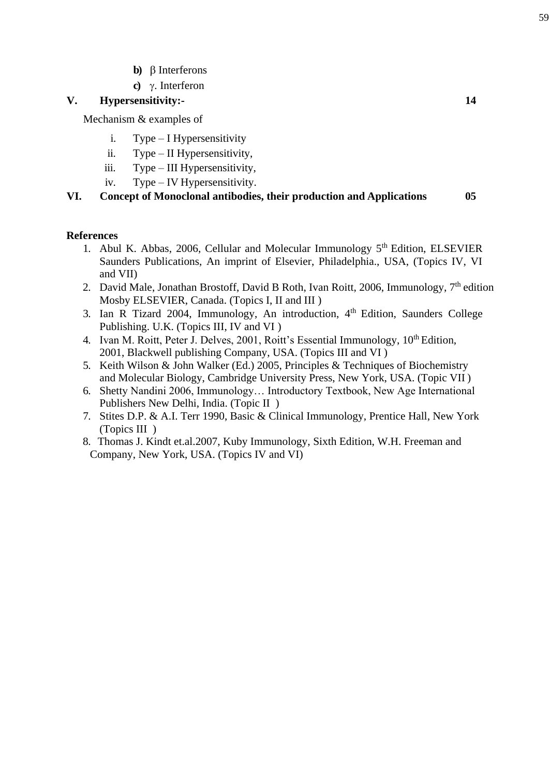- **b**)  $\beta$  Interferons
- **c)** γ. Interferon

## **V. Hypersensitivity:- 14**

Mechanism & examples of

- i. Type I Hypersensitivity
- ii. Type II Hypersensitivity,
- iii. Type III Hypersensitivity,
- iv. Type IV Hypersensitivity.

**VI. Concept of Monoclonal antibodies, their production and Applications 05**

## **References**

- 1. Abul K. Abbas, 2006, Cellular and Molecular Immunology  $5<sup>th</sup>$  Edition, ELSEVIER Saunders Publications, An imprint of Elsevier, Philadelphia., USA, (Topics IV, VI and VII)
- 2. David Male, Jonathan Brostoff, David B Roth, Ivan Roitt, 2006, Immunology.  $7<sup>th</sup>$  edition Mosby ELSEVIER, Canada. (Topics I, II and III )
- 3. Ian R Tizard 2004, Immunology, An introduction, 4<sup>th</sup> Edition, Saunders College Publishing. U.K. (Topics III, IV and VI )
- 4. Ivan M. Roitt, Peter J. Delves, 2001, Roitt's Essential Immunology, 10<sup>th</sup> Edition, 2001, Blackwell publishing Company, USA. (Topics III and VI )
- 5. Keith Wilson & John Walker (Ed.) 2005, Principles & Techniques of Biochemistry and Molecular Biology, Cambridge University Press, New York, USA. (Topic VII )
- 6. Shetty Nandini 2006, Immunology… Introductory Textbook, New Age International Publishers New Delhi, India. (Topic II )
- 7. Stites D.P. & A.I. Terr 1990, Basic & Clinical Immunology, Prentice Hall, New York (Topics III )
- 8. Thomas J. Kindt et.al.2007, Kuby Immunology, Sixth Edition, W.H. Freeman and Company, New York, USA. (Topics IV and VI)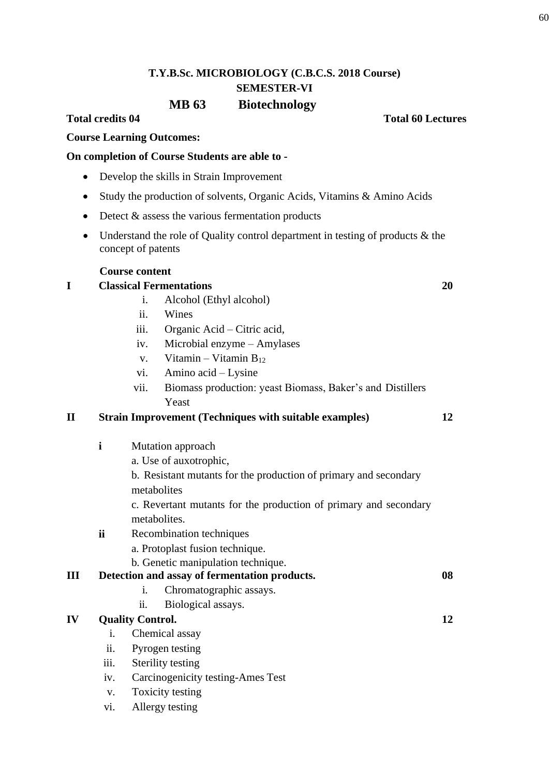# **T.Y.B.Sc. MICROBIOLOGY (C.B.C.S. 2018 Course) SEMESTER-VI MB 63 Biotechnology**

## **Total credits 04 Total 60 Lectures**

**Course Learning Outcomes:**

## **On completion of Course Students are able to -**

- Develop the skills in Strain Improvement
- Study the production of solvents, Organic Acids, Vitamins & Amino Acids
- $\bullet$  Detect  $\&$  assess the various fermentation products
- Understand the role of Quality control department in testing of products & the concept of patents

## **Course content**

## **I Classical Fermentations 20**

- i. Alcohol (Ethyl alcohol)
- ii. Wines
- iii. Organic Acid Citric acid,
- iv. Microbial enzyme Amylases
- v. Vitamin Vitamin  $B_{12}$
- vi. Amino acid Lysine
- vii. Biomass production: yeast Biomass, Baker's and Distillers Yeast

## **II Strain Improvement (Techniques with suitable examples) 12**

- **i** Mutation approach
	- a. Use of auxotrophic,
	- b. Resistant mutants for the production of primary and secondary metabolites
	- c. Revertant mutants for the production of primary and secondary metabolites.
- **ii** Recombination techniques
	- a. Protoplast fusion technique.
	- b. Genetic manipulation technique.

| III | Detection and assay of fermentation products. | 08 |
|-----|-----------------------------------------------|----|
|-----|-----------------------------------------------|----|

- i. Chromatographic assays.
- ii. Biological assays.

## **IV Quality Control.**

- i. Chemical assay
- ii. Pyrogen testing
- iii. Sterility testing
- iv. Carcinogenicity testing-Ames Test
- v. Toxicity testing
- vi. Allergy testing

**12**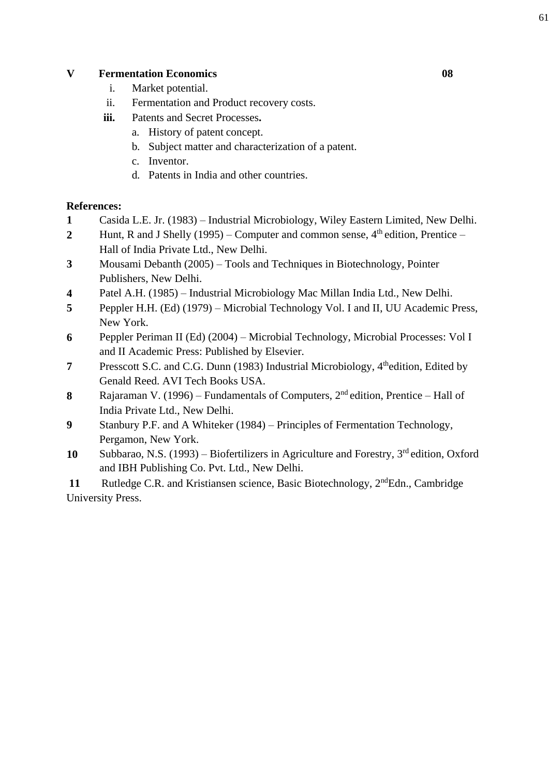## **V Fermentation Economics**

- i. Market potential.
- ii. Fermentation and Product recovery costs.
- **iii.** Patents and Secret Processes**.**
	- a. History of patent concept.
	- b. Subject matter and characterization of a patent.
	- c. Inventor.
	- d. Patents in India and other countries.

## **References:**

- **1** Casida L.E. Jr. (1983) Industrial Microbiology, Wiley Eastern Limited, New Delhi.
- **2** Hunt, R and J Shelly (1995) Computer and common sense,  $4<sup>th</sup>$  edition, Prentice Hall of India Private Ltd., New Delhi.
- **3** Mousami Debanth (2005) Tools and Techniques in Biotechnology, Pointer Publishers, New Delhi.
- **4** Patel A.H. (1985) Industrial Microbiology Mac Millan India Ltd., New Delhi.
- **5** Peppler H.H. (Ed) (1979) Microbial Technology Vol. I and II, UU Academic Press, New York.
- **6** Peppler Periman II (Ed) (2004) Microbial Technology, Microbial Processes: Vol I and II Academic Press: Published by Elsevier.
- **7** Presscott S.C. and C.G. Dunn (1983) Industrial Microbiology, 4<sup>th</sup>edition, Edited by Genald Reed. AVI Tech Books USA.
- **8** Rajaraman V. (1996) Fundamentals of Computers, 2nd edition, Prentice Hall of India Private Ltd., New Delhi.
- **9** Stanbury P.F. and A Whiteker (1984) Principles of Fermentation Technology, Pergamon, New York.
- **10** Subbarao, N.S. (1993) Biofertilizers in Agriculture and Forestry, 3rd edition, Oxford and IBH Publishing Co. Pvt. Ltd., New Delhi.

11 Rutledge C.R. and Kristiansen science, Basic Biotechnology, 2<sup>nd</sup>Edn., Cambridge University Press.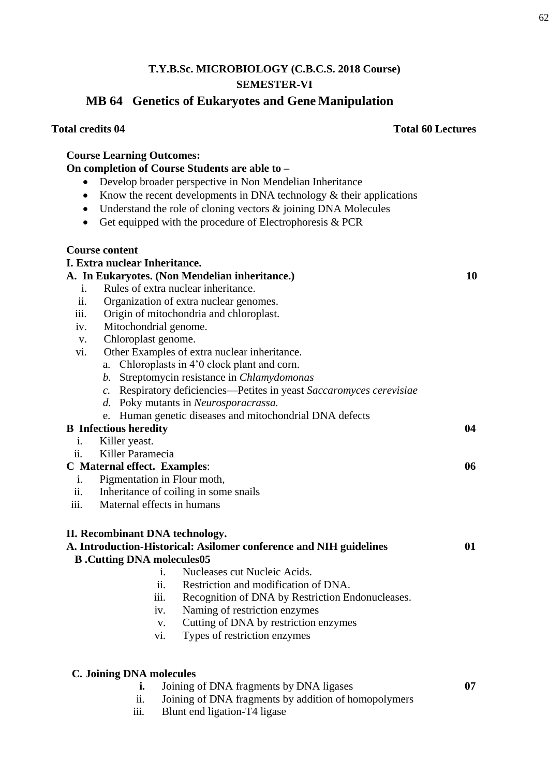# **MB 64 Genetics of Eukaryotes and Gene Manipulation**

## **Total credits 04 Total 60 Lectures**

|                       | <b>Course Learning Outcomes:</b>        |                                                                        |    |  |
|-----------------------|-----------------------------------------|------------------------------------------------------------------------|----|--|
|                       |                                         | On completion of Course Students are able to -                         |    |  |
| $\bullet$             |                                         | Develop broader perspective in Non Mendelian Inheritance               |    |  |
|                       |                                         | Know the recent developments in DNA technology $\&$ their applications |    |  |
| $\bullet$             |                                         | Understand the role of cloning vectors $\&$ joining DNA Molecules      |    |  |
| ٠                     |                                         | Get equipped with the procedure of Electrophoresis $& PCR$             |    |  |
|                       |                                         |                                                                        |    |  |
| <b>Course content</b> |                                         |                                                                        |    |  |
|                       | I. Extra nuclear Inheritance.           |                                                                        |    |  |
|                       |                                         | A. In Eukaryotes. (Non Mendelian inheritance.)                         | 10 |  |
| i.                    |                                         | Rules of extra nuclear inheritance.                                    |    |  |
| ii.                   |                                         | Organization of extra nuclear genomes.                                 |    |  |
| iii.                  | Origin of mitochondria and chloroplast. |                                                                        |    |  |
| iv.                   | Mitochondrial genome.                   |                                                                        |    |  |
| $V_{\star}$           | Chloroplast genome.                     |                                                                        |    |  |
| vi.                   |                                         | Other Examples of extra nuclear inheritance.                           |    |  |
|                       |                                         | a. Chloroplasts in 4'0 clock plant and corn.                           |    |  |
|                       | b.                                      | Streptomycin resistance in Chlamydomonas                               |    |  |
|                       | $\mathcal{C}$ .                         | Respiratory deficiencies—Petites in yeast Saccaromyces cerevisiae      |    |  |
|                       |                                         | d. Poky mutants in Neurosporacrassa.                                   |    |  |
|                       | e.                                      | Human genetic diseases and mitochondrial DNA defects                   |    |  |
|                       | <b>B</b> Infectious heredity            |                                                                        | 04 |  |
| i.                    | Killer yeast.                           |                                                                        |    |  |
| ii.                   | Killer Paramecia                        |                                                                        |    |  |
|                       | <b>C</b> Maternal effect. Examples:     |                                                                        | 06 |  |
| i.                    | Pigmentation in Flour moth,             |                                                                        |    |  |
| ii.                   |                                         | Inheritance of coiling in some snails                                  |    |  |
| iii.                  | Maternal effects in humans              |                                                                        |    |  |
|                       |                                         |                                                                        |    |  |
|                       | II. Recombinant DNA technology.         |                                                                        |    |  |
|                       |                                         | A. Introduction-Historical: Asilomer conference and NIH guidelines     | 01 |  |
|                       | <b>B</b> .Cutting DNA molecules05       |                                                                        |    |  |
|                       | i.                                      | Nucleases cut Nucleic Acids.                                           |    |  |
|                       | ii.                                     | Restriction and modification of DNA.                                   |    |  |
|                       | iii.                                    | Recognition of DNA by Restriction Endonucleases.                       |    |  |
|                       | iv.                                     | Naming of restriction enzymes                                          |    |  |
|                       | V.                                      | Cutting of DNA by restriction enzymes                                  |    |  |
|                       | vi.                                     | Types of restriction enzymes                                           |    |  |
|                       |                                         |                                                                        |    |  |
|                       | <b>C. Joining DNA molecules</b>         |                                                                        |    |  |

Blunt end ligation- $\overline{T4}$  ligase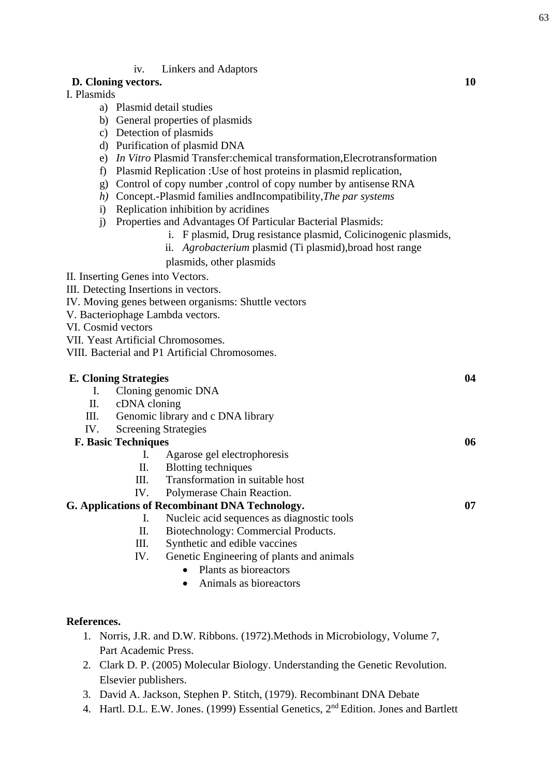## 63

## iv. Linkers and Adaptors

## **D. Cloning vectors. 10**

## I. Plasmids

- a) Plasmid detail studies
- b) General properties of plasmids
- c) Detection of plasmids
- d) Purification of plasmid DNA
- e) *In Vitro* Plasmid Transfer:chemical transformation,Elecrotransformation
- f) Plasmid Replication :Use of host proteins in plasmid replication,
- g) Control of copy number ,control of copy number by antisense RNA
- *h)* Concept.-Plasmid families andIncompatibility,*The par systems*
- i) Replication inhibition by acridines
- j) Properties and Advantages Of Particular Bacterial Plasmids:
	- i. F plasmid, Drug resistance plasmid, Colicinogenic plasmids,
	- ii. *Agrobacterium* plasmid (Ti plasmid),broad host range
	- plasmids, other plasmids

II. Inserting Genes into Vectors.

III. Detecting Insertions in vectors.

IV. Moving genes between organisms: Shuttle vectors

V. Bacteriophage Lambda vectors.

VI. Cosmid vectors

VII. Yeast Artificial Chromosomes.

VIII. Bacterial and P1 Artificial Chromosomes.

| <b>E. Cloning Strategies</b>                          |                                   |                                            | 04 |
|-------------------------------------------------------|-----------------------------------|--------------------------------------------|----|
| Cloning genomic DNA<br>I.                             |                                   |                                            |    |
| П.                                                    | cDNA cloning                      |                                            |    |
| Ш.                                                    | Genomic library and c DNA library |                                            |    |
| IV.                                                   |                                   | <b>Screening Strategies</b>                |    |
| <b>F. Basic Techniques</b>                            |                                   |                                            | 06 |
|                                                       | I.                                | Agarose gel electrophoresis                |    |
|                                                       | П.                                | <b>Blotting techniques</b>                 |    |
|                                                       | Ш.                                | Transformation in suitable host            |    |
|                                                       | IV.                               | Polymerase Chain Reaction.                 |    |
| <b>G. Applications of Recombinant DNA Technology.</b> | 07                                |                                            |    |
|                                                       | Ι.                                | Nucleic acid sequences as diagnostic tools |    |
|                                                       | П.                                | Biotechnology: Commercial Products.        |    |
|                                                       | Ш.                                | Synthetic and edible vaccines              |    |
|                                                       | IV.                               | Genetic Engineering of plants and animals  |    |
|                                                       |                                   | Plants as bioreactors                      |    |
|                                                       |                                   |                                            |    |

Animals as bioreactors

## **References.**

- 1. Norris, J.R. and D.W. Ribbons. (1972).Methods in Microbiology, Volume 7, Part Academic Press.
- 2. Clark D. P. (2005) Molecular Biology. Understanding the Genetic Revolution. Elsevier publishers.
- 3. David A. Jackson, Stephen P. Stitch, (1979). Recombinant DNA Debate
- 4. Hartl. D.L. E.W. Jones. (1999) Essential Genetics, 2<sup>nd</sup> Edition. Jones and Bartlett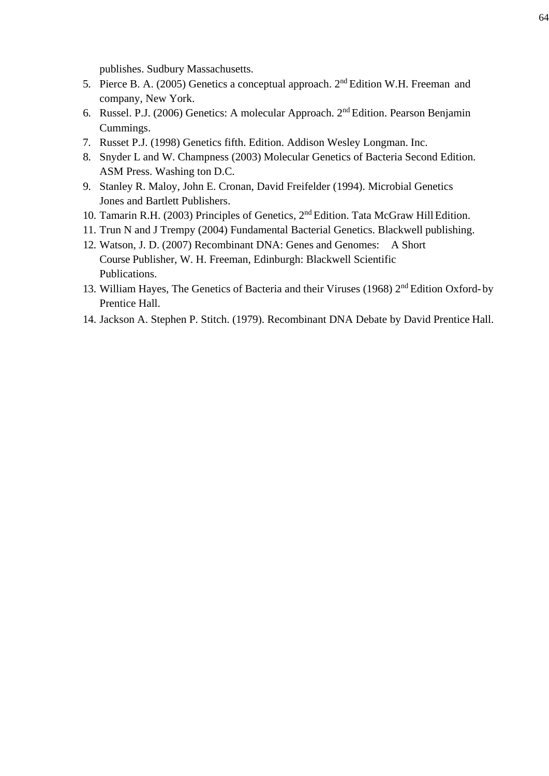publishes. Sudbury Massachusetts.

- 5. Pierce B. A. (2005) Genetics a conceptual approach. 2nd Edition W.H. Freeman and company, New York.
- 6. Russel. P.J. (2006) Genetics: A molecular Approach. 2nd Edition. Pearson Benjamin Cummings.
- 7. Russet P.J. (1998) Genetics fifth. Edition. Addison Wesley Longman. Inc.
- 8. Snyder L and W. Champness (2003) Molecular Genetics of Bacteria Second Edition. ASM Press. Washing ton D.C.
- 9. [Stanley R. Maloy, John E. Cronan,](https://www.google.co.in/search?tbo=p&tbm=bks&q=inauthor%3A%22Stanley%2BR.%2BMaloy%22&source=gbs_metadata_r&cad=3) [David Freifelder \(1994\). Microbial Genetics](https://www.google.co.in/search?tbo=p&tbm=bks&q=inauthor%3A%22David%2BFreifelder%22&source=gbs_metadata_r&cad=3)  Jones and Bartlett Publishers.
- 10. Tamarin R.H. (2003) Principles of Genetics, 2<sup>nd</sup> Edition. Tata McGraw Hill Edition.
- 11. Trun N and J Trempy (2004) Fundamental Bacterial Genetics. Blackwell publishing.
- 12. Watson, J. D. (2007) Recombinant DNA: Genes and Genomes: A Short Course Publisher, W. H. Freeman, Edinburgh: Blackwell Scientific Publications.
- 13. William Hayes, The Genetics of Bacteria and their Viruses (1968) 2<sup>nd</sup> Edition Oxford- by Prentice Hall.
- 14. Jackson A. Stephen P. Stitch. (1979). Recombinant DNA Debate by David Prentice Hall.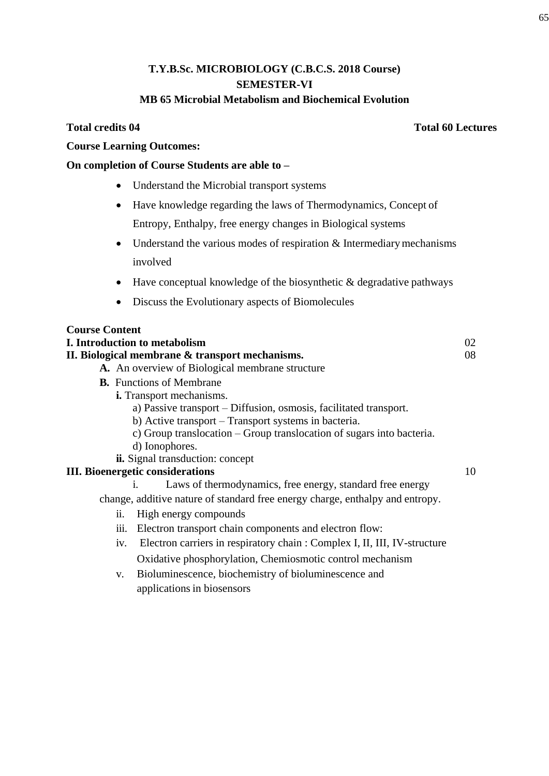## **T.Y.B.Sc. MICROBIOLOGY (C.B.C.S. 2018 Course) SEMESTER-VI MB 65 Microbial Metabolism and Biochemical Evolution**

## **Total credits 04 Total 60 Lectures**

## **Course Learning Outcomes:**

## **On completion of Course Students are able to –**

- Understand the Microbial transport systems
- Have knowledge regarding the laws of Thermodynamics, Concept of Entropy, Enthalpy, free energy changes in Biological systems
- $\bullet$  Understand the various modes of respiration & Intermediary mechanisms involved
- $\bullet$  Have conceptual knowledge of the biosynthetic & degradative pathways
- Discuss the Evolutionary aspects of Biomolecules

| <b>Course Content</b>                                                                       |    |  |
|---------------------------------------------------------------------------------------------|----|--|
| I. Introduction to metabolism                                                               | 02 |  |
| II. Biological membrane & transport mechanisms.                                             |    |  |
| A. An overview of Biological membrane structure                                             |    |  |
| <b>B.</b> Functions of Membrane                                                             |    |  |
| <i>i.</i> Transport mechanisms.                                                             |    |  |
| a) Passive transport – Diffusion, osmosis, facilitated transport.                           |    |  |
| b) Active transport – Transport systems in bacteria.                                        |    |  |
| c) Group translocation – Group translocation of sugars into bacteria.                       |    |  |
| d) Ionophores.                                                                              |    |  |
| <b>ii.</b> Signal transduction: concept                                                     |    |  |
| 10<br><b>III.</b> Bioenergetic considerations                                               |    |  |
| Laws of thermodynamics, free energy, standard free energy<br>$\mathbf{1}$ .                 |    |  |
| change, additive nature of standard free energy charge, enthalpy and entropy.               |    |  |
| High energy compounds<br>$\overline{\mathbf{11}}$ .                                         |    |  |
| Electron transport chain components and electron flow:<br>111.                              |    |  |
| Electron carriers in respiratory chain: Complex I, II, III, IV-structure<br>1V <sub>1</sub> |    |  |
| Oxidative phosphorylation, Chemiosmotic control mechanism                                   |    |  |
| Rioluminescence biochemistry of bioluminescence and<br>$\mathbf{v}$                         |    |  |

v. Bioluminescence, biochemistry of bioluminescence and applications in biosensors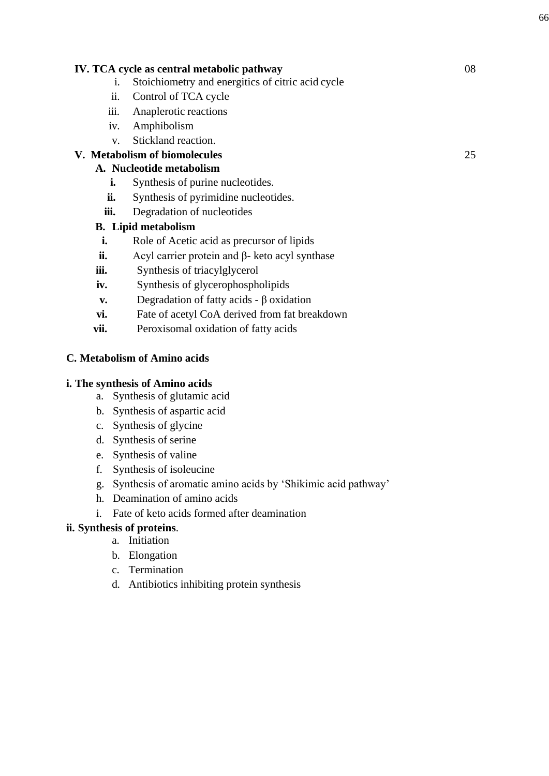## **IV. TCA cycle as central metabolic pathway** 08

- i. Stoichiometry and energitics of citric acid cycle
- ii. Control of TCA cycle
- iii. Anaplerotic reactions
- iv. Amphibolism
- v. Stickland reaction.

## **V. Metabolism of biomolecules** 25

## **A. Nucleotide metabolism**

- **i.** Synthesis of purine nucleotides.
- **ii.** Synthesis of pyrimidine nucleotides.
- **iii.** Degradation of nucleotides

## **B. Lipid metabolism**

- **i.** Role of Acetic acid as precursor of lipids
- **ii.** Acyl carrier protein and β- keto acyl synthase
- **iii.** Synthesis of triacylglycerol
- **iv.** Synthesis of glycerophospholipids
- **v.** Degradation of fatty acids β oxidation
- **vi.** Fate of acetyl CoA derived from fat breakdown
- **vii.** Peroxisomal oxidation of fatty acids

## **C. Metabolism of Amino acids**

## **i. The synthesis of Amino acids**

- a. Synthesis of glutamic acid
- b. Synthesis of aspartic acid
- c. Synthesis of glycine
- d. Synthesis of serine
- e. Synthesis of valine
- f. Synthesis of isoleucine
- g. Synthesis of aromatic amino acids by ‗Shikimic acid pathway'
- h. Deamination of amino acids
- i. Fate of keto acids formed after deamination

## **ii. Synthesis of proteins**.

- a. Initiation
- b. Elongation
- c. Termination
- d. Antibiotics inhibiting protein synthesis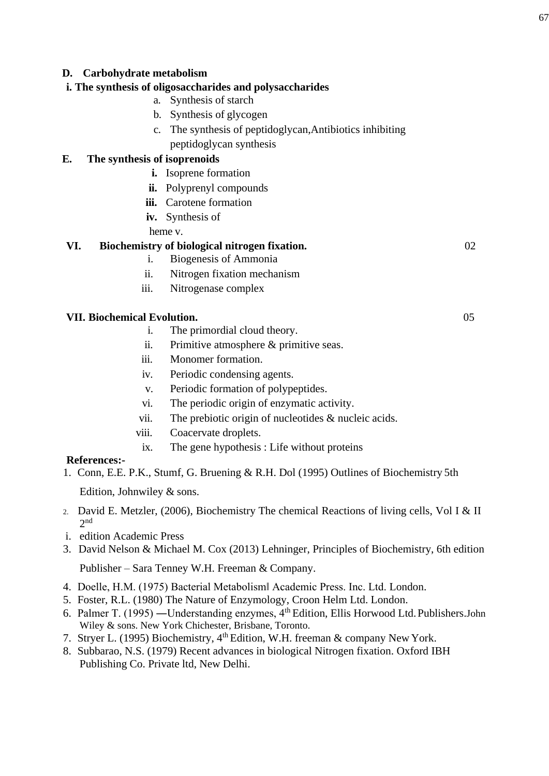## **D. Carbohydrate metabolism**

## **i. The synthesis of oligosaccharides and polysaccharides**

- a. Synthesis of starch
- b. Synthesis of glycogen
- c. The synthesis of peptidoglycan,Antibiotics inhibiting peptidoglycan synthesis

## **E. The synthesis of isoprenoids**

- **i.** Isoprene formation
- **ii.** Polyprenyl compounds
- **iii.** Carotene formation
- **iv.** Synthesis of
- heme v.

## **VI. Biochemistry of biological nitrogen fixation.** 02

- i. Biogenesis of Ammonia
- ii. Nitrogen fixation mechanism
- iii. Nitrogenase complex

## **VII. Biochemical Evolution.** 05

- i. The primordial cloud theory.
- ii. Primitive atmosphere & primitive seas.
- iii. Monomer formation.
- iv. Periodic condensing agents.
- v. Periodic formation of polypeptides.
- vi. The periodic origin of enzymatic activity.
- vii. The prebiotic origin of nucleotides & nucleic acids.
- viii. Coacervate droplets.
- ix. The gene hypothesis : Life without proteins

## **References:-**

1. Conn, E.E. P.K., Stumf, G. Bruening & R.H. Dol (1995) Outlines of Biochemistry 5th

Edition, Johnwiley & sons.

- 2. David E. Metzler, (2006), Biochemistry The chemical Reactions of living cells, Vol I & II 2 nd
- i. edition Academic Press
- 3. David Nelson & Michael M. Cox (2013) Lehninger, Principles of Biochemistry, 6th edition Publisher – Sara Tenney W.H. Freeman & Company.
- 4. Doelle, H.M. (1975) Bacterial Metabolism‖ Academic Press. Inc. Ltd. London.
- 5. Foster, R.L. (1980) The Nature of Enzymology, Croon Helm Ltd. London.
- 6. Palmer T. (1995) ―Understanding enzymes, 4th Edition, Ellis Horwood Ltd.Publishers.John Wiley & sons. New York Chichester, Brisbane, Toronto.
- 7. Stryer L. (1995) Biochemistry, 4<sup>th</sup> Edition, W.H. freeman & company New York.
- 8. Subbarao, N.S. (1979) Recent advances in biological Nitrogen fixation. Oxford IBH Publishing Co. Private ltd, New Delhi.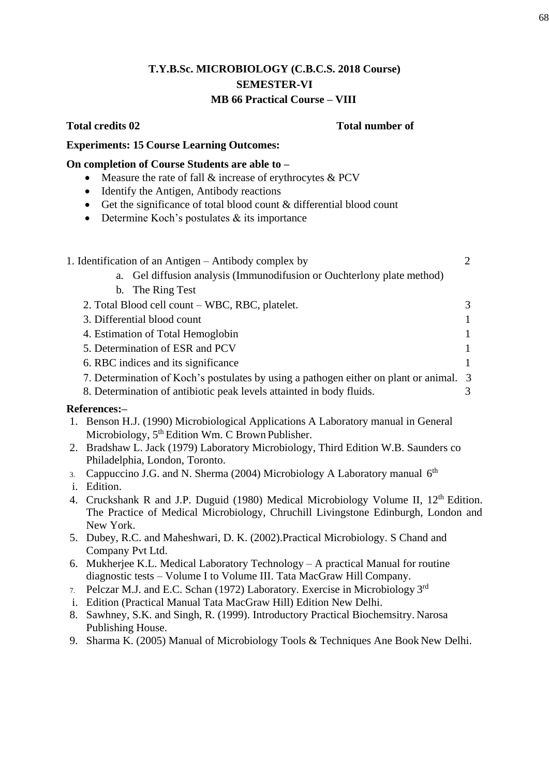## **T.Y.B.Sc. MICROBIOLOGY (C.B.C.S. 2018 Course) SEMESTER-VI MB 66 Practical Course – VIII**

## **Total credits 02 Total number of**

## **Experiments: 15 Course Learning Outcomes:**

## **On completion of Course Students are able to –**

- Measure the rate of fall  $&$  increase of erythrocytes  $&$  PCV
- Identify the Antigen, Antibody reactions
- Get the significance of total blood count & differential blood count
- $\bullet$  Determine Koch's postulates  $\&$  its importance

|                  | 1. Identification of an Antigen – Antibody complex by                                  | $\overline{2}$ |
|------------------|----------------------------------------------------------------------------------------|----------------|
|                  | a. Gel diffusion analysis (Immunodifusion or Ouchterlony plate method)                 |                |
|                  | b. The Ring Test                                                                       |                |
|                  | 2. Total Blood cell count – WBC, RBC, platelet.                                        | 3              |
|                  | 3. Differential blood count                                                            |                |
|                  | 4. Estimation of Total Hemoglobin                                                      |                |
|                  | 5. Determination of ESR and PCV                                                        | 1              |
|                  | 6. RBC indices and its significance                                                    | 1              |
|                  | 7. Determination of Koch's postulates by using a pathogen either on plant or animal. 3 |                |
|                  | 8. Determination of antibiotic peak levels attainted in body fluids.                   | 3              |
|                  | References:-                                                                           |                |
| 1.               | Benson H.J. (1990) Microbiological Applications A Laboratory manual in General         |                |
|                  | Microbiology, 5 <sup>th</sup> Edition Wm. C Brown Publisher.                           |                |
|                  | 2. Bradshaw L. Jack (1979) Laboratory Microbiology, Third Edition W.B. Saunders co     |                |
|                  | Philadelphia, London, Toronto.                                                         |                |
| $\mathfrak{Z}$ . | Cappuccino J.G. and N. Sherma (2004) Microbiology A Laboratory manual $6th$            |                |
|                  |                                                                                        |                |

- i. Edition.
- 4. Cruckshank R and J.P. Duguid (1980) Medical Microbiology Volume II, 12<sup>th</sup> Edition. The Practice of Medical Microbiology, Chruchill Livingstone Edinburgh, London and New York.
- 5. Dubey, R.C. and Maheshwari, D. K. (2002).Practical Microbiology. S Chand and Company Pvt Ltd.
- 6. Mukherjee K.L. Medical Laboratory Technology A practical Manual for routine diagnostic tests – Volume I to Volume III. Tata MacGraw Hill Company.
- 7. Pelczar M.J. and E.C. Schan (1972) Laboratory. Exercise in Microbiology 3rd
- i. Edition (Practical Manual Tata MacGraw Hill) Edition New Delhi.
- 8. Sawhney, S.K. and Singh, R. (1999). Introductory Practical Biochemsitry. Narosa Publishing House.
- 9. Sharma K. (2005) Manual of Microbiology Tools & Techniques Ane Book New Delhi.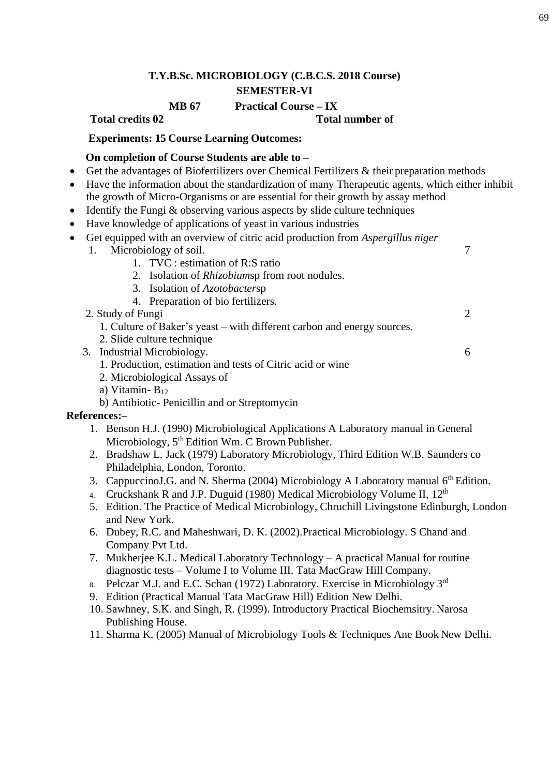# **MB 67 Practical Course – IX**

**Total credits 02 Total number of** 

## **Experiments: 15 Course Learning Outcomes:**

## **On completion of Course Students are able to –**

- Get the advantages of Biofertilizers over Chemical Fertilizers & their preparation methods
- Have the information about the standardization of many Therapeutic agents, which either inhibit
- the growth of Micro-Organisms or are essential for their growth by assay method
- $\bullet$  Identify the Fungi & observing various aspects by slide culture techniques
- Have knowledge of applications of yeast in various industries
- Get equipped with an overview of citric acid production from *Aspergillus niger*
	- 1. Microbiology of soil. 7
		- 1. TVC : estimation of R:S ratio
		- 2. Isolation of *Rhizobium*sp from root nodules.
		- 3. Isolation of *Azotobacter*sp
		- 4. Preparation of bio fertilizers.
	- 2. Study of Fungi 2
		- 1. Culture of Baker's yeast with different carbon and energy sources.
	- 2. Slide culture technique
	- 3. Industrial Microbiology. 6
		- 1. Production, estimation and tests of Citric acid or wine
		- 2. Microbiological Assays of
		- a) Vitamin- B<sup>12</sup>
		- b) Antibiotic- Penicillin and or Streptomycin

## **References:–**

- 1. Benson H.J. (1990) Microbiological Applications A Laboratory manual in General Microbiology, 5<sup>th</sup> Edition Wm. C Brown Publisher.
- 2. Bradshaw L. Jack (1979) Laboratory Microbiology, Third Edition W.B. Saunders co Philadelphia, London, Toronto.
- 3. Cappuccino J.G. and N. Sherma (2004) Microbiology A Laboratory manual  $6<sup>th</sup>$  Edition.
- 4. Cruckshank R and J.P. Duguid (1980) Medical Microbiology Volume II, 12<sup>th</sup>
- 5. Edition. The Practice of Medical Microbiology, Chruchill Livingstone Edinburgh, London and New York.
- 6. Dubey, R.C. and Maheshwari, D. K. (2002).Practical Microbiology. S Chand and Company Pvt Ltd.
- 7. Mukherjee K.L. Medical Laboratory Technology A practical Manual for routine diagnostic tests – Volume I to Volume III. Tata MacGraw Hill Company.
- 8. Pelczar M.J. and E.C. Schan (1972) Laboratory. Exercise in Microbiology 3rd
- 9. Edition (Practical Manual Tata MacGraw Hill) Edition New Delhi.
- 10. Sawhney, S.K. and Singh, R. (1999). Introductory Practical Biochemsitry. Narosa Publishing House.
- 11. Sharma K. (2005) Manual of Microbiology Tools & Techniques Ane Book New Delhi.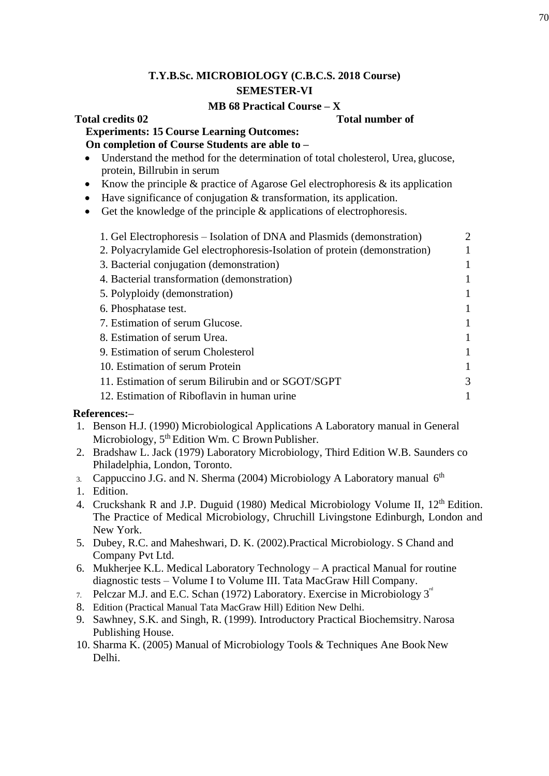## **MB 68 Practical Course – X**

## **Total credits 02 Total number of**

## **Experiments: 15 Course Learning Outcomes: On completion of Course Students are able to –**

- Understand the method for the determination of total cholesterol, Urea, glucose, protein, Billrubin in serum
- Know the principle & practice of Agarose Gel electrophoresis & its application
- Have significance of conjugation & transformation, its application.
- Get the knowledge of the principle  $\&$  applications of electrophoresis.

| 1. Gel Electrophoresis – Isolation of DNA and Plasmids (demonstration)     | $\mathfrak{D}$ |
|----------------------------------------------------------------------------|----------------|
| 2. Polyacrylamide Gel electrophoresis-Isolation of protein (demonstration) |                |
| 3. Bacterial conjugation (demonstration)                                   |                |
| 4. Bacterial transformation (demonstration)                                |                |
| 5. Polyploidy (demonstration)                                              |                |
| 6. Phosphatase test.                                                       |                |
| 7. Estimation of serum Glucose.                                            |                |
| 8. Estimation of serum Urea.                                               |                |
| 9. Estimation of serum Cholesterol                                         |                |
| 10. Estimation of serum Protein                                            |                |
| 11. Estimation of serum Bilirubin and or SGOT/SGPT                         | 3              |
| 12. Estimation of Riboflavin in human urine                                |                |
|                                                                            |                |

## **References:–**

- 1. Benson H.J. (1990) Microbiological Applications A Laboratory manual in General Microbiology, 5<sup>th</sup> Edition Wm. C Brown Publisher.
- 2. Bradshaw L. Jack (1979) Laboratory Microbiology, Third Edition W.B. Saunders co Philadelphia, London, Toronto.
- 3. Cappuccino J.G. and N. Sherma (2004) Microbiology A Laboratory manual  $6<sup>th</sup>$
- 1. Edition.
- 4. Cruckshank R and J.P. Duguid (1980) Medical Microbiology Volume II, 12<sup>th</sup> Edition. The Practice of Medical Microbiology, Chruchill Livingstone Edinburgh, London and New York.
- 5. Dubey, R.C. and Maheshwari, D. K. (2002).Practical Microbiology. S Chand and Company Pvt Ltd.
- 6. Mukherjee K.L. Medical Laboratory Technology A practical Manual for routine diagnostic tests – Volume I to Volume III. Tata MacGraw Hill Company.
- 7. Pelczar M.J. and E.C. Schan (1972) Laboratory. Exercise in Microbiology  $3^{\omega}$
- 8. Edition (Practical Manual Tata MacGraw Hill) Edition New Delhi.
- 9. Sawhney, S.K. and Singh, R. (1999). Introductory Practical Biochemsitry. Narosa Publishing House.
- 10. Sharma K. (2005) Manual of Microbiology Tools & Techniques Ane Book New Delhi.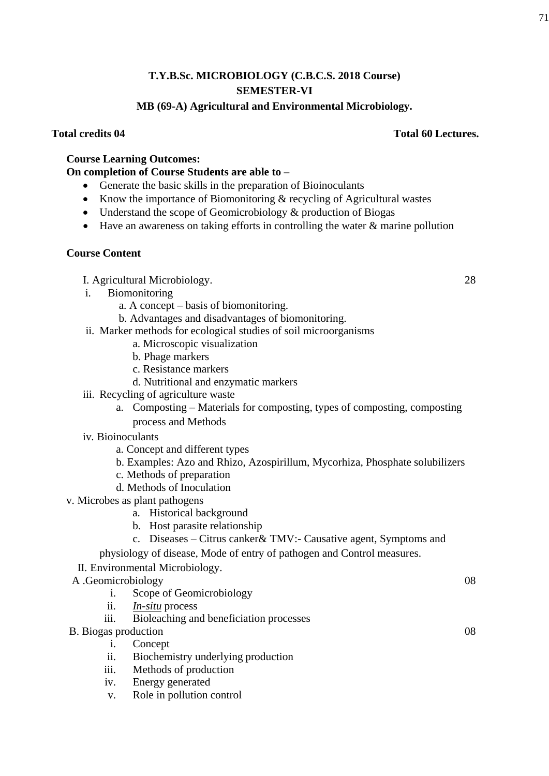## **MB (69-A) Agricultural and Environmental Microbiology.**

## **Total credits 04 Total 60 Lectures.**

## **Course Learning Outcomes:**

## **On completion of Course Students are able to –**

- Generate the basic skills in the preparation of Bioinoculants
- Know the importance of Biomonitoring & recycling of Agricultural wastes
- Understand the scope of Geomicrobiology & production of Biogas
- Have an awareness on taking efforts in controlling the water & marine pollution

## **Course Content**

- I. Agricultural Microbiology. 28
- i. Biomonitoring
	- a. A concept basis of biomonitoring.
	- b. Advantages and disadvantages of biomonitoring.
- ii. Marker methods for ecological studies of soil microorganisms
	- a. Microscopic visualization
	- b. Phage markers
	- c. Resistance markers
	- d. Nutritional and enzymatic markers
- iii. Recycling of agriculture waste
	- a. Composting Materials for composting, types of composting, composting process and Methods
- iv. Bioinoculants
	- a. Concept and different types
	- b. Examples: Azo and Rhizo, Azospirillum, Mycorhiza, Phosphate solubilizers
	- c. Methods of preparation
	- d. Methods of Inoculation
- v. Microbes as plant pathogens
	- a. Historical background
	- b. Host parasite relationship
	- c. Diseases Citrus canker& TMV:- Causative agent, Symptoms and

physiology of disease, Mode of entry of pathogen and Control measures.

## II. Environmental Microbiology.

- A .Geomicrobiology 08
	- i. Scope of Geomicrobiology
	- ii. *In-situ* process
	- iii. Bioleaching and beneficiation processes
- B. Biogas production 08
	- i. Concept
	- ii. Biochemistry underlying production
	- iii. Methods of production
	- iv. Energy generated
	- v. Role in pollution control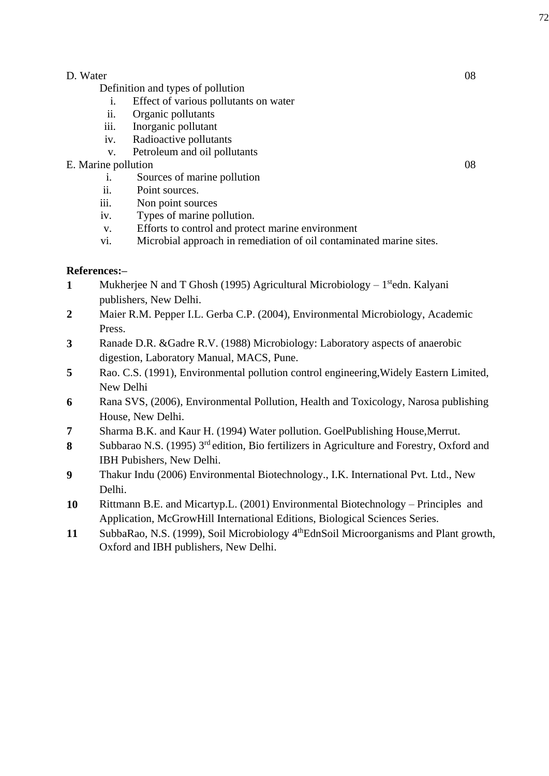## D. Water 08

Definition and types of pollution

- i. Effect of various pollutants on water
- ii. Organic pollutants
- iii. Inorganic pollutant
- iv. Radioactive pollutants
- v. Petroleum and oil pollutants

## E. Marine pollution 08

- i. Sources of marine pollution
- ii. Point sources.
- iii. Non point sources
- iv. Types of marine pollution.
- v. Efforts to control and protect marine environment
- vi. Microbial approach in remediation of oil contaminated marine sites.

## **References:–**

- 1 Mukherjee N and T Ghosh (1995) Agricultural Microbiology 1<sup>st</sup>edn. Kalyani publishers, New Delhi.
- **2** Maier R.M. Pepper I.L. Gerba C.P. (2004), Environmental Microbiology, Academic Press.
- **3** Ranade D.R. &Gadre R.V. (1988) Microbiology: Laboratory aspects of anaerobic digestion, Laboratory Manual, MACS, Pune.
- **5** Rao. C.S. (1991), Environmental pollution control engineering,Widely Eastern Limited, New Delhi
- **6** Rana SVS, (2006), Environmental Pollution, Health and Toxicology, Narosa publishing House, New Delhi.
- **7** Sharma B.K. and Kaur H. (1994) Water pollution. GoelPublishing House,Merrut.
- 8 Subbarao N.S. (1995) 3<sup>rd</sup> edition, Bio fertilizers in Agriculture and Forestry, Oxford and IBH Pubishers, New Delhi.
- **9** Thakur Indu (2006) Environmental Biotechnology., I.K. International Pvt. Ltd., New Delhi.
- **10** Rittmann B.E. and Micartyp.L. (2001) Environmental Biotechnology Principles and Application, McGrowHill International Editions, Biological Sciences Series.
- **11** SubbaRao, N.S. (1999), Soil Microbiology 4thEdnSoil Microorganisms and Plant growth, Oxford and IBH publishers, New Delhi.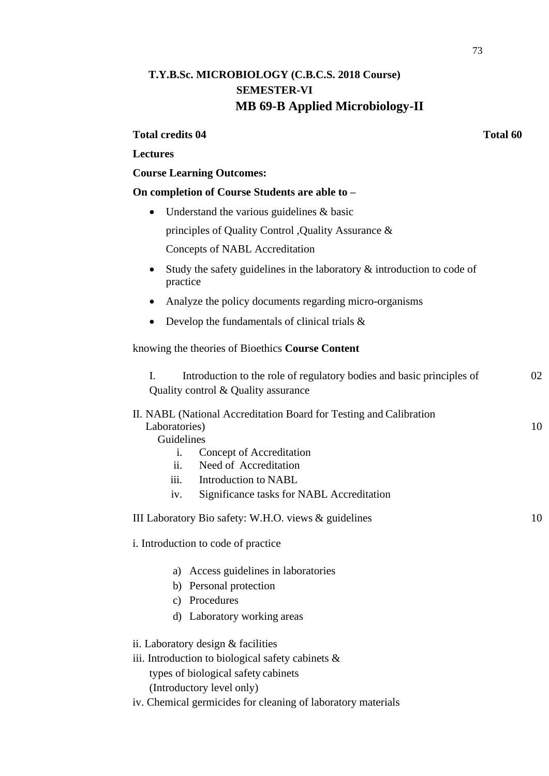# **T.Y.B.Sc. MICROBIOLOGY (C.B.C.S. 2018 Course) SEMESTER-VI MB 69-B Applied Microbiology-II**

### **Total credits 04 Total 60**

## **Lectures**

## **Course Learning Outcomes:**

## **On completion of Course Students are able to –**

- Understand the various guidelines & basic principles of Quality Control ,Quality Assurance & Concepts of NABL Accreditation
- Study the safety guidelines in the laboratory & introduction to code of practice
- Analyze the policy documents regarding micro-organisms
- Develop the fundamentals of clinical trials  $\&$

### knowing the theories of Bioethics **Course Content**

| I.             | Introduction to the role of regulatory bodies and basic principles of                       | 02 |
|----------------|---------------------------------------------------------------------------------------------|----|
|                | Quality control & Quality assurance                                                         |    |
|                | II. NABL (National Accreditation Board for Testing and Calibration                          |    |
| Laboratories)  |                                                                                             |    |
| Guidelines     |                                                                                             |    |
| i.             | Concept of Accreditation                                                                    |    |
| ii.            | Need of Accreditation                                                                       |    |
| iii.           | Introduction to NABL                                                                        |    |
| iv.            | Significance tasks for NABL Accreditation                                                   |    |
|                | III Laboratory Bio safety: W.H.O. views & guidelines<br>i. Introduction to code of practice | 10 |
| a)             | Access guidelines in laboratories                                                           |    |
|                | b) Personal protection                                                                      |    |
| $\mathbf{c}$ ) | Procedures                                                                                  |    |
|                | d) Laboratory working areas                                                                 |    |
|                | ii. Laboratory design & facilities                                                          |    |
|                | iii. Introduction to biological safety cabinets $\&$                                        |    |
|                | types of biological safety cabinets                                                         |    |
|                | (Introductory level only)                                                                   |    |
|                |                                                                                             |    |

iv. Chemical germicides for cleaning of laboratory materials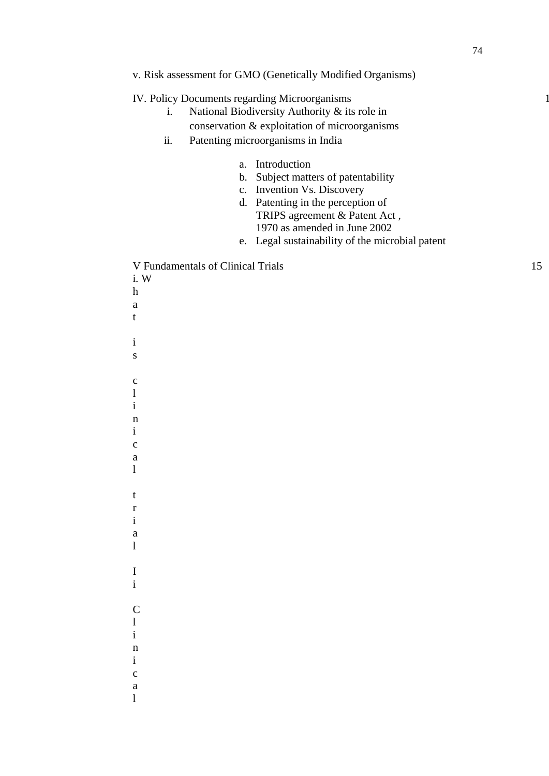| v. Risk assessment for GMO (Genetically Modified Organisms) |  |  |  |  |
|-------------------------------------------------------------|--|--|--|--|
|-------------------------------------------------------------|--|--|--|--|

IV. Policy Documents regarding Microorganisms

- i. National Biodiversity Authority & its role in
- conservation & exploitation of microorganisms
- ii. Patenting microorganisms in India
	- a. Introduction
	- b. Subject matters of patentability
	- c. Invention Vs. Discovery
	- d. Patenting in the perception of TRIPS agreement & Patent Act , 1970 as amended in June 2002
	- e. Legal sustainability of the microbial patent

V Fundamentals of Clinical Trials 15

i. W h a t i s c l i n i c a l t r i a l I i C l i n i c a

l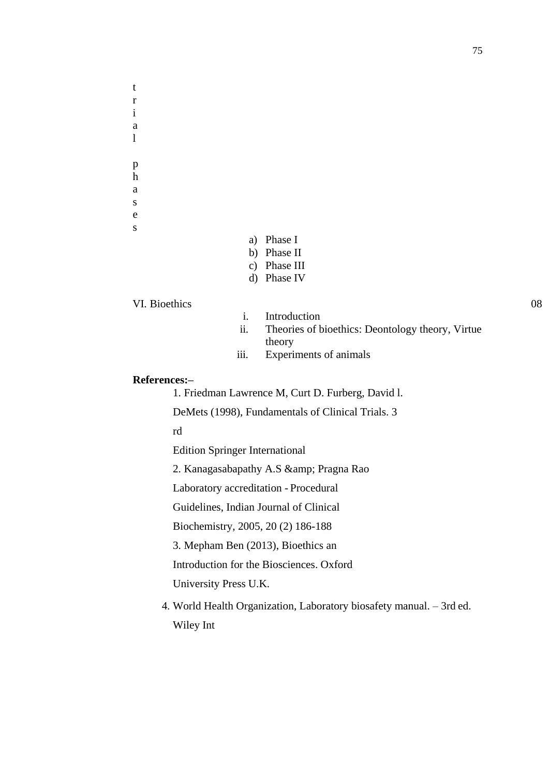a l p h a s e s

t r i

- a) Phase I
- b) Phase II
- c) Phase III
- d) Phase IV

## VI. Bioethics 08

- i. Introduction
- ii. Theories of bioethics: Deontology theory, Virtue theory
- iii. Experiments of animals

## **References:–**

1. Friedman Lawrence M, Curt D. Furberg, David l.

DeMets (1998), Fundamentals of Clinical Trials. 3

rd

Edition Springer International

2. Kanagasabapathy A.S & amp; Pragna Rao

Laboratory accreditation - Procedural

Guidelines, Indian Journal of Clinical

Biochemistry, 2005, 20 (2) 186-188

3. Mepham Ben (2013), Bioethics an

Introduction for the Biosciences. Oxford

University Press U.K.

4. World Health Organization, Laboratory biosafety manual. – 3rd ed. Wiley Int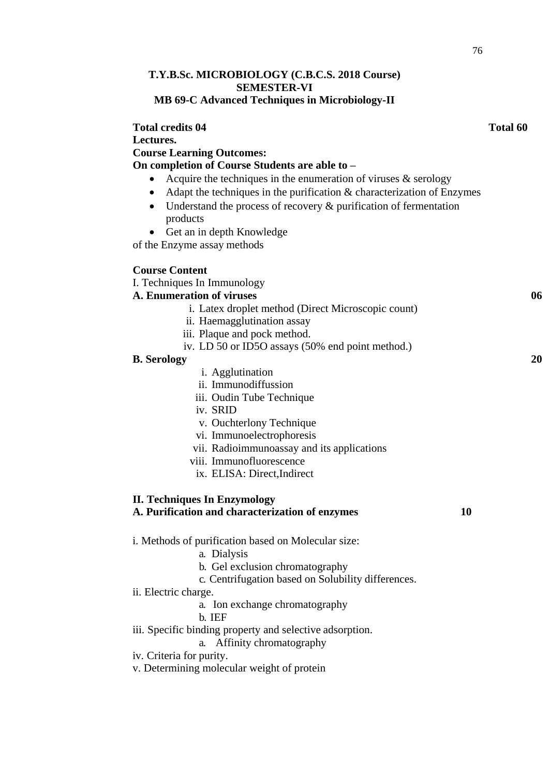## **T.Y.B.Sc. MICROBIOLOGY (C.B.C.S. 2018 Course) SEMESTER-VI MB 69-C Advanced Techniques in Microbiology-II**

| <b>Total credits 04</b>                                                                | Total 60 |
|----------------------------------------------------------------------------------------|----------|
| Lectures.                                                                              |          |
| <b>Course Learning Outcomes:</b>                                                       |          |
| On completion of Course Students are able to -                                         |          |
| Acquire the techniques in the enumeration of viruses $\&$ serology<br>$\bullet$        |          |
| Adapt the techniques in the purification $\&$ characterization of Enzymes<br>$\bullet$ |          |
| Understand the process of recovery $\&$ purification of fermentation<br>$\bullet$      |          |
| products                                                                               |          |
| Get an in depth Knowledge<br>$\bullet$                                                 |          |
| of the Enzyme assay methods                                                            |          |
| <b>Course Content</b>                                                                  |          |
| I. Techniques In Immunology                                                            |          |
| A. Enumeration of viruses                                                              | 06       |
| i. Latex droplet method (Direct Microscopic count)                                     |          |
| ii. Haemagglutination assay                                                            |          |
| iii. Plaque and pock method.                                                           |          |
| iv. LD 50 or ID5O assays (50% end point method.)                                       |          |
| <b>B.</b> Serology                                                                     | 20       |
| i. Agglutination                                                                       |          |
| ii. Immunodiffussion                                                                   |          |
| iii. Oudin Tube Technique                                                              |          |
| iv. SRID                                                                               |          |
| v. Ouchterlony Technique                                                               |          |
| vi. Immunoelectrophoresis                                                              |          |
| vii. Radioimmunoassay and its applications                                             |          |
| viii. Immunofluorescence                                                               |          |
| ix. ELISA: Direct, Indirect                                                            |          |
| <b>II. Techniques In Enzymology</b>                                                    |          |
| 10<br>A. Purification and characterization of enzymes                                  |          |
| i. Methods of purification based on Molecular size:                                    |          |
| a. Dialysis                                                                            |          |
| b. Gel exclusion chromatography                                                        |          |
| c. Centrifugation based on Solubility differences.                                     |          |
| ii. Electric charge.                                                                   |          |
| a. Ion exchange chromatography                                                         |          |
| b. IEF                                                                                 |          |
| iii. Specific binding property and selective adsorption.                               |          |
| a. Affinity chromatography                                                             |          |
| iv. Criteria for purity.                                                               |          |
| v. Determining molecular weight of protein                                             |          |
|                                                                                        |          |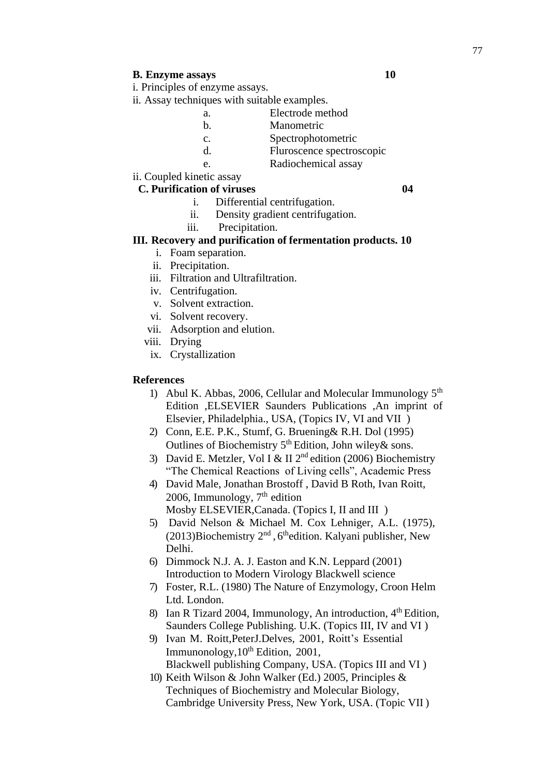## **B. Enzyme assays 10**

- i. Principles of enzyme assays.
- ii. Assay techniques with suitable examples.
	- a. Electrode method
	- b. Manometric
	- c. Spectrophotometric
	- d. Fluroscence spectroscopic
	- e. Radiochemical assay

# ii. Coupled kinetic assay

## **C. Purification of viruses 04**

- i. Differential centrifugation.
- ii. Density gradient centrifugation.
- iii. Precipitation.

## **III. Recovery and purification of fermentation products. 10**

- i. Foam separation.
- ii. Precipitation.
- iii. Filtration and Ultrafiltration.
- iv. Centrifugation.
- v. Solvent extraction.
- vi. Solvent recovery.
- vii. Adsorption and elution.
- viii. Drying
- ix. Crystallization

#### **References**

- 1) Abul K. Abbas, 2006, Cellular and Molecular Immunology 5<sup>th</sup> Edition ,ELSEVIER Saunders Publications ,An imprint of Elsevier, Philadelphia., USA, (Topics IV, VI and VII )
- 2) Conn, E.E. P.K., Stumf, G. Bruening& R.H. Dol (1995) Outlines of Biochemistry 5<sup>th</sup> Edition, John wiley & sons.
- 3) David E. Metzler, Vol I & II  $2<sup>nd</sup>$  edition (2006) Biochemistry "The Chemical Reactions of Living cells", Academic Press
- 4) David Male, Jonathan Brostoff , David B Roth, Ivan Roitt, 2006, Immunology,  $7<sup>th</sup>$  edition Mosby ELSEVIER,Canada. (Topics I, II and III )
- 5) David Nelson & Michael M. Cox Lehniger, A.L. (1975), (2013)Biochemistry  $2<sup>nd</sup>$ , 6<sup>th</sup>edition. Kalyani publisher, New Delhi.
- 6) Dimmock N.J. A. J. Easton and K.N. Leppard (2001) Introduction to Modern Virology Blackwell science
- 7) Foster, R.L. (1980) The Nature of Enzymology, Croon Helm Ltd. London.
- 8) Ian R Tizard 2004, Immunology, An introduction,  $4<sup>th</sup>$  Edition, Saunders College Publishing. U.K. (Topics III, IV and VI )
- 9) Ivan M. Roitt,PeterJ.Delves, 2001, Roitt's Essential Immunonology,  $10^{th}$  Edition, 2001, Blackwell publishing Company, USA. (Topics III and VI )
- 10) Keith Wilson & John Walker (Ed.) 2005, Principles & Techniques of Biochemistry and Molecular Biology, Cambridge University Press, New York, USA. (Topic VII )